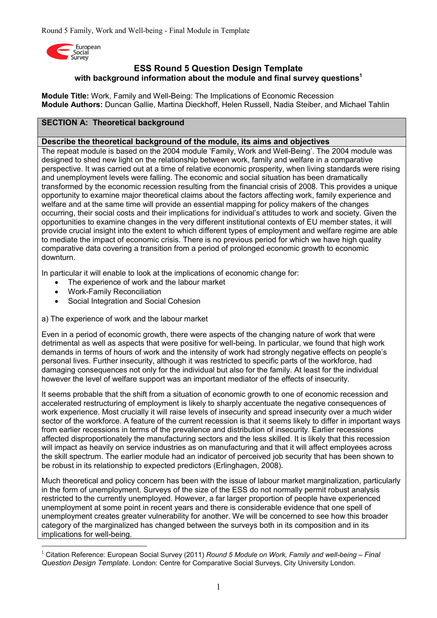

# **ESS Round 5 Question Design Template with background information about the module and final survey questions<sup>1</sup>**

**Module Title:** Work, Family and Well-Being: The Implications of Economic Recession **Module Authors:** Duncan Gallie, Martina Dieckhoff, Helen Russell, Nadia Steiber, and Michael Tahlin

## **SECTION A: Theoretical background**

#### **Describe the theoretical background of the module, its aims and objectives**

The repeat module is based on the 2004 module 'Family, Work and Well-Being'. The 2004 module was designed to shed new light on the relationship between work, family and welfare in a comparative perspective. It was carried out at a time of relative economic prosperity, when living standards were rising and unemployment levels were falling. The economic and social situation has been dramatically transformed by the economic recession resulting from the financial crisis of 2008. This provides a unique opportunity to examine major theoretical claims about the factors affecting work, family experience and welfare and at the same time will provide an essential mapping for policy makers of the changes occurring, their social costs and their implications for individual's attitudes to work and society. Given the opportunities to examine changes in the very different institutional contexts of EU member states, it will provide crucial insight into the extent to which different types of employment and welfare regime are able to mediate the impact of economic crisis. There is no previous period for which we have high quality comparative data covering a transition from a period of prolonged economic growth to economic downturn.

In particular it will enable to look at the implications of economic change for:

- The experience of work and the labour market
- Work-Family Reconciliation
- Social Integration and Social Cohesion
- a) The experience of work and the labour market

Even in a period of economic growth, there were aspects of the changing nature of work that were detrimental as well as aspects that were positive for well-being. In particular, we found that high work demands in terms of hours of work and the intensity of work had strongly negative effects on people's personal lives. Further insecurity, although it was restricted to specific parts of the workforce, had damaging consequences not only for the individual but also for the family. At least for the individual however the level of welfare support was an important mediator of the effects of insecurity.

It seems probable that the shift from a situation of economic growth to one of economic recession and accelerated restructuring of employment is likely to sharply accentuate the negative consequences of work experience. Most crucially it will raise levels of insecurity and spread insecurity over a much wider sector of the workforce. A feature of the current recession is that it seems likely to differ in important ways from earlier recessions in terms of the prevalence and distribution of insecurity. Earlier recessions affected disproportionately the manufacturing sectors and the less skilled. It is likely that this recession will impact as heavily on service industries as on manufacturing and that it will affect employees across the skill spectrum. The earlier module had an indicator of perceived job security that has been shown to be robust in its relationship to expected predictors (Erlinghagen, 2008).

Much theoretical and policy concern has been with the issue of labour market marginalization, particularly in the form of unemployment. Surveys of the size of the ESS do not normally permit robust analysis restricted to the currently unemployed. However, a far larger proportion of people have experienced unemployment at some point in recent years and there is considerable evidence that one spell of unemployment creates greater vulnerability for another. We will be concerned to see how this broader category of the marginalized has changed between the surveys both in its composition and in its implications for well-being.

<sup>-</sup><sup>1</sup> Citation Reference: European Social Survey (2011) *Round 5 Module on Work, Family and well-being – Final Question Design Template*. London: Centre for Comparative Social Surveys, City University London.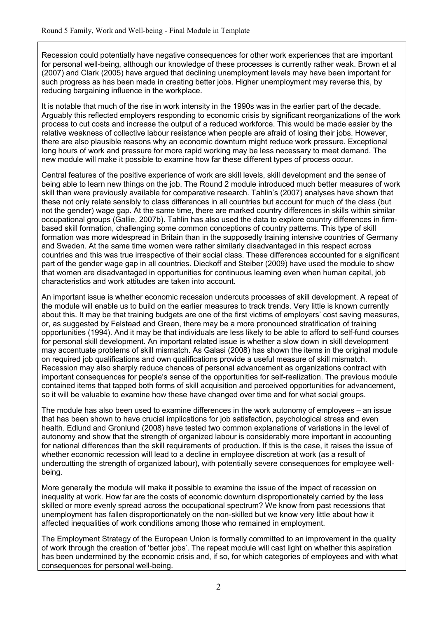Recession could potentially have negative consequences for other work experiences that are important for personal well-being, although our knowledge of these processes is currently rather weak. Brown et al (2007) and Clark (2005) have argued that declining unemployment levels may have been important for such progress as has been made in creating better jobs. Higher unemployment may reverse this, by reducing bargaining influence in the workplace.

It is notable that much of the rise in work intensity in the 1990s was in the earlier part of the decade. Arguably this reflected employers responding to economic crisis by significant reorganizations of the work process to cut costs and increase the output of a reduced workforce. This would be made easier by the relative weakness of collective labour resistance when people are afraid of losing their jobs. However, there are also plausible reasons why an economic downturn might reduce work pressure. Exceptional long hours of work and pressure for more rapid working may be less necessary to meet demand. The new module will make it possible to examine how far these different types of process occur.

Central features of the positive experience of work are skill levels, skill development and the sense of being able to learn new things on the job. The Round 2 module introduced much better measures of work skill than were previously available for comparative research. Tahlin's (2007) analyses have shown that these not only relate sensibly to class differences in all countries but account for much of the class (but not the gender) wage gap. At the same time, there are marked country differences in skills within similar occupational groups (Gallie, 2007b). Tahlin has also used the data to explore country differences in firmbased skill formation, challenging some common conceptions of country patterns. This type of skill formation was more widespread in Britain than in the supposedly training intensive countries of Germany and Sweden. At the same time women were rather similarly disadvantaged in this respect across countries and this was true irrespective of their social class. These differences accounted for a significant part of the gender wage gap in all countries. Dieckoff and Steiber (2009) have used the module to show that women are disadvantaged in opportunities for continuous learning even when human capital, job characteristics and work attitudes are taken into account.

An important issue is whether economic recession undercuts processes of skill development. A repeat of the module will enable us to build on the earlier measures to track trends. Very little is known currently about this. It may be that training budgets are one of the first victims of employers' cost saving measures, or, as suggested by Felstead and Green, there may be a more pronounced stratification of training opportunities (1994). And it may be that individuals are less likely to be able to afford to self-fund courses for personal skill development. An important related issue is whether a slow down in skill development may accentuate problems of skill mismatch. As Galasi (2008) has shown the items in the original module on required job qualifications and own qualifications provide a useful measure of skill mismatch. Recession may also sharply reduce chances of personal advancement as organizations contract with important consequences for people's sense of the opportunities for self-realization. The previous module contained items that tapped both forms of skill acquisition and perceived opportunities for advancement, so it will be valuable to examine how these have changed over time and for what social groups.

The module has also been used to examine differences in the work autonomy of employees – an issue that has been shown to have crucial implications for job satisfaction, psychological stress and even health. Edlund and Gronlund (2008) have tested two common explanations of variations in the level of autonomy and show that the strength of organized labour is considerably more important in accounting for national differences than the skill requirements of production. If this is the case, it raises the issue of whether economic recession will lead to a decline in employee discretion at work (as a result of undercutting the strength of organized labour), with potentially severe consequences for employee wellbeing.

More generally the module will make it possible to examine the issue of the impact of recession on inequality at work. How far are the costs of economic downturn disproportionately carried by the less skilled or more evenly spread across the occupational spectrum? We know from past recessions that unemployment has fallen disproportionately on the non-skilled but we know very little about how it affected inequalities of work conditions among those who remained in employment.

The Employment Strategy of the European Union is formally committed to an improvement in the quality of work through the creation of 'better jobs'. The repeat module will cast light on whether this aspiration has been undermined by the economic crisis and, if so, for which categories of employees and with what consequences for personal well-being.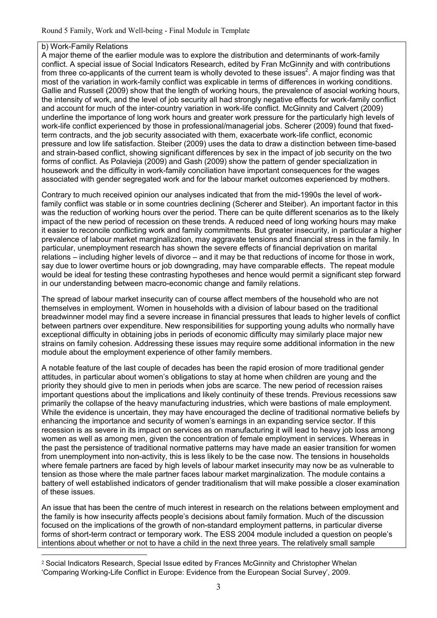#### b) Work-Family Relations

1

A major theme of the earlier module was to explore the distribution and determinants of work-family conflict. A special issue of Social Indicators Research, edited by Fran McGinnity and with contributions from three co-applicants of the current team is wholly devoted to these issues<sup>2</sup>. A major finding was that most of the variation in work-family conflict was explicable in terms of differences in working conditions. Gallie and Russell (2009) show that the length of working hours, the prevalence of asocial working hours, the intensity of work, and the level of job security all had strongly negative effects for work-family conflict and account for much of the inter-country variation in work-life conflict. McGinnity and Calvert (2009) underline the importance of long work hours and greater work pressure for the particularly high levels of work-life conflict experienced by those in professional/managerial jobs. Scherer (2009) found that fixedterm contracts, and the job security associated with them, exacerbate work-life conflict, economic pressure and low life satisfaction. Steiber (2009) uses the data to draw a distinction between time-based and strain-based conflict, showing significant differences by sex in the impact of job security on the two forms of conflict. As Polavieja (2009) and Gash (2009) show the pattern of gender specialization in housework and the difficulty in work-family conciliation have important consequences for the wages associated with gender segregated work and for the labour market outcomes experienced by mothers.

Contrary to much received opinion our analyses indicated that from the mid-1990s the level of workfamily conflict was stable or in some countries declining (Scherer and Steiber). An important factor in this was the reduction of working hours over the period. There can be quite different scenarios as to the likely impact of the new period of recession on these trends. A reduced need of long working hours may make it easier to reconcile conflicting work and family commitments. But greater insecurity, in particular a higher prevalence of labour market marginalization, may aggravate tensions and financial stress in the family. In particular, unemployment research has shown the severe effects of financial deprivation on marital relations – including higher levels of divorce – and it may be that reductions of income for those in work, say due to lower overtime hours or job downgrading, may have comparable effects. The repeat module would be ideal for testing these contrasting hypotheses and hence would permit a significant step forward in our understanding between macro-economic change and family relations.

The spread of labour market insecurity can of course affect members of the household who are not themselves in employment. Women in households with a division of labour based on the traditional breadwinner model may find a severe increase in financial pressures that leads to higher levels of conflict between partners over expenditure. New responsibilities for supporting young adults who normally have exceptional difficulty in obtaining jobs in periods of economic difficulty may similarly place major new strains on family cohesion. Addressing these issues may require some additional information in the new module about the employment experience of other family members.

A notable feature of the last couple of decades has been the rapid erosion of more traditional gender attitudes, in particular about women's obligations to stay at home when children are young and the priority they should give to men in periods when jobs are scarce. The new period of recession raises important questions about the implications and likely continuity of these trends. Previous recessions saw primarily the collapse of the heavy manufacturing industries, which were bastions of male employment. While the evidence is uncertain, they may have encouraged the decline of traditional normative beliefs by enhancing the importance and security of women's earnings in an expanding service sector. If this recession is as severe in its impact on services as on manufacturing it will lead to heavy job loss among women as well as among men, given the concentration of female employment in services. Whereas in the past the persistence of traditional normative patterns may have made an easier transition for women from unemployment into non-activity, this is less likely to be the case now. The tensions in households where female partners are faced by high levels of labour market insecurity may now be as vulnerable to tension as those where the male partner faces labour market marginalization. The module contains a battery of well established indicators of gender traditionalism that will make possible a closer examination of these issues.

An issue that has been the centre of much interest in research on the relations between employment and the family is how insecurity affects people's decisions about family formation. Much of the discussion focused on the implications of the growth of non-standard employment patterns, in particular diverse forms of short-term contract or temporary work. The ESS 2004 module included a question on people's intentions about whether or not to have a child in the next three years. The relatively small sample

<sup>2</sup> Social Indicators Research, Special Issue edited by Frances McGinnity and Christopher Whelan 'Comparing Working-Life Conflict in Europe: Evidence from the European Social Survey', 2009.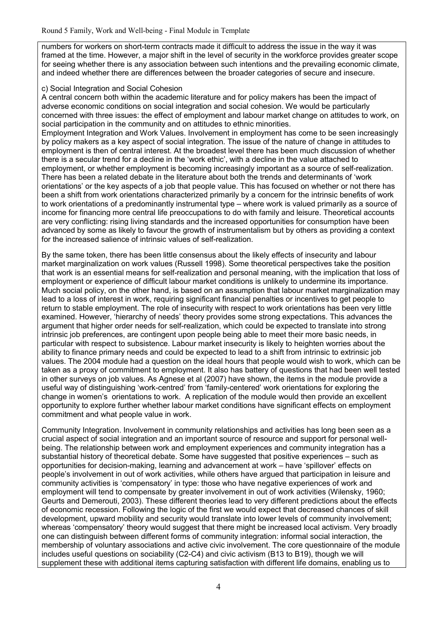numbers for workers on short-term contracts made it difficult to address the issue in the way it was framed at the time. However, a major shift in the level of security in the workforce provides greater scope for seeing whether there is any association between such intentions and the prevailing economic climate, and indeed whether there are differences between the broader categories of secure and insecure.

#### c) Social Integration and Social Cohesion

A central concern both within the academic literature and for policy makers has been the impact of adverse economic conditions on social integration and social cohesion. We would be particularly concerned with three issues: the effect of employment and labour market change on attitudes to work, on social participation in the community and on attitudes to ethnic minorities.

Employment Integration and Work Values. Involvement in employment has come to be seen increasingly by policy makers as a key aspect of social integration. The issue of the nature of change in attitudes to employment is then of central interest. At the broadest level there has been much discussion of whether there is a secular trend for a decline in the 'work ethic', with a decline in the value attached to employment, or whether employment is becoming increasingly important as a source of self-realization. There has been a related debate in the literature about both the trends and determinants of 'work orientations' or the key aspects of a job that people value. This has focused on whether or not there has been a shift from work orientations characterized primarily by a concern for the intrinsic benefits of work to work orientations of a predominantly instrumental type – where work is valued primarily as a source of income for financing more central life preoccupations to do with family and leisure. Theoretical accounts are very conflicting: rising living standards and the increased opportunities for consumption have been advanced by some as likely to favour the growth of instrumentalism but by others as providing a context for the increased salience of intrinsic values of self-realization.

By the same token, there has been little consensus about the likely effects of insecurity and labour market marginalization on work values (Russell 1998). Some theoretical perspectives take the position that work is an essential means for self-realization and personal meaning, with the implication that loss of employment or experience of difficult labour market conditions is unlikely to undermine its importance. Much social policy, on the other hand, is based on an assumption that labour market marginalization may lead to a loss of interest in work, requiring significant financial penalties or incentives to get people to return to stable employment. The role of insecurity with respect to work orientations has been very little examined. However, 'hierarchy of needs' theory provides some strong expectations. This advances the argument that higher order needs for self-realization, which could be expected to translate into strong intrinsic job preferences, are contingent upon people being able to meet their more basic needs, in particular with respect to subsistence. Labour market insecurity is likely to heighten worries about the ability to finance primary needs and could be expected to lead to a shift from intrinsic to extrinsic job values. The 2004 module had a question on the ideal hours that people would wish to work, which can be taken as a proxy of commitment to employment. It also has battery of questions that had been well tested in other surveys on job values. As Agnese et al (2007) have shown, the items in the module provide a useful way of distinguishing 'work-centred' from 'family-centered' work orientations for exploring the change in women's orientations to work. A replication of the module would then provide an excellent opportunity to explore further whether labour market conditions have significant effects on employment commitment and what people value in work.

Community Integration. Involvement in community relationships and activities has long been seen as a crucial aspect of social integration and an important source of resource and support for personal wellbeing. The relationship between work and employment experiences and community integration has a substantial history of theoretical debate. Some have suggested that positive experiences – such as opportunities for decision-making, learning and advancement at work – have 'spillover' effects on people's involvement in out of work activities, while others have argued that participation in leisure and community activities is 'compensatory' in type: those who have negative experiences of work and employment will tend to compensate by greater involvement in out of work activities (Wilensky, 1960; Geurts and Demerouti, 2003). These different theories lead to very different predictions about the effects of economic recession. Following the logic of the first we would expect that decreased chances of skill development, upward mobility and security would translate into lower levels of community involvement; whereas 'compensatory' theory would suggest that there might be increased local activism. Very broadly one can distinguish between different forms of community integration: informal social interaction, the membership of voluntary associations and active civic involvement. The core questionnaire of the module includes useful questions on sociability (C2-C4) and civic activism (B13 to B19), though we will supplement these with additional items capturing satisfaction with different life domains, enabling us to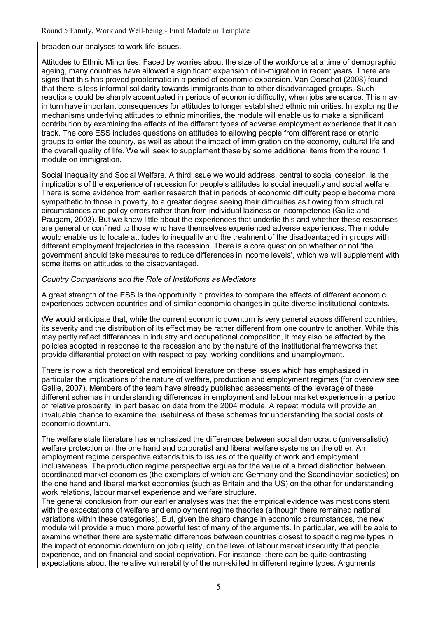broaden our analyses to work-life issues.

Attitudes to Ethnic Minorities. Faced by worries about the size of the workforce at a time of demographic ageing, many countries have allowed a significant expansion of in-migration in recent years. There are signs that this has proved problematic in a period of economic expansion. Van Oorschot (2008) found that there is less informal solidarity towards immigrants than to other disadvantaged groups. Such reactions could be sharply accentuated in periods of economic difficulty, when jobs are scarce. This may in turn have important consequences for attitudes to longer established ethnic minorities. In exploring the mechanisms underlying attitudes to ethnic minorities, the module will enable us to make a significant contribution by examining the effects of the different types of adverse employment experience that it can track. The core ESS includes questions on attitudes to allowing people from different race or ethnic groups to enter the country, as well as about the impact of immigration on the economy, cultural life and the overall quality of life. We will seek to supplement these by some additional items from the round 1 module on immigration.

Social Inequality and Social Welfare. A third issue we would address, central to social cohesion, is the implications of the experience of recession for people's attitudes to social inequality and social welfare. There is some evidence from earlier research that in periods of economic difficulty people become more sympathetic to those in poverty, to a greater degree seeing their difficulties as flowing from structural circumstances and policy errors rather than from individual laziness or incompetence (Gallie and Paugam, 2003). But we know little about the experiences that underlie this and whether these responses are general or confined to those who have themselves experienced adverse experiences. The module would enable us to locate attitudes to inequality and the treatment of the disadvantaged in groups with different employment trajectories in the recession. There is a core question on whether or not 'the government should take measures to reduce differences in income levels', which we will supplement with some items on attitudes to the disadvantaged.

#### *Country Comparisons and the Role of Institutions as Mediators*

A great strength of the ESS is the opportunity it provides to compare the effects of different economic experiences between countries and of similar economic changes in quite diverse institutional contexts.

We would anticipate that, while the current economic downturn is very general across different countries. its severity and the distribution of its effect may be rather different from one country to another. While this may partly reflect differences in industry and occupational composition, it may also be affected by the policies adopted in response to the recession and by the nature of the institutional frameworks that provide differential protection with respect to pay, working conditions and unemployment.

There is now a rich theoretical and empirical literature on these issues which has emphasized in particular the implications of the nature of welfare, production and employment regimes (for overview see Gallie, 2007). Members of the team have already published assessments of the leverage of these different schemas in understanding differences in employment and labour market experience in a period of relative prosperity, in part based on data from the 2004 module. A repeat module will provide an invaluable chance to examine the usefulness of these schemas for understanding the social costs of economic downturn.

The welfare state literature has emphasized the differences between social democratic (universalistic) welfare protection on the one hand and corporatist and liberal welfare systems on the other. An employment regime perspective extends this to issues of the quality of work and employment inclusiveness. The production regime perspective argues for the value of a broad distinction between coordinated market economies (the exemplars of which are Germany and the Scandinavian societies) on the one hand and liberal market economies (such as Britain and the US) on the other for understanding work relations, labour market experience and welfare structure.

The general conclusion from our earlier analyses was that the empirical evidence was most consistent with the expectations of welfare and employment regime theories (although there remained national variations within these categories). But, given the sharp change in economic circumstances, the new module will provide a much more powerful test of many of the arguments. In particular, we will be able to examine whether there are systematic differences between countries closest to specific regime types in the impact of economic downturn on job quality, on the level of labour market insecurity that people experience, and on financial and social deprivation. For instance, there can be quite contrasting expectations about the relative vulnerability of the non-skilled in different regime types. Arguments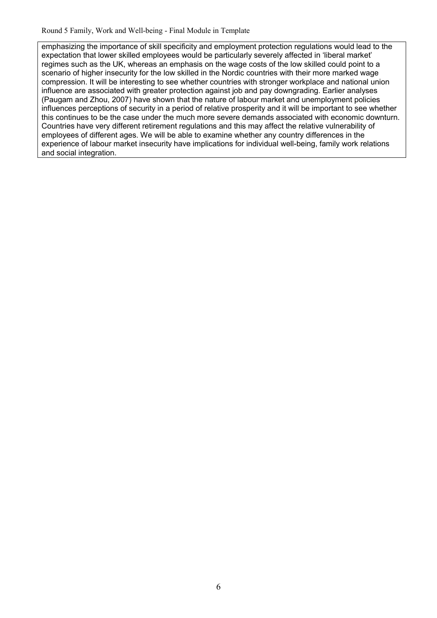emphasizing the importance of skill specificity and employment protection regulations would lead to the expectation that lower skilled employees would be particularly severely affected in 'liberal market' regimes such as the UK, whereas an emphasis on the wage costs of the low skilled could point to a scenario of higher insecurity for the low skilled in the Nordic countries with their more marked wage compression. It will be interesting to see whether countries with stronger workplace and national union influence are associated with greater protection against job and pay downgrading. Earlier analyses (Paugam and Zhou, 2007) have shown that the nature of labour market and unemployment policies influences perceptions of security in a period of relative prosperity and it will be important to see whether this continues to be the case under the much more severe demands associated with economic downturn. Countries have very different retirement regulations and this may affect the relative vulnerability of employees of different ages. We will be able to examine whether any country differences in the experience of labour market insecurity have implications for individual well-being, family work relations and social integration.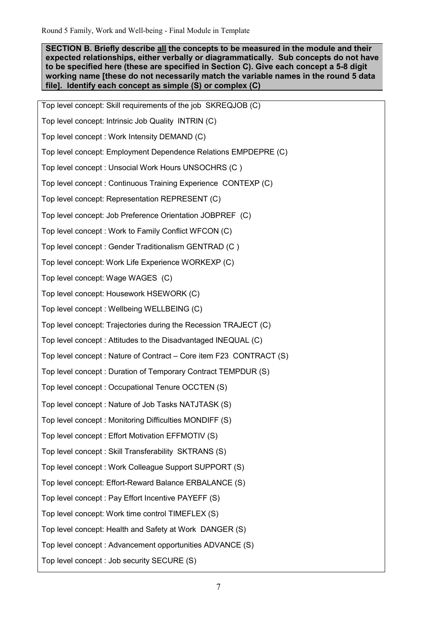**SECTION B. Briefly describe all the concepts to be measured in the module and their expected relationships, either verbally or diagrammatically. Sub concepts do not have to be specified here (these are specified in Section C). Give each concept a 5-8 digit working name [these do not necessarily match the variable names in the round 5 data file]. Identify each concept as simple (S) or complex (C)** 

Top level concept: Skill requirements of the job SKREQJOB (C) Top level concept: Intrinsic Job Quality INTRIN (C) Top level concept : Work Intensity DEMAND (C) Top level concept: Employment Dependence Relations EMPDEPRE (C) Top level concept : Unsocial Work Hours UNSOCHRS (C ) Top level concept : Continuous Training Experience CONTEXP (C) Top level concept: Representation REPRESENT (C) Top level concept: Job Preference Orientation JOBPREF (C) Top level concept : Work to Family Conflict WFCON (C) Top level concept : Gender Traditionalism GENTRAD (C ) Top level concept: Work Life Experience WORKEXP (C) Top level concept: Wage WAGES (C) Top level concept: Housework HSEWORK (C) Top level concept : Wellbeing WELLBEING (C) Top level concept: Trajectories during the Recession TRAJECT (C) Top level concept : Attitudes to the Disadvantaged INEQUAL (C) Top level concept : Nature of Contract – Core item F23 CONTRACT (S) Top level concept : Duration of Temporary Contract TEMPDUR (S) Top level concept : Occupational Tenure OCCTEN (S) Top level concept : Nature of Job Tasks NATJTASK (S) Top level concept : Monitoring Difficulties MONDIFF (S) Top level concept : Effort Motivation EFFMOTIV (S) Top level concept : Skill Transferability SKTRANS (S) Top level concept : Work Colleague Support SUPPORT (S) Top level concept: Effort-Reward Balance ERBALANCE (S) Top level concept : Pay Effort Incentive PAYEFF (S) Top level concept: Work time control TIMEFLEX (S) Top level concept: Health and Safety at Work DANGER (S) Top level concept : Advancement opportunities ADVANCE (S) Top level concept : Job security SECURE (S)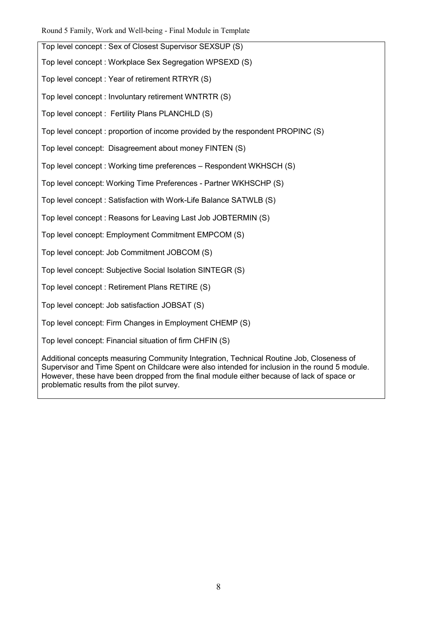Top level concept : Sex of Closest Supervisor SEXSUP (S)

Top level concept : Workplace Sex Segregation WPSEXD (S)

Top level concept : Year of retirement RTRYR (S)

Top level concept : Involuntary retirement WNTRTR (S)

Top level concept : Fertility Plans PLANCHLD (S)

Top level concept : proportion of income provided by the respondent PROPINC (S)

Top level concept: Disagreement about money FINTEN (S)

Top level concept : Working time preferences – Respondent WKHSCH (S)

Top level concept: Working Time Preferences - Partner WKHSCHP (S)

Top level concept : Satisfaction with Work-Life Balance SATWLB (S)

Top level concept : Reasons for Leaving Last Job JOBTERMIN (S)

Top level concept: Employment Commitment EMPCOM (S)

Top level concept: Job Commitment JOBCOM (S)

Top level concept: Subjective Social Isolation SINTEGR (S)

Top level concept : Retirement Plans RETIRE (S)

Top level concept: Job satisfaction JOBSAT (S)

Top level concept: Firm Changes in Employment CHEMP (S)

Top level concept: Financial situation of firm CHFIN (S)

Additional concepts measuring Community Integration, Technical Routine Job, Closeness of Supervisor and Time Spent on Childcare were also intended for inclusion in the round 5 module. However, these have been dropped from the final module either because of lack of space or problematic results from the pilot survey.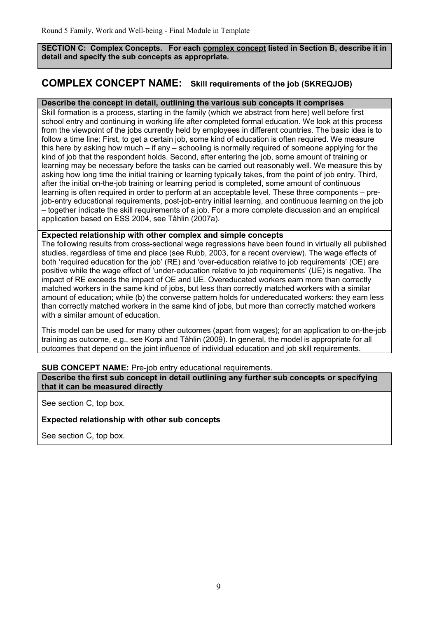**SECTION C: Complex Concepts. For each complex concept listed in Section B, describe it in detail and specify the sub concepts as appropriate.** 

# **COMPLEX CONCEPT NAME: Skill requirements of the job (SKREQJOB)**

## **Describe the concept in detail, outlining the various sub concepts it comprises**

Skill formation is a process, starting in the family (which we abstract from here) well before first school entry and continuing in working life after completed formal education. We look at this process from the viewpoint of the jobs currently held by employees in different countries. The basic idea is to follow a time line: First, to get a certain job, some kind of education is often required. We measure this here by asking how much – if any – schooling is normally required of someone applying for the kind of job that the respondent holds. Second, after entering the job, some amount of training or learning may be necessary before the tasks can be carried out reasonably well. We measure this by asking how long time the initial training or learning typically takes, from the point of job entry. Third, after the initial on-the-job training or learning period is completed, some amount of continuous learning is often required in order to perform at an acceptable level. These three components – prejob-entry educational requirements, post-job-entry initial learning, and continuous learning on the job – together indicate the skill requirements of a job. For a more complete discussion and an empirical application based on ESS 2004, see Tåhlin (2007a).

#### **Expected relationship with other complex and simple concepts**

The following results from cross-sectional wage regressions have been found in virtually all published studies, regardless of time and place (see Rubb, 2003, for a recent overview). The wage effects of both 'required education for the job' (RE) and 'over-education relative to job requirements' (OE) are positive while the wage effect of 'under-education relative to job requirements' (UE) is negative. The impact of RE exceeds the impact of OE and UE. Overeducated workers earn more than correctly matched workers in the same kind of jobs, but less than correctly matched workers with a similar amount of education; while (b) the converse pattern holds for undereducated workers: they earn less than correctly matched workers in the same kind of jobs, but more than correctly matched workers with a similar amount of education.

This model can be used for many other outcomes (apart from wages); for an application to on-the-job training as outcome, e.g., see Korpi and Tåhlin (2009). In general, the model is appropriate for all outcomes that depend on the joint influence of individual education and job skill requirements.

#### **SUB CONCEPT NAME:** Pre-job entry educational requirements.

**Describe the first sub concept in detail outlining any further sub concepts or specifying that it can be measured directly**

See section C, top box.

#### **Expected relationship with other sub concepts**

See section C, top box.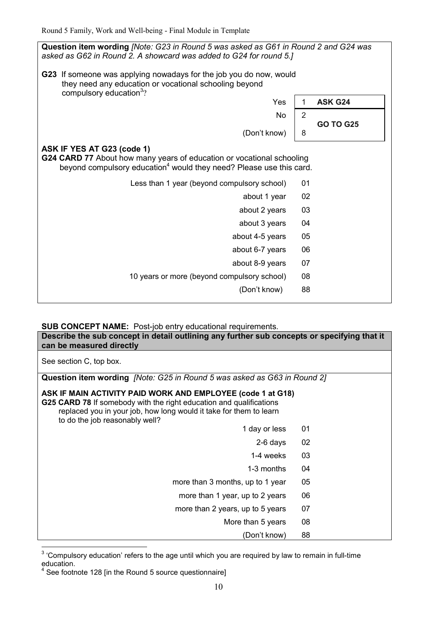**Question item wording** *[Note: G23 in Round 5 was asked as G61 in Round 2 and G24 was asked as G62 in Round 2. A showcard was added to G24 for round 5.]* **G23** If someone was applying nowadays for the job you do now, would they need any education or vocational schooling beyond compulsory education<sup>3</sup>? Yes 1 **ASK G24**  No  $\begin{array}{|c|c|c|c|c|}\n\hline\n2\n\end{array}$  **GO TO G25**  (Don't know)  $\begin{array}{|c|c|}$  8 **ASK IF YES AT G23 (code 1) G24 CARD 77** About how many years of education or vocational schooling beyond compulsory education<sup>4</sup> would they need? Please use this card. Less than 1 year (beyond compulsory school) 01 about 1 year 02 about 2 years 03 about 3 years 04 about 4-5 years 05 about 6-7 years 06 about 8-9 years 07 10 years or more (beyond compulsory school) 08 (Don't know) 88

## **SUB CONCEPT NAME:** Post-job entry educational requirements.

**Describe the sub concept in detail outlining any further sub concepts or specifying that it can be measured directly** See section C, top box.

**Question item wording** *[Note: G25 in Round 5 was asked as G63 in Round 2]*

## **ASK IF MAIN ACTIVITY PAID WORK AND EMPLOYEE (code 1 at G18)**

**G25 CARD 78** If somebody with the right education and qualifications replaced you in your job, how long would it take for them to learn to do the job reasonably well?

- 1 day or less 01
	- 2-6 days 02
	- 1-4 weeks 03
- 1-3 months 04
- more than 3 months, up to 1 year 05
- more than 1 year, up to 2 years 06
- more than 2 years, up to 5 years 07
	- More than 5 years 08
		- (Don't know) 88

 $\frac{1}{2}$  $3$  'Compulsory education' refers to the age until which you are required by law to remain in full-time education.

<sup>&</sup>lt;sup>4</sup> See footnote 128 [in the Round 5 source questionnaire]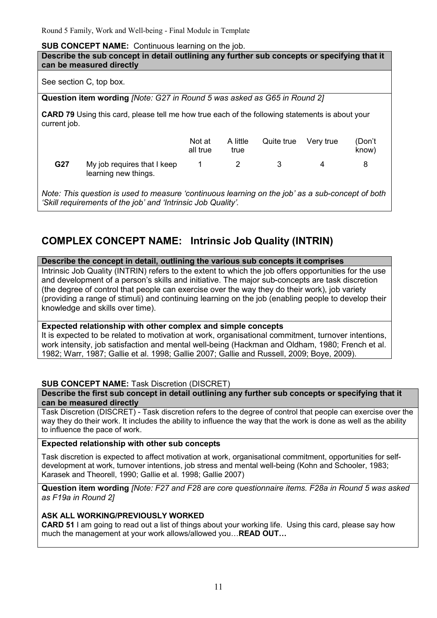#### **SUB CONCEPT NAME:** Continuous learning on the job.

| Describe the sub concept in detail outlining any further sub concepts or specifying that it<br>can be measured directly |                                                                                                                        |                    |                  |            |           |                 |  |  |
|-------------------------------------------------------------------------------------------------------------------------|------------------------------------------------------------------------------------------------------------------------|--------------------|------------------|------------|-----------|-----------------|--|--|
| See section C, top box.                                                                                                 |                                                                                                                        |                    |                  |            |           |                 |  |  |
|                                                                                                                         | Question item wording [Note: G27 in Round 5 was asked as G65 in Round 2]                                               |                    |                  |            |           |                 |  |  |
|                                                                                                                         | <b>CARD 79</b> Using this card, please tell me how true each of the following statements is about your<br>current job. |                    |                  |            |           |                 |  |  |
|                                                                                                                         |                                                                                                                        | Not at<br>all true | A little<br>true | Quite true | Very true | (Don't<br>know) |  |  |
| G27                                                                                                                     | My job requires that I keep<br>learning new things.                                                                    | 1                  | 2                | 3          | 4         | 8               |  |  |
| Note: This question is used to measure 'continuous learning on the job' as a sub-concent of both                        |                                                                                                                        |                    |                  |            |           |                 |  |  |

*Note: This question is used to measure 'continuous learning on the job' as a sub-concept of both 'Skill requirements of the job' and 'Intrinsic Job Quality'.* 

# **COMPLEX CONCEPT NAME: Intrinsic Job Quality (INTRIN)**

#### **Describe the concept in detail, outlining the various sub concepts it comprises**

Intrinsic Job Quality (INTRIN) refers to the extent to which the job offers opportunities for the use and development of a person's skills and initiative. The major sub-concepts are task discretion (the degree of control that people can exercise over the way they do their work), job variety (providing a range of stimuli) and continuing learning on the job (enabling people to develop their knowledge and skills over time).

## **Expected relationship with other complex and simple concepts**

It is expected to be related to motivation at work, organisational commitment, turnover intentions, work intensity, job satisfaction and mental well-being (Hackman and Oldham, 1980; French et al. 1982; Warr, 1987; Gallie et al. 1998; Gallie 2007; Gallie and Russell, 2009; Boye, 2009).

## **SUB CONCEPT NAME:** Task Discretion (DISCRET)

## **Describe the first sub concept in detail outlining any further sub concepts or specifying that it can be measured directly**

Task Discretion (DISCRET) - Task discretion refers to the degree of control that people can exercise over the way they do their work. It includes the ability to influence the way that the work is done as well as the ability to influence the pace of work.

## **Expected relationship with other sub concepts**

Task discretion is expected to affect motivation at work, organisational commitment, opportunities for selfdevelopment at work, turnover intentions, job stress and mental well-being (Kohn and Schooler, 1983; Karasek and Theorell, 1990; Gallie et al. 1998; Gallie 2007)

**Question item wording** *[Note: F27 and F28 are core questionnaire items. F28a in Round 5 was asked as F19a in Round 2]*

## **ASK ALL WORKING/PREVIOUSLY WORKED**

**CARD 51** I am going to read out a list of things about your working life. Using this card, please say how much the management at your work allows/allowed you... **READ OUT...**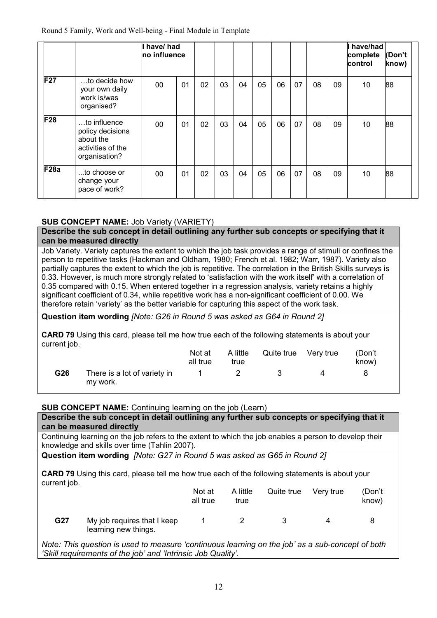|             |                                                                                     | I have/ had<br>no influence |    |    |    |    |    |    |    |    |    | have/had<br>complete<br>control | (Don't<br>know) |
|-------------|-------------------------------------------------------------------------------------|-----------------------------|----|----|----|----|----|----|----|----|----|---------------------------------|-----------------|
| <b>F27</b>  | to decide how<br>your own daily<br>work is/was<br>organised?                        | 00                          | 01 | 02 | 03 | 04 | 05 | 06 | 07 | 08 | 09 | 10                              | 88              |
| <b>F28</b>  | to influence<br>policy decisions<br>about the<br>activities of the<br>organisation? | 00                          | 01 | 02 | 03 | 04 | 05 | 06 | 07 | 08 | 09 | 10                              | 88              |
| <b>F28a</b> | to choose or<br>change your<br>pace of work?                                        | 00                          | 01 | 02 | 03 | 04 | 05 | 06 | 07 | 08 | 09 | 10                              | 88              |

# **SUB CONCEPT NAME:** Job Variety (VARIETY)

**Describe the sub concept in detail outlining any further sub concepts or specifying that it can be measured directly**

Job Variety. Variety captures the extent to which the job task provides a range of stimuli or confines the person to repetitive tasks (Hackman and Oldham, 1980; French et al. 1982; Warr, 1987). Variety also partially captures the extent to which the job is repetitive. The correlation in the British Skills surveys is 0.33. However, is much more strongly related to 'satisfaction with the work itself' with a correlation of 0.35 compared with 0.15. When entered together in a regression analysis, variety retains a highly significant coefficient of 0.34, while repetitive work has a non-significant coefficient of 0.00. We therefore retain 'variety' as the better variable for capturing this aspect of the work task.

**Question item wording** *[Note: G26 in Round 5 was asked as G64 in Round 2]*

**CARD 79** Using this card, please tell me how true each of the following statements is about your current job.

|     |                                          | Not at<br>all true | A little<br>true | Quite true Very true | (Don't<br>know) |
|-----|------------------------------------------|--------------------|------------------|----------------------|-----------------|
| G26 | There is a lot of variety in<br>my work. |                    |                  |                      |                 |

## **SUB CONCEPT NAME:** Continuing learning on the job (Learn)

**Describe the sub concept in detail outlining any further sub concepts or specifying that it can be measured directly**

Continuing learning on the job refers to the extent to which the job enables a person to develop their knowledge and skills over time (Tahlin 2007).

**Question item wording** *[Note: G27 in Round 5 was asked as G65 in Round 2]*

**CARD 79** Using this card, please tell me how true each of the following statements is about your current job.

|     |                                                     | Not at<br>all true | A little<br>true | Quite true | Verv true | (Don't<br>know) |
|-----|-----------------------------------------------------|--------------------|------------------|------------|-----------|-----------------|
| G27 | My job requires that I keep<br>learning new things. |                    |                  |            |           |                 |

*Note: This question is used to measure 'continuous learning on the job' as a sub-concept of both 'Skill requirements of the job' and 'Intrinsic Job Quality'.*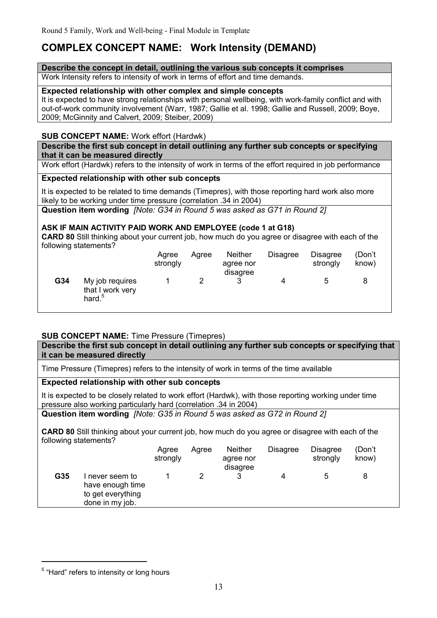# **COMPLEX CONCEPT NAME: Work Intensity (DEMAND)**

#### **Describe the concept in detail, outlining the various sub concepts it comprises**

Work Intensity refers to intensity of work in terms of effort and time demands.

#### **Expected relationship with other complex and simple concepts**

It is expected to have strong relationships with personal wellbeing, with work-family conflict and with out-of-work community involvement (Warr, 1987; Gallie et al. 1998; Gallie and Russell, 2009; Boye, 2009; McGinnity and Calvert, 2009; Steiber, 2009)

## **SUB CONCEPT NAME:** Work effort (Hardwk)

#### **Describe the first sub concept in detail outlining any further sub concepts or specifying that it can be measured directly**

Work effort (Hardwk) refers to the intensity of work in terms of the effort required in job performance

## **Expected relationship with other sub concepts**

It is expected to be related to time demands (Timepres), with those reporting hard work also more likely to be working under time pressure (correlation .34 in 2004)

**Question item wording** *[Note: G34 in Round 5 was asked as G71 in Round 2]*

## **ASK IF MAIN ACTIVITY PAID WORK AND EMPLOYEE (code 1 at G18)**

**CARD 80** Still thinking about your current job, how much do you agree or disagree with each of the following statements?

|     |                                                           | Agree<br>strongly | Aaree | <b>Neither</b><br>agree nor<br>disagree | <b>Disagree</b> | <b>Disagree</b><br>strongly | (Don't<br>know) |
|-----|-----------------------------------------------------------|-------------------|-------|-----------------------------------------|-----------------|-----------------------------|-----------------|
| G34 | My job requires<br>that I work very<br>hard. <sup>5</sup> |                   |       | າ                                       |                 |                             |                 |

## **SUB CONCEPT NAME:** Time Pressure (Timepres)

**Describe the first sub concept in detail outlining any further sub concepts or specifying that it can be measured directly**

Time Pressure (Timepres) refers to the intensity of work in terms of the time available

# **Expected relationship with other sub concepts**

It is expected to be closely related to work effort (Hardwk), with those reporting working under time pressure also working particularly hard (correlation .34 in 2004)

**Question item wording** *[Note: G35 in Round 5 was asked as G72 in Round 2]*

**CARD 80** Still thinking about your current job, how much do you agree or disagree with each of the following statements?

|     |                                                                           | Agree<br>strongly | Agree | <b>Neither</b><br>agree nor<br>disagree | <b>Disagree</b> | <b>Disagree</b><br>strongly | (Don't<br>know) |  |
|-----|---------------------------------------------------------------------------|-------------------|-------|-----------------------------------------|-----------------|-----------------------------|-----------------|--|
| G35 | never seem to<br>have enough time<br>to get everything<br>done in my job. |                   |       |                                         |                 | b                           | 8               |  |

<u>.</u>

<sup>&</sup>lt;sup>5</sup> "Hard" refers to intensity or long hours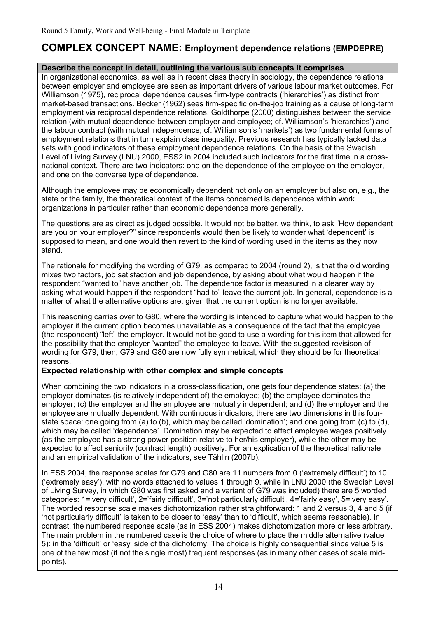# **COMPLEX CONCEPT NAME: Employment dependence relations (EMPDEPRE)**

## **Describe the concept in detail, outlining the various sub concepts it comprises**

In organizational economics, as well as in recent class theory in sociology, the dependence relations between employer and employee are seen as important drivers of various labour market outcomes. For Williamson (1975), reciprocal dependence causes firm-type contracts ('hierarchies') as distinct from market-based transactions. Becker (1962) sees firm-specific on-the-job training as a cause of long-term employment via reciprocal dependence relations. Goldthorpe (2000) distinguishes between the service relation (with mutual dependence between employer and employee; cf. Williamson's 'hierarchies') and the labour contract (with mutual independence; cf. Williamson's 'markets') as two fundamental forms of employment relations that in turn explain class inequality. Previous research has typically lacked data sets with good indicators of these employment dependence relations. On the basis of the Swedish Level of Living Survey (LNU) 2000, ESS2 in 2004 included such indicators for the first time in a crossnational context. There are two indicators: one on the dependence of the employee on the employer, and one on the converse type of dependence.

Although the employee may be economically dependent not only on an employer but also on, e.g., the state or the family, the theoretical context of the items concerned is dependence within work organizations in particular rather than economic dependence more generally.

The questions are as direct as judged possible. It would not be better, we think, to ask "How dependent are you on your employer?" since respondents would then be likely to wonder what 'dependent' is supposed to mean, and one would then revert to the kind of wording used in the items as they now stand.

The rationale for modifying the wording of G79, as compared to 2004 (round 2), is that the old wording mixes two factors, job satisfaction and job dependence, by asking about what would happen if the respondent "wanted to" have another job. The dependence factor is measured in a clearer way by asking what would happen if the respondent "had to" leave the current job. In general, dependence is a matter of what the alternative options are, given that the current option is no longer available.

This reasoning carries over to G80, where the wording is intended to capture what would happen to the employer if the current option becomes unavailable as a consequence of the fact that the employee (the respondent) "left" the employer. It would not be good to use a wording for this item that allowed for the possibility that the employer "wanted" the employee to leave. With the suggested revisison of wording for G79, then, G79 and G80 are now fully symmetrical, which they should be for theoretical reasons.

## **Expected relationship with other complex and simple concepts**

When combining the two indicators in a cross-classification, one gets four dependence states: (a) the employer dominates (is relatively independent of) the employee; (b) the employee dominates the employer; (c) the employer and the employee are mutually independent; and (d) the employer and the employee are mutually dependent. With continuous indicators, there are two dimensions in this fourstate space: one going from (a) to (b), which may be called 'domination'; and one going from (c) to (d), which may be called 'dependence'. Domination may be expected to affect employee wages positively (as the employee has a strong power position relative to her/his employer), while the other may be expected to affect seniority (contract length) positively. For an explication of the theoretical rationale and an empirical validation of the indicators, see Tåhlin (2007b).

In ESS 2004, the response scales for G79 and G80 are 11 numbers from 0 ('extremely difficult') to 10 ('extremely easy'), with no words attached to values 1 through 9, while in LNU 2000 (the Swedish Level of Living Survey, in which G80 was first asked and a variant of G79 was included) there are 5 worded categories: 1='very difficult', 2='fairly difficult', 3='not particularly difficult', 4='fairly easy', 5='very easy'. The worded response scale makes dichotomization rather straightforward: 1 and 2 versus 3, 4 and 5 (if 'not particularly difficult' is taken to be closer to 'easy' than to 'difficult', which seems reasonable). In contrast, the numbered response scale (as in ESS 2004) makes dichotomization more or less arbitrary. The main problem in the numbered case is the choice of where to place the middle alternative (value 5): in the 'difficult' or 'easy' side of the dichotomy. The choice is highly consequential since value 5 is one of the few most (if not the single most) frequent responses (as in many other cases of scale midpoints).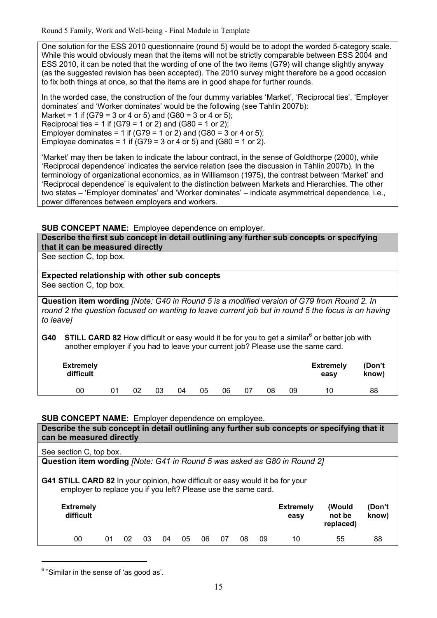One solution for the ESS 2010 questionnaire (round 5) would be to adopt the worded 5-category scale. While this would obviously mean that the items will not be strictly comparable between ESS 2004 and ESS 2010, it can be noted that the wording of one of the two items (G79) will change slightly anyway (as the suggested revision has been accepted). The 2010 survey might therefore be a good occasion to fix both things at once, so that the items are in good shape for further rounds.

In the worded case, the construction of the four dummy variables 'Market', 'Reciprocal ties', 'Employer dominates' and 'Worker dominates' would be the following (see Tahlin 2007b): Market = 1 if  $(G79 = 3 \text{ or } 4 \text{ or } 5)$  and  $(G80 = 3 \text{ or } 4 \text{ or } 5)$ ; Reciprocal ties = 1 if (G79 = 1 or 2) and (G80 = 1 or 2); Employer dominates = 1 if (G79 = 1 or 2) and (G80 = 3 or 4 or 5): Employee dominates = 1 if  $(G79 = 3 \text{ or } 4 \text{ or } 5)$  and  $(G80 = 1 \text{ or } 2)$ .

'Market' may then be taken to indicate the labour contract, in the sense of Goldthorpe (2000), while 'Reciprocal dependence' indicates the service relation (see the discussion in Tåhlin 2007b). In the terminology of organizational economics, as in Williamson (1975), the contrast between 'Market' and 'Reciprocal dependence' is equivalent to the distinction between Markets and Hierarchies. The other two states – 'Employer dominates' and 'Worker dominates' – indicate asymmetrical dependence, i.e., power differences between employers and workers.

#### **SUB CONCEPT NAME:** Employee dependence on employer.

**Describe the first sub concept in detail outlining any further sub concepts or specifying that it can be measured directly**

See section C, top box.

#### **Expected relationship with other sub concepts** See section C, top box.

**Question item wording** *[Note: G40 in Round 5 is a modified version of G79 from Round 2. In round 2 the question focused on wanting to leave current job but in round 5 the focus is on having to leave]*

G40 STILL CARD 82 How difficult or easy would it be for you to get a similar<sup>6</sup> or better job with another employer if you had to leave your current job? Please use the same card.

| <b>Extremely</b><br>difficult |    |    |    |    |    |    |    |    | <b>Extremely</b><br>easv | (Don't<br>know) |
|-------------------------------|----|----|----|----|----|----|----|----|--------------------------|-----------------|
| 00                            | 02 | 03 | 04 | 05 | 06 | 07 | 08 | 09 | 10                       | 88              |

#### **SUB CONCEPT NAME:** Employer dependence on employee.

| Describe the sub concept in detail outlining any further sub concepts or specifying that it<br>can be measured directly                                |    |    |    |    |    |    |    |    |    |                          |                               |                 |
|--------------------------------------------------------------------------------------------------------------------------------------------------------|----|----|----|----|----|----|----|----|----|--------------------------|-------------------------------|-----------------|
| See section C, top box.                                                                                                                                |    |    |    |    |    |    |    |    |    |                          |                               |                 |
| Question item wording [Note: G41 in Round 5 was asked as G80 in Round 2]                                                                               |    |    |    |    |    |    |    |    |    |                          |                               |                 |
| <b>G41 STILL CARD 82</b> In your opinion, how difficult or easy would it be for your<br>employer to replace you if you left? Please use the same card. |    |    |    |    |    |    |    |    |    |                          |                               |                 |
| <b>Extremely</b><br>difficult                                                                                                                          |    |    |    |    |    |    |    |    |    | <b>Extremely</b><br>easy | (Would<br>not be<br>replaced) | (Don't<br>know) |
| 00                                                                                                                                                     | 01 | 02 | 03 | 04 | 05 | 06 | 07 | 08 | 09 | 10                       | 55                            | 88              |

<sup>&</sup>lt;sup>6</sup> "Similar in the sense of 'as good as'.

<u>.</u>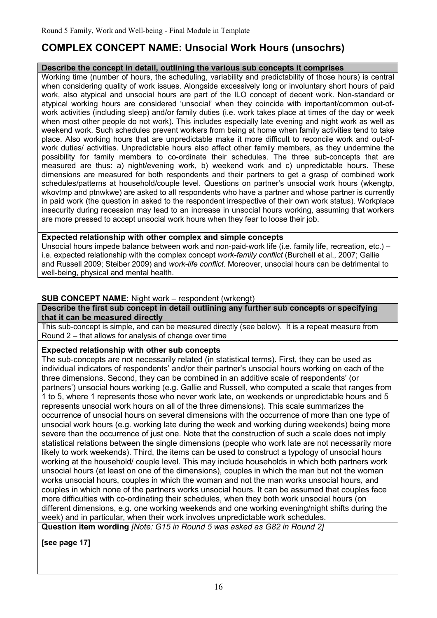# **COMPLEX CONCEPT NAME: Unsocial Work Hours (unsochrs)**

# **Describe the concept in detail, outlining the various sub concepts it comprises**

Working time (number of hours, the scheduling, variability and predictability of those hours) is central when considering quality of work issues. Alongside excessively long or involuntary short hours of paid work, also atypical and unsocial hours are part of the ILO concept of decent work. Non-standard or atypical working hours are considered 'unsocial' when they coincide with important/common out-ofwork activities (including sleep) and/or family duties (i.e. work takes place at times of the day or week when most other people do not work). This includes especially late evening and night work as well as weekend work. Such schedules prevent workers from being at home when family activities tend to take place. Also working hours that are unpredictable make it more difficult to reconcile work and out-ofwork duties/ activities. Unpredictable hours also affect other family members, as they undermine the possibility for family members to co-ordinate their schedules. The three sub-concepts that are measured are thus: a) night/evening work, b) weekend work and c) unpredictable hours. These dimensions are measured for both respondents and their partners to get a grasp of combined work schedules/patterns at household/couple level. Questions on partner's unsocial work hours (wkengtp, wkovtmp and ptnwkwe) are asked to all respondents who have a partner and whose partner is currently in paid work (the question in asked to the respondent irrespective of their own work status). Workplace insecurity during recession may lead to an increase in unsocial hours working, assuming that workers are more pressed to accept unsocial work hours when they fear to loose their job.

## **Expected relationship with other complex and simple concepts**

Unsocial hours impede balance between work and non-paid-work life (i.e. family life, recreation, etc.) – i.e. expected relationship with the complex concept *work-family conflict* (Burchell et al., 2007; Gallie and Russell 2009; Steiber 2009) and *work-life conflict*. Moreover, unsocial hours can be detrimental to well-being, physical and mental health.

## **SUB CONCEPT NAME:** Night work – respondent (wrkengt)

**Describe the first sub concept in detail outlining any further sub concepts or specifying that it can be measured directly**

This sub-concept is simple, and can be measured directly (see below). It is a repeat measure from Round 2 – that allows for analysis of change over time

## **Expected relationship with other sub concepts**

The sub-concepts are not necessarily related (in statistical terms). First, they can be used as individual indicators of respondents' and/or their partner's unsocial hours working on each of the three dimensions. Second, they can be combined in an additive scale of respondents' (or partners') unsocial hours working (e.g. Gallie and Russell, who computed a scale that ranges from 1 to 5, where 1 represents those who never work late, on weekends or unpredictable hours and 5 represents unsocial work hours on all of the three dimensions). This scale summarizes the occurrence of unsocial hours on several dimensions with the occurrence of more than one type of unsocial work hours (e.g. working late during the week and working during weekends) being more severe than the occurrence of just one. Note that the construction of such a scale does not imply statistical relations between the single dimensions (people who work late are not necessarily more likely to work weekends). Third, the items can be used to construct a typology of unsocial hours working at the household/ couple level. This may include households in which both partners work unsocial hours (at least on one of the dimensions), couples in which the man but not the woman works unsocial hours, couples in which the woman and not the man works unsocial hours, and couples in which none of the partners works unsocial hours. It can be assumed that couples face more difficulties with co-ordinating their schedules, when they both work unsocial hours (on different dimensions, e.g. one working weekends and one working evening/night shifts during the week) and in particular, when their work involves unpredictable work schedules.

**Question item wording** *[Note: G15 in Round 5 was asked as G82 in Round 2]*

**[see page 17]**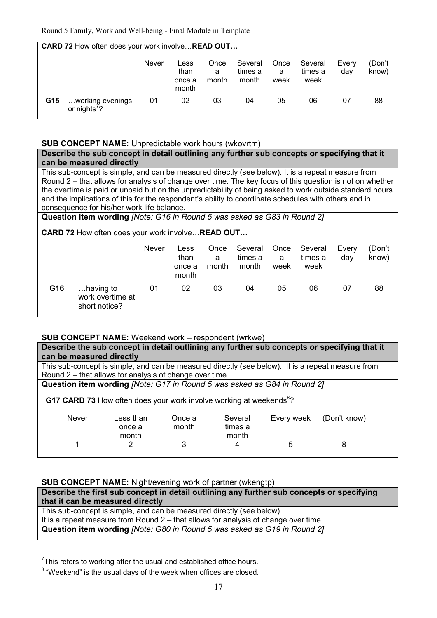**CARD 72** How often does your work involve... **READ OUT...** 

|     |                                              | Never | Less<br>than<br>once a<br>month | Once<br>a<br>month | Several<br>times a<br>month | Once<br>a<br>week | Several<br>times a<br>week | Every<br>dav | (Don't<br>know) |
|-----|----------------------------------------------|-------|---------------------------------|--------------------|-----------------------------|-------------------|----------------------------|--------------|-----------------|
| G15 | working evenings<br>or nights <sup>'</sup> ? | 01    | 02                              | 03                 | 04                          | 05                | 06                         | 07           | 88              |

#### **SUB CONCEPT NAME:** Unpredictable work hours (wkovrtm)

**Describe the sub concept in detail outlining any further sub concepts or specifying that it can be measured directly**

This sub-concept is simple, and can be measured directly (see below). It is a repeat measure from Round 2 – that allows for analysis of change over time. The key focus of this question is not on whether the overtime is paid or unpaid but on the unpredictability of being asked to work outside standard hours and the implications of this for the respondent's ability to coordinate schedules with others and in consequence for his/her work life balance.

**Question item wording** *[Note: G16 in Round 5 was asked as G83 in Round 2]*

**CARD 72 How often does your work involve... READ OUT...** 

|     |                                                | <b>Never</b> | Less<br>than<br>once a<br>month | Once<br>a<br>month | Several<br>times a<br>month | Once<br>a<br>week | Several<br>times a<br>week | Every<br>dav | (Don't<br>know) |
|-----|------------------------------------------------|--------------|---------------------------------|--------------------|-----------------------------|-------------------|----------------------------|--------------|-----------------|
| G16 | having to<br>work overtime at<br>short notice? | 01           | 02                              | 03                 | 04                          | 05                | 06                         | 07           | 88              |

## **SUB CONCEPT NAME:** Weekend work – respondent (wrkwe)

| Describe the sub concept in detail outlining any further sub concepts or specifying that it       |                                                                                 |                 |                             |            |              |  |  |  |
|---------------------------------------------------------------------------------------------------|---------------------------------------------------------------------------------|-----------------|-----------------------------|------------|--------------|--|--|--|
| can be measured directly                                                                          |                                                                                 |                 |                             |            |              |  |  |  |
| This sub-concept is simple, and can be measured directly (see below). It is a repeat measure from |                                                                                 |                 |                             |            |              |  |  |  |
|                                                                                                   | Round 2 – that allows for analysis of change over time                          |                 |                             |            |              |  |  |  |
| Question item wording [Note: G17 in Round 5 was asked as G84 in Round 2]                          |                                                                                 |                 |                             |            |              |  |  |  |
|                                                                                                   | G17 CARD 73 How often does your work involve working at weekends <sup>8</sup> ? |                 |                             |            |              |  |  |  |
| <b>Never</b>                                                                                      | Less than<br>once a<br>month                                                    | Once a<br>month | Several<br>times a<br>month | Every week | (Don't know) |  |  |  |
|                                                                                                   | 2                                                                               | 3               | 4                           | 5          | 8            |  |  |  |

#### **SUB CONCEPT NAME:** Night/evening work of partner (wkengtp)

| Describe the first sub concept in detail outlining any further sub concepts or specifying |
|-------------------------------------------------------------------------------------------|
| that it can be measured directly                                                          |
| This sub-concept is simple, and can be measured directly (see below)                      |
| It is a repeat measure from Round $2$ – that allows for analysis of change over time      |
| Question item wording [Note: G80 in Round 5 was asked as G19 in Round 2]                  |

 $7$ This refers to working after the usual and established office hours.

-

 $8$  "Weekend" is the usual days of the week when offices are closed.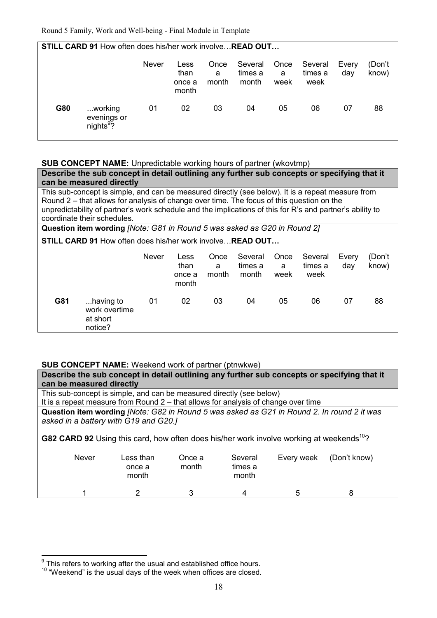**STILL CARD 91** How often does his/her work involve... **READ OUT...**  Never Less than once a month **Once** a month Several times a month **Once** a week Several times a week Every day (Don't know) **G80** ...working evenings or nights<sup>9</sup>? 01 02 03 04 05 06 07 88

**SUB CONCEPT NAME:** Unpredictable working hours of partner (wkovtmp)

**Describe the sub concept in detail outlining any further sub concepts or specifying that it can be measured directly** This sub-concept is simple, and can be measured directly (see below). It is a repeat measure from Round 2 – that allows for analysis of change over time. The focus of this question on the unpredictability of partner's work schedule and the implications of this for R's and partner's ability to coordinate their schedules. **Question item wording** *[Note: G81 in Round 5 was asked as G20 in Round 2]* **STILL CARD 91 How often does his/her work involve... READ OUT...** Never Less than once a month Once a month Several times a month **Once** a week Several times a week Every day (Don't know)

| G81 | having to<br>work overtime<br>at short | 01 | 02 | 03 | 04 | 05 | 06 | 88 |
|-----|----------------------------------------|----|----|----|----|----|----|----|
|     | notice?                                |    |    |    |    |    |    |    |

## **SUB CONCEPT NAME:** Weekend work of partner (ptnwkwe)

| Describe the sub concept in detail outlining any further sub concepts or specifying that it<br>can be measured directly                                                                                                                     |                              |                 |                             |            |              |  |  |  |  |
|---------------------------------------------------------------------------------------------------------------------------------------------------------------------------------------------------------------------------------------------|------------------------------|-----------------|-----------------------------|------------|--------------|--|--|--|--|
| This sub-concept is simple, and can be measured directly (see below)<br>It is a repeat measure from Round $2 -$ that allows for analysis of change over time                                                                                |                              |                 |                             |            |              |  |  |  |  |
|                                                                                                                                                                                                                                             |                              |                 |                             |            |              |  |  |  |  |
| Question item wording [Note: G82 in Round 5 was asked as G21 in Round 2. In round 2 it was<br>asked in a battery with G19 and G20.]<br>G82 CARD 92 Using this card, how often does his/her work involve working at weekends <sup>10</sup> ? |                              |                 |                             |            |              |  |  |  |  |
| <b>Never</b>                                                                                                                                                                                                                                | Less than<br>once a<br>month | Once a<br>month | Several<br>times a<br>month | Every week | (Don't know) |  |  |  |  |
|                                                                                                                                                                                                                                             |                              |                 |                             | 5          |              |  |  |  |  |

 9 This refers to working after the usual and established office hours.

<sup>&</sup>lt;sup>10</sup> "Weekend" is the usual days of the week when offices are closed.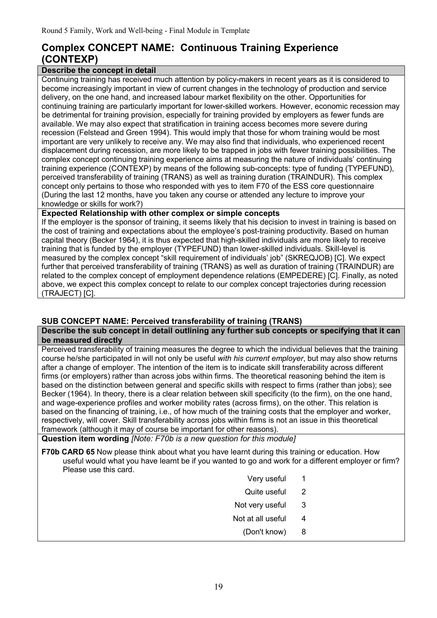# **Complex CONCEPT NAME: Continuous Training Experience (CONTEXP)**

# **Describe the concept in detail**

Continuing training has received much attention by policy-makers in recent years as it is considered to become increasingly important in view of current changes in the technology of production and service delivery, on the one hand, and increased labour market flexibility on the other. Opportunities for continuing training are particularly important for lower-skilled workers. However, economic recession may be detrimental for training provision, especially for training provided by employers as fewer funds are available. We may also expect that stratification in training access becomes more severe during recession (Felstead and Green 1994). This would imply that those for whom training would be most important are very unlikely to receive any. We may also find that individuals, who experienced recent displacement during recession, are more likely to be trapped in jobs with fewer training possibilities. The complex concept continuing training experience aims at measuring the nature of individuals' continuing training experience (CONTEXP) by means of the following sub-concepts: type of funding (TYPEFUND), perceived transferability of training (TRANS) as well as training duration (TRAINDUR). This complex concept only pertains to those who responded with yes to item F70 of the ESS core questionnaire (During the last 12 months, have you taken any course or attended any lecture to improve your knowledge or skills for work?)

## **Expected Relationship with other complex or simple concepts**

If the employer is the sponsor of training, it seems likely that his decision to invest in training is based on the cost of training and expectations about the employee's post-training productivity. Based on human capital theory (Becker 1964), it is thus expected that high-skilled individuals are more likely to receive training that is funded by the employer (TYPEFUND) than lower-skilled individuals. Skill-level is measured by the complex concept "skill requirement of individuals' job" (SKREQJOB) [C]. We expect further that perceived transferability of training (TRANS) as well as duration of training (TRAINDUR) are related to the complex concept of employment dependence relations (EMPEDERE) [C]. Finally, as noted above, we expect this complex concept to relate to our complex concept trajectories during recession (TRAJECT) [C].

# **SUB CONCEPT NAME: Perceived transferability of training (TRANS)**

#### **Describe the sub concept in detail outlining any further sub concepts or specifying that it can be measured directly**

Perceived transferability of training measures the degree to which the individual believes that the training course he/she participated in will not only be useful *with his current employer*, but may also show returns after a change of employer. The intention of the item is to indicate skill transferability across different firms (or employers) rather than across jobs within firms. The theoretical reasoning behind the item is based on the distinction between general and specific skills with respect to firms (rather than jobs); see Becker (1964). In theory, there is a clear relation between skill specificity (to the firm), on the one hand, and wage-experience profiles and worker mobility rates (across firms), on the other. This relation is based on the financing of training, i.e., of how much of the training costs that the employer and worker, respectively, will cover. Skill transferability across jobs within firms is not an issue in this theoretical framework (although it may of course be important for other reasons).

**Question item wording** *[Note: F70b is a new question for this module]*

- **F70b CARD 65** Now please think about what you have learnt during this training or education. How useful would what you have learnt be if you wanted to go and work for a different employer or firm? Please use this card.
	- Very useful 1
	- Quite useful 2
	- Not very useful 3
	- Not at all useful 4
		- (Don't know) 8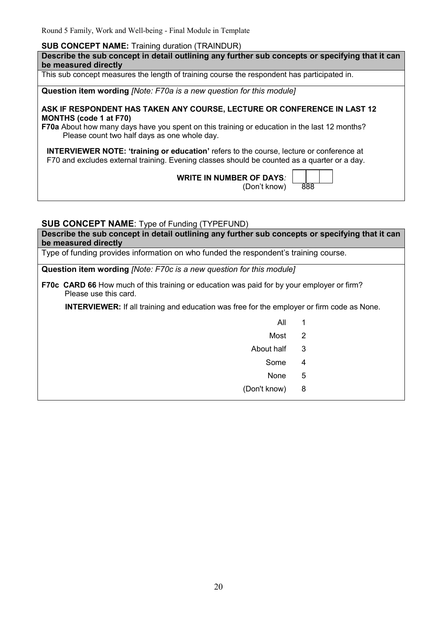#### **SUB CONCEPT NAME:** Training duration (TRAINDUR)

**Describe the sub concept in detail outlining any further sub concepts or specifying that it can be measured directly** This sub concept measures the length of training course the respondent has participated in. **Question item wording** *[Note: F70a is a new question for this module]* **ASK IF RESPONDENT HAS TAKEN ANY COURSE, LECTURE OR CONFERENCE IN LAST 12 MONTHS (code 1 at F70)** 

**F70a** About how many days have you spent on this training or education in the last 12 months? Please count two half days as one whole day.

**INTERVIEWER NOTE: 'training or education'** refers to the course, lecture or conference at F70 and excludes external training. Evening classes should be counted as a quarter or a day.

**WRITE IN NUMBER OF DAYS***:* 

(Don't know) 888

## **SUB CONCEPT NAME**: Type of Funding (TYPEFUND)

**Describe the sub concept in detail outlining any further sub concepts or specifying that it can be measured directly**

Type of funding provides information on who funded the respondent's training course.

**Question item wording** *[Note: F70c is a new question for this module]*

**F70c CARD 66** How much of this training or education was paid for by your employer or firm? Please use this card.

**INTERVIEWER:** If all training and education was free for the employer or firm code as None.

- All 1
- Most 2
	- About half 3
- Some 4 and 2008 and 2008 and 2008 and 2008 and 2008 and 2008 and 2008 and 2008 and 2008 and 2008 and 2008 and
- none that the state of the state of the None that the State of the State of the State of the State of the State of the State of the State of the State of the State of the State of the State of the State of the State of the
	- (Don't know) 8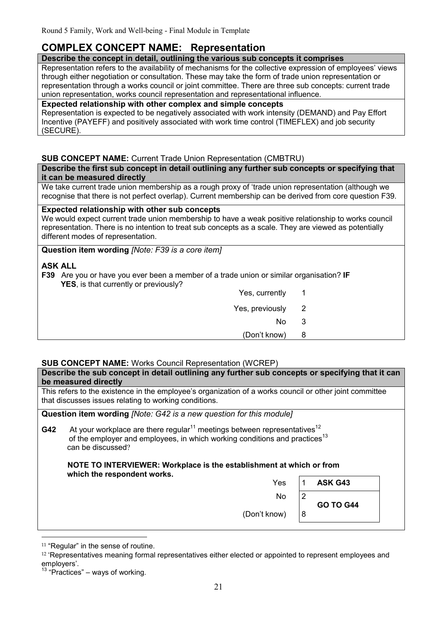# **COMPLEX CONCEPT NAME: Representation**

#### **Describe the concept in detail, outlining the various sub concepts it comprises**

Representation refers to the availability of mechanisms for the collective expression of employees' views through either negotiation or consultation. These may take the form of trade union representation or representation through a works council or joint committee. There are three sub concepts: current trade union representation, works council representation and representational influence.

## **Expected relationship with other complex and simple concepts**

Representation is expected to be negatively associated with work intensity (DEMAND) and Pay Effort Incentive (PAYEFF) and positively associated with work time control (TIMEFLEX) and job security (SECURE).

## **SUB CONCEPT NAME:** Current Trade Union Representation (CMBTRU)

**Describe the first sub concept in detail outlining any further sub concepts or specifying that it can be measured directly**

We take current trade union membership as a rough proxy of 'trade union representation (although we recognise that there is not perfect overlap). Current membership can be derived from core question F39.

#### **Expected relationship with other sub concepts**

We would expect current trade union membership to have a weak positive relationship to works council representation. There is no intention to treat sub concepts as a scale. They are viewed as potentially different modes of representation.

**Question item wording** *[Note: F39 is a core item]* 

## **ASK ALL**

**F39** Are you or have you ever been a member of a trade union or similar organisation? **IF YES**, is that currently or previously?

|                          | ___<br>-<br>Yes, currently |  |
|--------------------------|----------------------------|--|
| $\overline{\phantom{a}}$ | Yes, previously            |  |
| 3                        | No                         |  |
| 8                        | (Don't know)               |  |
|                          |                            |  |

# **SUB CONCEPT NAME:** Works Council Representation (WCREP)

|     | Describe the sub concept in detail outlining any further sub concepts or specifying that it can<br>be measured directly                                                                                                                                                                 |                |                  |  |  |  |  |  |
|-----|-----------------------------------------------------------------------------------------------------------------------------------------------------------------------------------------------------------------------------------------------------------------------------------------|----------------|------------------|--|--|--|--|--|
|     | This refers to the existence in the employee's organization of a works council or other joint committee<br>that discusses issues relating to working conditions.                                                                                                                        |                |                  |  |  |  |  |  |
|     | Question item wording <i>[Note: G42 is a new question for this module]</i>                                                                                                                                                                                                              |                |                  |  |  |  |  |  |
| G42 | At your workplace are there regular <sup>11</sup> meetings between representatives <sup>12</sup><br>of the employer and employees, in which working conditions and practices <sup>13</sup><br>can be discussed?<br>NOTE TO INTERVIEWER: Workplace is the establishment at which or from |                |                  |  |  |  |  |  |
|     | which the respondent works.<br>Yes                                                                                                                                                                                                                                                      | 1              | ASK G43          |  |  |  |  |  |
|     | No.                                                                                                                                                                                                                                                                                     | $\overline{2}$ | <b>GO TO G44</b> |  |  |  |  |  |
|     | (Don't know)                                                                                                                                                                                                                                                                            | 8              |                  |  |  |  |  |  |

<sup>&</sup>lt;u>.</u> <sup>11</sup> "Regular" in the sense of routine.

<sup>12</sup> 'Representatives meaning formal representatives either elected or appointed to represent employees and employers'.

 $13$  "Practices" – ways of working.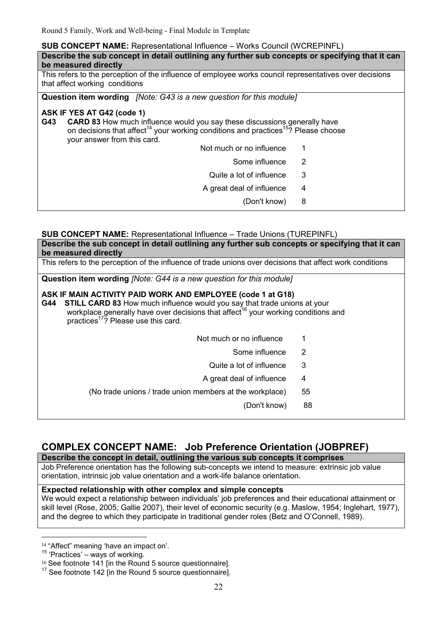#### **SUB CONCEPT NAME:** Representational Influence – Works Council (WCREPINFL)

| Describe the sub concept in detail outlining any further sub concepts or specifying that it can<br>be measured directly                                                                                                                                            |   |  |  |  |  |  |  |
|--------------------------------------------------------------------------------------------------------------------------------------------------------------------------------------------------------------------------------------------------------------------|---|--|--|--|--|--|--|
| This refers to the perception of the influence of employee works council representatives over decisions<br>that affect working conditions                                                                                                                          |   |  |  |  |  |  |  |
| <b>Question item wording</b> <i>[Note: G43 is a new question for this module]</i>                                                                                                                                                                                  |   |  |  |  |  |  |  |
| ASK IF YES AT G42 (code 1)<br><b>CARD 83</b> How much influence would you say these discussions generally have<br>G43<br>on decisions that affect <sup>14</sup> your working conditions and practices <sup>15</sup> ? Please choose<br>your answer from this card. |   |  |  |  |  |  |  |
| Not much or no influence                                                                                                                                                                                                                                           |   |  |  |  |  |  |  |
| Some influence                                                                                                                                                                                                                                                     | 2 |  |  |  |  |  |  |
| Quite a lot of influence                                                                                                                                                                                                                                           | 3 |  |  |  |  |  |  |
| A great deal of influence                                                                                                                                                                                                                                          | 4 |  |  |  |  |  |  |
| (Don't know)                                                                                                                                                                                                                                                       | 8 |  |  |  |  |  |  |

#### **SUB CONCEPT NAME:** Representational Influence – Trade Unions (TUREPINFL)

| Describe the sub concept in detail outlining any further sub concepts or specifying that it can<br>be measured directly |
|-------------------------------------------------------------------------------------------------------------------------|
| This refers to the perception of the influence of trade unions over decisions that affect work conditions               |
| Question item wording <i>[Note: G44 is a new question for this module]</i>                                              |

#### **ASK IF MAIN ACTIVITY PAID WORK AND EMPLOYEE (code 1 at G18)**

**G44 STILL CARD 83** How much influence would you say that trade unions at your workplace generally have over decisions that affect<sup>16</sup> your working conditions and practices<sup>17</sup>? Please use this card.

- Some influence 2
- Quite a lot of influence 3
- A great deal of influence 4
- (No trade unions / trade union members at the workplace) 55

(Don't know) 88

# **COMPLEX CONCEPT NAME: Job Preference Orientation (JOBPREF)**

**Describe the concept in detail, outlining the various sub concepts it comprises** Job Preference orientation has the following sub-concepts we intend to measure: extrinsic job value

orientation, intrinsic job value orientation and a work-life balance orientation.

## **Expected relationship with other complex and simple concepts**

We would expect a relationship between individuals' job preferences and their educational attainment or skill level (Rose, 2005; Gallie 2007), their level of economic security (e.g. Maslow, 1954; Inglehart, 1977), and the degree to which they participate in traditional gender roles (Betz and O'Connell, 1989).

<u>.</u>

<sup>14</sup> "Affect" meaning 'have an impact on'.

 $15$  'Practices' – ways of working.

<sup>16</sup> See footnote 141 [in the Round 5 source questionnaire].

<sup>&</sup>lt;sup>17</sup> See footnote 142 [in the Round 5 source questionnaire].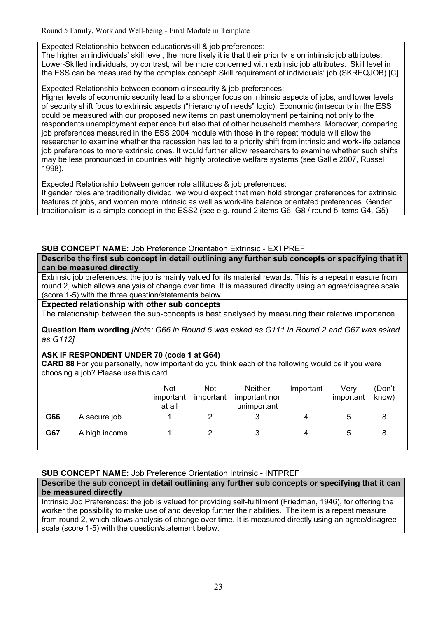## Expected Relationship between education/skill & job preferences:

The higher an individuals' skill level, the more likely it is that their priority is on intrinsic job attributes. Lower-Skilled individuals, by contrast, will be more concerned with extrinsic job attributes. Skill level in the ESS can be measured by the complex concept: Skill requirement of individuals' job (SKREQJOB) [C].

Expected Relationship between economic insecurity & job preferences:

Higher levels of economic security lead to a stronger focus on intrinsic aspects of jobs, and lower levels of security shift focus to extrinsic aspects ("hierarchy of needs" logic). Economic (in)security in the ESS could be measured with our proposed new items on past unemployment pertaining not only to the respondents unemployment experience but also that of other household members. Moreover, comparing job preferences measured in the ESS 2004 module with those in the repeat module will allow the researcher to examine whether the recession has led to a priority shift from intrinsic and work-life balance job preferences to more extrinsic ones. It would further allow researchers to examine whether such shifts may be less pronounced in countries with highly protective welfare systems (see Gallie 2007, Russel 1998).

Expected Relationship between gender role attitudes & job preferences:

If gender roles are traditionally divided, we would expect that men hold stronger preferences for extrinsic features of jobs, and women more intrinsic as well as work-life balance orientated preferences. Gender traditionalism is a simple concept in the ESS2 (see e.g. round 2 items G6, G8 / round 5 items G4, G5)

# **SUB CONCEPT NAME:** Job Preference Orientation Extrinsic - EXTPREF

**Describe the first sub concept in detail outlining any further sub concepts or specifying that it can be measured directly**

Extrinsic job preferences: the job is mainly valued for its material rewards. This is a repeat measure from round 2, which allows analysis of change over time. It is measured directly using an agree/disagree scale (score 1-5) with the three question/statements below.

## **Expected relationship with other sub concepts**

The relationship between the sub-concepts is best analysed by measuring their relative importance.

**Question item wording** *[Note: G66 in Round 5 was asked as G111 in Round 2 and G67 was asked as G112]*

## **ASK IF RESPONDENT UNDER 70 (code 1 at G64)**

**CARD 88** For you personally, how important do you think each of the following would be if you were choosing a job? Please use this card.

|     |               | <b>Not</b><br>important<br>at all | <b>Not</b><br>important | <b>Neither</b><br>important nor<br>unimportant | Important | Very<br>important | (Don't<br>know) |
|-----|---------------|-----------------------------------|-------------------------|------------------------------------------------|-----------|-------------------|-----------------|
| G66 | A secure job  |                                   |                         |                                                | 4         | 5                 | 8               |
| G67 | A high income |                                   |                         |                                                | 4         | 5                 |                 |

# **SUB CONCEPT NAME:** Job Preference Orientation Intrinsic - INTPREF

**Describe the sub concept in detail outlining any further sub concepts or specifying that it can be measured directly**

Intrinsic Job Preferences: the job is valued for providing self-fulfilment (Friedman, 1946), for offering the worker the possibility to make use of and develop further their abilities. The item is a repeat measure from round 2, which allows analysis of change over time. It is measured directly using an agree/disagree scale (score 1-5) with the question/statement below.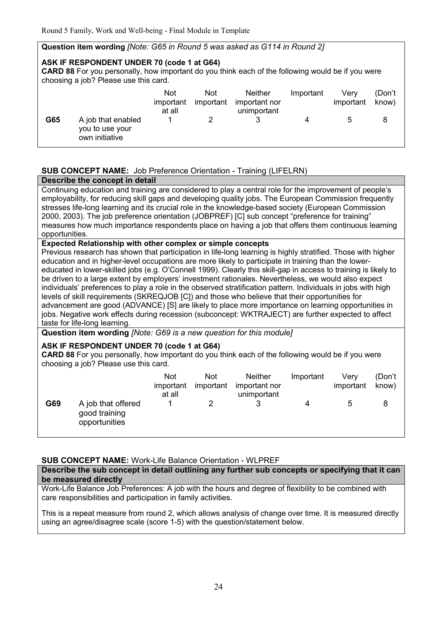## **Question item wording** *[Note: G65 in Round 5 was asked as G114 in Round 2]*

#### **ASK IF RESPONDENT UNDER 70 (code 1 at G64)**

**CARD 88** For you personally, how important do you think each of the following would be if you were choosing a job? Please use this card.

|     |                                                         | <b>Not</b><br>important<br>at all | <b>Not</b><br>important | <b>Neither</b><br>important nor<br>unimportant | Important | Verv<br>important | (Don't<br>know) |
|-----|---------------------------------------------------------|-----------------------------------|-------------------------|------------------------------------------------|-----------|-------------------|-----------------|
| G65 | A job that enabled<br>you to use your<br>own initiative |                                   |                         |                                                |           |                   |                 |

## **SUB CONCEPT NAME:** Job Preference Orientation - Training (LIFELRN)

#### **Describe the concept in detail**

Continuing education and training are considered to play a central role for the improvement of people's employability, for reducing skill gaps and developing quality jobs. The European Commission frequently stresses life-long learning and its crucial role in the knowledge-based society (European Commission 2000, 2003). The job preference orientation (JOBPREF) [C] sub concept "preference for training" measures how much importance respondents place on having a job that offers them continuous learning opportunities.

#### **Expected Relationship with other complex or simple concepts**

Previous research has shown that participation in life-long learning is highly stratified. Those with higher education and in higher-level occupations are more likely to participate in training than the lowereducated in lower-skilled jobs (e.g. O'Connell 1999). Clearly this skill-gap in access to training is likely to be driven to a large extent by employers' investment rationales. Nevertheless, we would also expect individuals' preferences to play a role in the observed stratification pattern. Individuals in jobs with high levels of skill requirements (SKREQJOB [C]) and those who believe that their opportunities for advancement are good (ADVANCE) [S] are likely to place more importance on learning opportunities in jobs. Negative work effects during recession (subconcept: WKTRAJECT) are further expected to affect taste for life-long learning.

**Question item wording** *[Note: G69 is a new question for this module]*

## **ASK IF RESPONDENT UNDER 70 (code 1 at G64)**

**CARD 88** For you personally, how important do you think each of the following would be if you were choosing a job? Please use this card.

|     |                                                      | <b>Not</b><br>important<br>at all | Not<br>important | <b>Neither</b><br>important nor<br>unimportant | Important | Verv<br>important | (Don't<br>know) |
|-----|------------------------------------------------------|-----------------------------------|------------------|------------------------------------------------|-----------|-------------------|-----------------|
| G69 | A job that offered<br>good training<br>opportunities |                                   |                  | 2                                              | 4         | :5                | 8               |

## **SUB CONCEPT NAME:** Work-Life Balance Orientation - WLPREF

## **Describe the sub concept in detail outlining any further sub concepts or specifying that it can be measured directly**

Work-Life Balance Job Preferences: A job with the hours and degree of flexibility to be combined with care responsibilities and participation in family activities.

This is a repeat measure from round 2, which allows analysis of change over time. It is measured directly using an agree/disagree scale (score 1-5) with the question/statement below.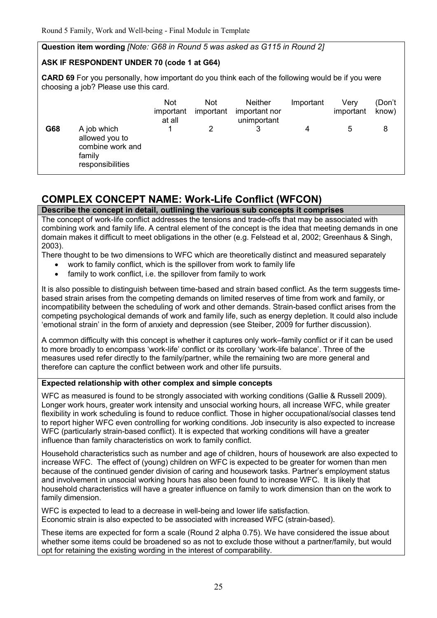## **Question item wording** *[Note: G68 in Round 5 was asked as G115 in Round 2]*

## **ASK IF RESPONDENT UNDER 70 (code 1 at G64)**

**CARD 69** For you personally, how important do you think each of the following would be if you were choosing a job? Please use this card.

|     |                                                                                 | <b>Not</b><br>important<br>at all | <b>Not</b><br>important | <b>Neither</b><br>important nor<br>unimportant | Important | Very<br>important | (Don't<br>know) |
|-----|---------------------------------------------------------------------------------|-----------------------------------|-------------------------|------------------------------------------------|-----------|-------------------|-----------------|
| G68 | A job which<br>allowed you to<br>combine work and<br>family<br>responsibilities |                                   | 2                       |                                                | 4         | 5                 | 8               |

# **COMPLEX CONCEPT NAME: Work-Life Conflict (WFCON)**

**Describe the concept in detail, outlining the various sub concepts it comprises**

The concept of work-life conflict addresses the tensions and trade-offs that may be associated with combining work and family life. A central element of the concept is the idea that meeting demands in one domain makes it difficult to meet obligations in the other (e.g. Felstead et al, 2002; Greenhaus & Singh, 2003).

There thought to be two dimensions to WFC which are theoretically distinct and measured separately

- work to family conflict, which is the spillover from work to family life
- family to work conflict, i.e. the spillover from family to work

It is also possible to distinguish between time-based and strain based conflict. As the term suggests timebased strain arises from the competing demands on limited reserves of time from work and family, or incompatibility between the scheduling of work and other demands. Strain-based conflict arises from the competing psychological demands of work and family life, such as energy depletion. It could also include 'emotional strain' in the form of anxiety and depression (see Steiber, 2009 for further discussion).

A common difficulty with this concept is whether it captures only work–family conflict or if it can be used to more broadly to encompass 'work-life' conflict or its corollary 'work-life balance'. Three of the measures used refer directly to the family/partner, while the remaining two are more general and therefore can capture the conflict between work and other life pursuits.

#### **Expected relationship with other complex and simple concepts**

WFC as measured is found to be strongly associated with working conditions (Gallie & Russell 2009). Longer work hours, greater work intensity and unsocial working hours, all increase WFC, while greater flexibility in work scheduling is found to reduce conflict. Those in higher occupational/social classes tend to report higher WFC even controlling for working conditions. Job insecurity is also expected to increase WFC (particularly strain-based conflict). It is expected that working conditions will have a greater influence than family characteristics on work to family conflict.

Household characteristics such as number and age of children, hours of housework are also expected to increase WFC. The effect of (young) children on WFC is expected to be greater for women than men because of the continued gender division of caring and housework tasks. Partner's employment status and involvement in unsocial working hours has also been found to increase WFC. It is likely that household characteristics will have a greater influence on family to work dimension than on the work to family dimension.

WFC is expected to lead to a decrease in well-being and lower life satisfaction. Economic strain is also expected to be associated with increased WFC (strain-based).

These items are expected for form a scale (Round 2 alpha 0.75). We have considered the issue about whether some items could be broadened so as not to exclude those without a partner/family, but would opt for retaining the existing wording in the interest of comparability.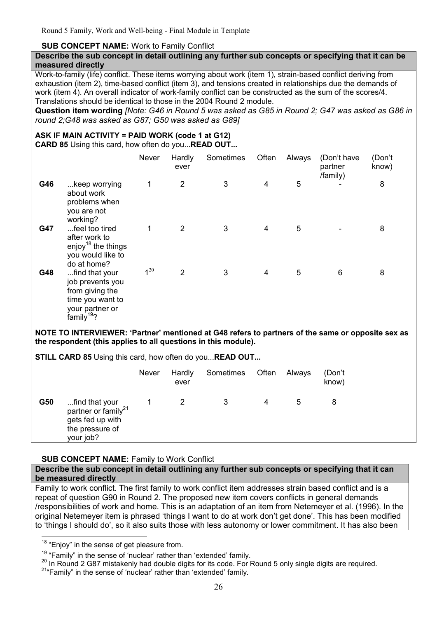## **SUB CONCEPT NAME:** Work to Family Conflict

#### **Describe the sub concept in detail outlining any further sub concepts or specifying that it can be measured directly**

Work-to-family (life) conflict. These items worrying about work (item 1), strain-based conflict deriving from exhaustion (item 2), time-based conflict (item 3), and tensions created in relationships due the demands of work (item 4). An overall indicator of work-family conflict can be constructed as the sum of the scores/4. Translations should be identical to those in the 2004 Round 2 module.

**Question item wording** *[Note: G46 in Round 5 was asked as G85 in Round 2; G47 was asked as G86 in round 2;G48 was asked as G87; G50 was asked as G89]*

## **ASK IF MAIN ACTIVITY = PAID WORK (code 1 at G12)**

**CARD 85** Using this card, how often do you...**READ OUT...** 

|     |                                                                                                                        | Never    | Hardly<br>ever | Sometimes | Often | Always | (Don't have<br>partner<br>/family) | (Don't<br>know) |
|-----|------------------------------------------------------------------------------------------------------------------------|----------|----------------|-----------|-------|--------|------------------------------------|-----------------|
| G46 | keep worrying<br>about work<br>problems when<br>you are not<br>working?                                                | 1        | $\overline{2}$ | 3         | 4     | 5      |                                    | 8               |
| G47 | feel too tired<br>after work to<br>enjoy <sup>18</sup> the things<br>you would like to<br>do at home?                  | 1        | 2              | 3         | 4     | 5      |                                    | 8               |
| G48 | find that your<br>job prevents you<br>from giving the<br>time you want to<br>your partner or<br>family <sup>19</sup> ? | $1^{20}$ | $\overline{2}$ | 3         | 4     | 5      | $\,6$                              | 8               |

**NOTE TO INTERVIEWER: 'Partner' mentioned at G48 refers to partners of the same or opposite sex as the respondent (this applies to all questions in this module).** 

**STILL CARD 85** Using this card, how often do you...**READ OUT...** 

|     |                                                                                                       | <b>Never</b> | Hardly<br>ever | Sometimes | Often | Always | (Don't<br>know) |
|-----|-------------------------------------------------------------------------------------------------------|--------------|----------------|-----------|-------|--------|-----------------|
| G50 | find that your<br>partner or family <sup>21</sup><br>gets fed up with<br>the pressure of<br>your job? |              |                | 3         |       | 5      | 8               |

## **SUB CONCEPT NAME: Family to Work Conflict**

#### **Describe the sub concept in detail outlining any further sub concepts or specifying that it can be measured directly**

Family to work conflict. The first family to work conflict item addresses strain based conflict and is a repeat of question G90 in Round 2. The proposed new item covers conflicts in general demands /responsibilities of work and home. This is an adaptation of an item from Netemeyer et al. (1996). In the original Netemeyer item is phrased 'things I want to do at work don't get done'. This has been modified to 'things I should do', so it also suits those with less autonomy or lower commitment. It has also been

 $\overline{a}$ 

<sup>&</sup>lt;sup>18</sup> "Enjoy" in the sense of get pleasure from.

 $19$  "Family" in the sense of 'nuclear' rather than 'extended' family.

 $20$  In Round 2 G87 mistakenly had double digits for its code. For Round 5 only single digits are required.

<sup>&</sup>lt;sup>21</sup>"Family" in the sense of 'nuclear' rather than 'extended' family.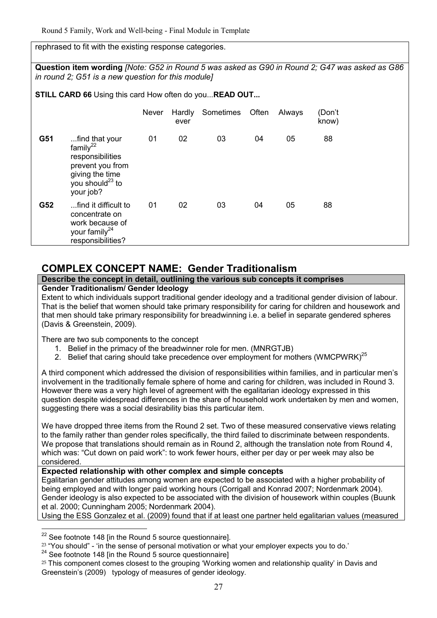## rephrased to fit with the existing response categories.

**Question item wording** *[Note: G52 in Round 5 was asked as G90 in Round 2; G47 was asked as G86 in round 2; G51 is a new question for this module]*

**STILL CARD 66** Using this card How often do you...**READ OUT...** 

|     |                                                                                                                                         | <b>Never</b> | Hardly<br>ever | Sometimes | Often | Always | (Don't<br>know) |  |
|-----|-----------------------------------------------------------------------------------------------------------------------------------------|--------------|----------------|-----------|-------|--------|-----------------|--|
| G51 | find that your<br>family $^{22}$<br>responsibilities<br>prevent you from<br>giving the time<br>you should <sup>23</sup> to<br>your job? | 01           | 02             | 03        | 04    | 05     | 88              |  |
| G52 | find it difficult to<br>concentrate on<br>work because of<br>your family <sup>24</sup><br>responsibilities?                             | 01           | 02             | 03        | 04    | 05     | 88              |  |

# **COMPLEX CONCEPT NAME: Gender Traditionalism**

## **Describe the concept in detail, outlining the various sub concepts it comprises**

#### **Gender Traditionalism/ Gender Ideology**

Extent to which individuals support traditional gender ideology and a traditional gender division of labour. That is the belief that women should take primary responsibility for caring for children and housework and that men should take primary responsibility for breadwinning i.e. a belief in separate gendered spheres (Davis & Greenstein, 2009).

There are two sub components to the concept

- 1. Belief in the primacy of the breadwinner role for men. (MNRGTJB)
- 2. Belief that caring should take precedence over employment for mothers (WMCPWRK)<sup>25</sup>

A third component which addressed the division of responsibilities within families, and in particular men's involvement in the traditionally female sphere of home and caring for children, was included in Round 3. However there was a very high level of agreement with the egalitarian ideology expressed in this question despite widespread differences in the share of household work undertaken by men and women. suggesting there was a social desirability bias this particular item.

We have dropped three items from the Round 2 set. Two of these measured conservative views relating to the family rather than gender roles specifically, the third failed to discriminate between respondents. We propose that translations should remain as in Round 2, although the translation note from Round 4, which was: "Cut down on paid work": to work fewer hours, either per day or per week may also be considered.

## **Expected relationship with other complex and simple concepts**

Egalitarian gender attitudes among women are expected to be associated with a higher probability of being employed and with longer paid working hours (Corrigall and Konrad 2007; Nordenmark 2004). Gender ideology is also expected to be associated with the division of housework within couples (Buunk et al. 2000; Cunningham 2005; Nordenmark 2004).

Using the ESS Gonzalez et al. (2009) found that if at least one partner held egalitarian values (measured

 $\overline{a}$ 

 $22$  See footnote 148 [in the Round 5 source questionnaire].

 $23$  "You should" - 'in the sense of personal motivation or what your employer expects you to do.'

 $24$  See footnote 148 [in the Round 5 source questionnaire]

<sup>&</sup>lt;sup>25</sup> This component comes closest to the grouping 'Working women and relationship quality' in Davis and Greenstein's (2009) typology of measures of gender ideology.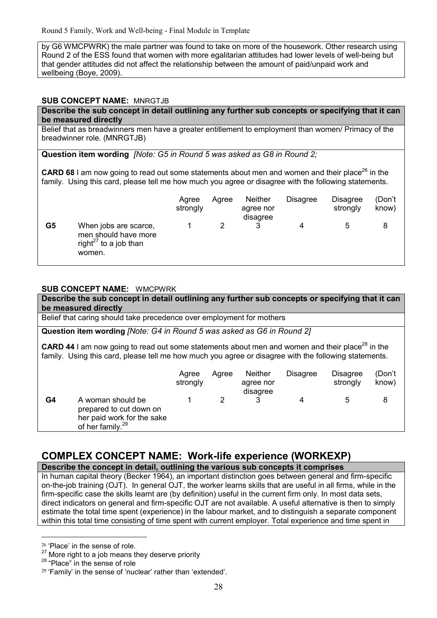by G6 WMCPWRK) the male partner was found to take on more of the housework. Other research using Round 2 of the ESS found that women with more egalitarian attitudes had lower levels of well-being but that gender attitudes did not affect the relationship between the amount of paid/unpaid work and wellbeing (Boye, 2009).

#### **SUB CONCEPT NAME:** MNRGTJB

#### **Describe the sub concept in detail outlining any further sub concepts or specifying that it can be measured directly**

Belief that as breadwinners men have a greater entitlement to employment than women/ Primacy of the breadwinner role. (MNRGTJB)

**Question item wording** *[Note: G5 in Round 5 was asked as G8 in Round 2;*

**CARD 68** I am now going to read out some statements about men and women and their place<sup>26</sup> in the family. Using this card, please tell me how much you agree or disagree with the following statements.

|    |                                                                                              | Agree<br>strongly | Agree | <b>Neither</b><br>agree nor<br>disagree | <b>Disagree</b> | Disagree<br>strongly | (Don't<br>know) |
|----|----------------------------------------------------------------------------------------------|-------------------|-------|-----------------------------------------|-----------------|----------------------|-----------------|
| G5 | When jobs are scarce,<br>men should have more<br>right <sup>27</sup> to a job than<br>women. |                   |       |                                         | 4               | 5                    | 8               |

#### **SUB CONCEPT NAME:** WMCPWRK

**Describe the sub concept in detail outlining any further sub concepts or specifying that it can be measured directly**

Belief that caring should take precedence over employment for mothers

**Question item wording** *[Note: G4 in Round 5 was asked as G6 in Round 2]*

**CARD 44** I am now going to read out some statements about men and women and their place<sup>28</sup> in the family. Using this card, please tell me how much you agree or disagree with the following statements.

|    |                                                                                                            | Agree<br>strongly | Aaree | <b>Neither</b><br>agree nor<br>disagree | <b>Disagree</b> | Disagree<br>strongly | (Don't<br>know) |
|----|------------------------------------------------------------------------------------------------------------|-------------------|-------|-----------------------------------------|-----------------|----------------------|-----------------|
| G4 | A woman should be<br>prepared to cut down on<br>her paid work for the sake<br>of her family. <sup>29</sup> |                   |       |                                         | 4               | 5                    |                 |

# **COMPLEX CONCEPT NAME: Work-life experience (WORKEXP)**

**Describe the concept in detail, outlining the various sub concepts it comprises**

In human capital theory (Becker 1964), an important distinction goes between general and firm-specific on-the-job training (OJT). In general OJT, the worker learns skills that are useful in all firms, while in the firm-specific case the skills learnt are (by definition) useful in the current firm only. In most data sets, direct indicators on general and firm-specific OJT are not available. A useful alternative is then to simply estimate the total time spent (experience) in the labour market, and to distinguish a separate component within this total time consisting of time spent with current employer. Total experience and time spent in

<u>.</u>

<sup>26</sup> 'Place' in the sense of role.

 $27$  More right to a job means they deserve priority

<sup>&</sup>lt;sup>28</sup> "Place" in the sense of role

<sup>29</sup> 'Family' in the sense of 'nuclear' rather than 'extended'.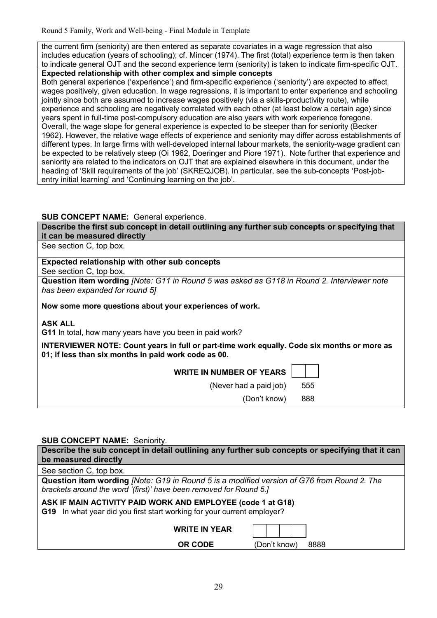the current firm (seniority) are then entered as separate covariates in a wage regression that also includes education (years of schooling); cf. Mincer (1974). The first (total) experience term is then taken to indicate general OJT and the second experience term (seniority) is taken to indicate firm-specific OJT.

**Expected relationship with other complex and simple concepts**

Both general experience ('experience') and firm-specific experience ('seniority') are expected to affect wages positively, given education. In wage regressions, it is important to enter experience and schooling jointly since both are assumed to increase wages positively (via a skills-productivity route), while experience and schooling are negatively correlated with each other (at least below a certain age) since years spent in full-time post-compulsory education are also years with work experience foregone. Overall, the wage slope for general experience is expected to be steeper than for seniority (Becker 1962). However, the relative wage effects of experience and seniority may differ across establishments of different types. In large firms with well-developed internal labour markets, the seniority-wage gradient can be expected to be relatively steep (Oi 1962, Doeringer and Piore 1971). Note further that experience and seniority are related to the indicators on OJT that are explained elsewhere in this document, under the heading of 'Skill requirements of the job' (SKREQJOB). In particular, see the sub-concepts 'Post-jobentry initial learning' and 'Continuing learning on the job'.

## **SUB CONCEPT NAME:** General experience.

**Describe the first sub concept in detail outlining any further sub concepts or specifying that it can be measured directly**

See section C, top box.

## **Expected relationship with other sub concepts**

See section C, top box.

**Question item wording** *[Note: G11 in Round 5 was asked as G118 in Round 2. Interviewer note has been expanded for round 5]*

**Now some more questions about your experiences of work.** 

**ASK ALL** 

**G11** In total, how many years have you been in paid work?

**INTERVIEWER NOTE: Count years in full or part-time work equally. Code six months or more as 01; if less than six months in paid work code as 00.** 

**WRITE IN NUMBER OF YEARS** 

(Never had a paid job) 555

(Don't know) 888

## **SUB CONCEPT NAME:** Seniority.

**Describe the sub concept in detail outlining any further sub concepts or specifying that it can be measured directly**

See section C, top box.

**Question item wording** *[Note: G19 in Round 5 is a modified version of G76 from Round 2. The brackets around the word '(first)' have been removed for Round 5.]*

**ASK IF MAIN ACTIVITY PAID WORK AND EMPLOYEE (code 1 at G18)** 

**G19** In what year did you first start working for your current employer?

| <b>WRITE IN YEAR</b> |              |      |
|----------------------|--------------|------|
| OR CODE              | (Don't know) | 8888 |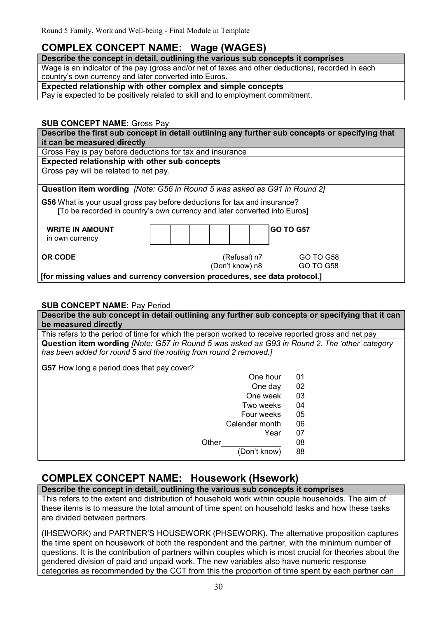# **COMPLEX CONCEPT NAME: Wage (WAGES)**

## **Describe the concept in detail, outlining the various sub concepts it comprises**

Wage is an indicator of the pay (gross and/or net of taxes and other deductions), recorded in each country's own currency and later converted into Euros.

**Expected relationship with other complex and simple concepts**

Pay is expected to be positively related to skill and to employment commitment.

# **SUB CONCEPT NAME:** Gross Pay

| Describe the first sub concept in detail outlining any further sub concepts or specifying that                                                         |                                 |                        |  |  |  |  |  |  |  |  |  |  |
|--------------------------------------------------------------------------------------------------------------------------------------------------------|---------------------------------|------------------------|--|--|--|--|--|--|--|--|--|--|
| it can be measured directly                                                                                                                            |                                 |                        |  |  |  |  |  |  |  |  |  |  |
| Gross Pay is pay before deductions for tax and insurance                                                                                               |                                 |                        |  |  |  |  |  |  |  |  |  |  |
| Expected relationship with other sub concepts                                                                                                          |                                 |                        |  |  |  |  |  |  |  |  |  |  |
| Gross pay will be related to net pay.                                                                                                                  |                                 |                        |  |  |  |  |  |  |  |  |  |  |
|                                                                                                                                                        |                                 |                        |  |  |  |  |  |  |  |  |  |  |
| Question item wording [Note: G56 in Round 5 was asked as G91 in Round 2]                                                                               |                                 |                        |  |  |  |  |  |  |  |  |  |  |
| G56 What is your usual gross pay before deductions for tax and insurance?<br>[To be recorded in country's own currency and later converted into Euros] |                                 |                        |  |  |  |  |  |  |  |  |  |  |
| <b>WRITE IN AMOUNT</b><br>in own currency                                                                                                              |                                 | <b>GO TO G57</b>       |  |  |  |  |  |  |  |  |  |  |
| <b>OR CODE</b>                                                                                                                                         | (Refusal) n7<br>(Don't know) n8 | GO TO G58<br>GO TO G58 |  |  |  |  |  |  |  |  |  |  |

 **[for missing values and currency conversion procedures, see data protocol.]**

## **SUB CONCEPT NAME:** Pay Period

| Describe the sub concept in detail outlining any further sub concepts or specifying that it can                                                                           |    |  |  |  |  |  |  |  |  |  |  |
|---------------------------------------------------------------------------------------------------------------------------------------------------------------------------|----|--|--|--|--|--|--|--|--|--|--|
| be measured directly                                                                                                                                                      |    |  |  |  |  |  |  |  |  |  |  |
| This refers to the period of time for which the person worked to receive reported gross and net pay                                                                       |    |  |  |  |  |  |  |  |  |  |  |
| Question item wording <i>[Note: G57 in Round 5 was asked as G93 in Round 2. The 'other' category</i><br>has been added for round 5 and the routing from round 2 removed.] |    |  |  |  |  |  |  |  |  |  |  |
| <b>G57</b> How long a period does that pay cover?                                                                                                                         |    |  |  |  |  |  |  |  |  |  |  |
| One hour                                                                                                                                                                  | 01 |  |  |  |  |  |  |  |  |  |  |
| One day                                                                                                                                                                   | 02 |  |  |  |  |  |  |  |  |  |  |
| One week                                                                                                                                                                  | 03 |  |  |  |  |  |  |  |  |  |  |
| Two weeks                                                                                                                                                                 | 04 |  |  |  |  |  |  |  |  |  |  |
| Four weeks                                                                                                                                                                | 05 |  |  |  |  |  |  |  |  |  |  |
| Calendar month                                                                                                                                                            | 06 |  |  |  |  |  |  |  |  |  |  |
| Year                                                                                                                                                                      | 07 |  |  |  |  |  |  |  |  |  |  |
| Other                                                                                                                                                                     | 08 |  |  |  |  |  |  |  |  |  |  |
| (Don't know)                                                                                                                                                              | 88 |  |  |  |  |  |  |  |  |  |  |

# **COMPLEX CONCEPT NAME: Housework (Hsework)**

**Describe the concept in detail, outlining the various sub concepts it comprises**

This refers to the extent and distribution of household work within couple households. The aim of these items is to measure the total amount of time spent on household tasks and how these tasks are divided between partners.

(IHSEWORK) and PARTNER'S HOUSEWORK (PHSEWORK). The alternative proposition captures the time spent on housework of both the respondent and the partner, with the minimum number of questions. It is the contribution of partners within couples which is most crucial for theories about the gendered division of paid and unpaid work. The new variables also have numeric response categories as recommended by the CCT from this the proportion of time spent by each partner can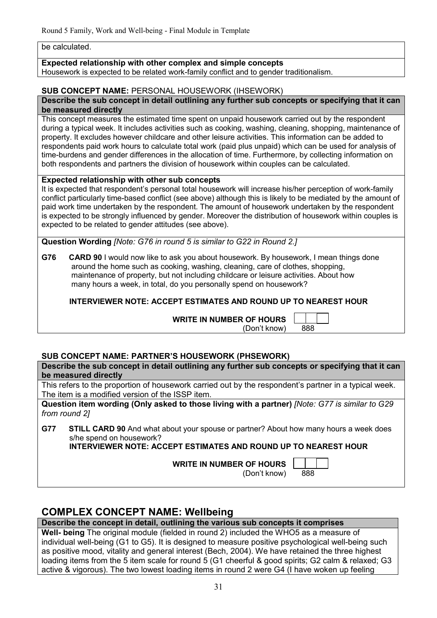be calculated.

## **Expected relationship with other complex and simple concepts**

Housework is expected to be related work-family conflict and to gender traditionalism.

#### **SUB CONCEPT NAME:** PERSONAL HOUSEWORK (IHSEWORK)

#### **Describe the sub concept in detail outlining any further sub concepts or specifying that it can be measured directly**

This concept measures the estimated time spent on unpaid housework carried out by the respondent during a typical week. It includes activities such as cooking, washing, cleaning, shopping, maintenance of property. It excludes however childcare and other leisure activities. This information can be added to respondents paid work hours to calculate total work (paid plus unpaid) which can be used for analysis of time-burdens and gender differences in the allocation of time. Furthermore, by collecting information on both respondents and partners the division of housework within couples can be calculated.

## **Expected relationship with other sub concepts**

It is expected that respondent's personal total housework will increase his/her perception of work-family conflict particularly time-based conflict (see above) although this is likely to be mediated by the amount of paid work time undertaken by the respondent. The amount of housework undertaken by the respondent is expected to be strongly influenced by gender. Moreover the distribution of housework within couples is expected to be related to gender attitudes (see above).

**Question Wording** *[Note: G76 in round 5 is similar to G22 in Round 2.]*

**G76 CARD 90** I would now like to ask you about housework. By housework, I mean things done around the home such as cooking, washing, cleaning, care of clothes, shopping, maintenance of property, but not including childcare or leisure activities. About how many hours a week, in total, do you personally spend on housework?

 **INTERVIEWER NOTE: ACCEPT ESTIMATES AND ROUND UP TO NEAREST HOUR** 

 **WRITE IN NUMBER OF HOURS** 

| <b>: OF HOURS</b> |     |  |
|-------------------|-----|--|
| (Don't know)      | 888 |  |

# **SUB CONCEPT NAME: PARTNER'S HOUSEWORK (PHSEWORK)**

**Describe the sub concept in detail outlining any further sub concepts or specifying that it can be measured directly**

This refers to the proportion of housework carried out by the respondent's partner in a typical week. The item is a modified version of the ISSP item.

**Question item wording (Only asked to those living with a partner)** *[Note: G77 is similar to G29 from round 2]*

**G77 STILL CARD 90** And what about your spouse or partner? About how many hours a week does s/he spend on housework?

 **INTERVIEWER NOTE: ACCEPT ESTIMATES AND ROUND UP TO NEAREST HOUR** 

 **WRITE IN NUMBER OF HOURS** 

(Don't know) 888

# **COMPLEX CONCEPT NAME: Wellbeing**

**Describe the concept in detail, outlining the various sub concepts it comprises**

**Well- being** The original module (fielded in round 2) included the WHO5 as a measure of individual well-being (G1 to G5). It is designed to measure positive psychological well-being such as positive mood, vitality and general interest (Bech, 2004). We have retained the three highest loading items from the 5 item scale for round 5 (G1 cheerful & good spirits; G2 calm & relaxed; G3 active & vigorous). The two lowest loading items in round 2 were G4 (I have woken up feeling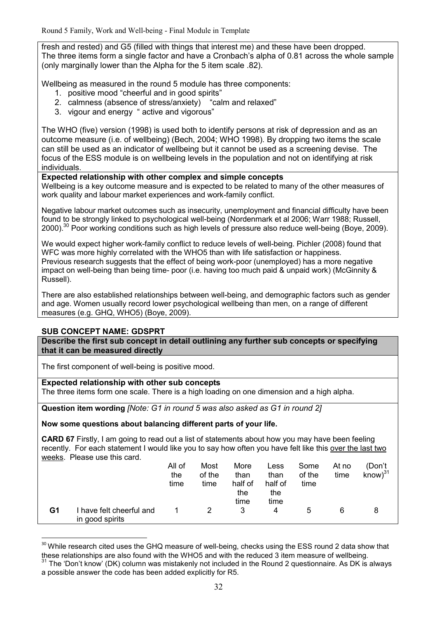fresh and rested) and G5 (filled with things that interest me) and these have been dropped. The three items form a single factor and have a Cronbach's alpha of 0.81 across the whole sample (only marginally lower than the Alpha for the 5 item scale .82).

Wellbeing as measured in the round 5 module has three components:

- 1. positive mood "cheerful and in good spirits"
- 2. calmness (absence of stress/anxiety) "calm and relaxed"
- 3. vigour and energy " active and vigorous"

The WHO (five) version (1998) is used both to identify persons at risk of depression and as an outcome measure (i.e. of wellbeing) (Bech, 2004; WHO 1998). By dropping two items the scale can still be used as an indicator of wellbeing but it cannot be used as a screening devise. The focus of the ESS module is on wellbeing levels in the population and not on identifying at risk individuals.

## **Expected relationship with other complex and simple concepts**

Wellbeing is a key outcome measure and is expected to be related to many of the other measures of work quality and labour market experiences and work-family conflict.

Negative labour market outcomes such as insecurity, unemployment and financial difficulty have been found to be strongly linked to psychological well-being (Nordenmark et al 2006; Warr 1988; Russell, 2000).<sup>30</sup> Poor working conditions such as high levels of pressure also reduce well-being (Boye, 2009).

We would expect higher work-family conflict to reduce levels of well-being. Pichler (2008) found that WFC was more highly correlated with the WHO5 than with life satisfaction or happiness. Previous research suggests that the effect of being work-poor (unemployed) has a more negative impact on well-being than being time- poor (i.e. having too much paid & unpaid work) (McGinnity & Russell).

There are also established relationships between well-being, and demographic factors such as gender and age. Women usually record lower psychological wellbeing than men, on a range of different measures (e.g. GHQ, WHO5) (Boye, 2009).

## **SUB CONCEPT NAME: GDSPRT**

-

**Describe the first sub concept in detail outlining any further sub concepts or specifying that it can be measured directly**

The first component of well-being is positive mood.

## **Expected relationship with other sub concepts**

The three items form one scale. There is a high loading on one dimension and a high alpha.

**Question item wording** *[Note: G1 in round 5 was also asked as G1 in round 2]*

**Now some questions about balancing different parts of your life.** 

**CARD 67** Firstly, I am going to read out a list of statements about how you may have been feeling recently. For each statement I would like you to say how often you have felt like this over the last two weeks. Please use this card.

|    |                                           | All of<br>the<br>time | Most<br>of the<br>time | More<br>than<br>half of<br>the<br>time | Less<br>than<br>half of<br>the<br>time | Some<br>of the<br>time | At no<br>time | (Don't<br>$know)^{31}$ |
|----|-------------------------------------------|-----------------------|------------------------|----------------------------------------|----------------------------------------|------------------------|---------------|------------------------|
| G1 | have felt cheerful and<br>in good spirits |                       | $\mathcal{P}$          | 3                                      | 4                                      | b                      | 6             |                        |

<sup>&</sup>lt;sup>30</sup> While research cited uses the GHQ measure of well-being, checks using the ESS round 2 data show that these relationships are also found with the WHO5 and with the reduced 3 item measure of wellbeing.

 $31$  The 'Don't know' (DK) column was mistakenly not included in the Round 2 questionnaire. As DK is always a possible answer the code has been added explicitly for R5.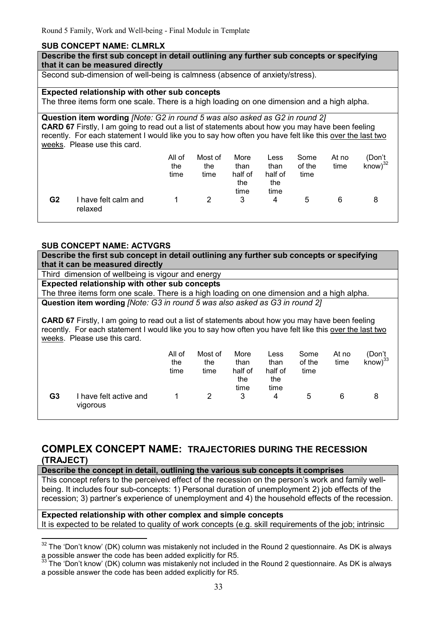## **SUB CONCEPT NAME: CLMRLX**

**Describe the first sub concept in detail outlining any further sub concepts or specifying that it can be measured directly**

Second sub-dimension of well-being is calmness (absence of anxiety/stress).

#### **Expected relationship with other sub concepts**

The three items form one scale. There is a high loading on one dimension and a high alpha.

**Question item wording** *[Note: G2 in round 5 was also asked as G2 in round 2]* **CARD 67** Firstly, I am going to read out a list of statements about how you may have been feeling recently. For each statement I would like you to say how often you have felt like this over the last two weeks. Please use this card.

|    |                               | All of<br>the<br>time | Most of<br>the<br>time | More<br>than<br>half of<br>the<br>time | Less<br>than<br>half of<br>the<br>time | Some<br>of the<br>time | At no<br>time | (Don't<br>$know)^{32}$ |
|----|-------------------------------|-----------------------|------------------------|----------------------------------------|----------------------------------------|------------------------|---------------|------------------------|
| G2 | have felt calm and<br>relaxed |                       | 2                      | 3                                      | 4                                      | 5                      | 6             |                        |

## **SUB CONCEPT NAME: ACTVGRS**

| <u> Yynyei i Ivanei Ay i fyri</u> |                                                                                                          |        |         |         |         |        |       |                  |  |  |  |
|-----------------------------------|----------------------------------------------------------------------------------------------------------|--------|---------|---------|---------|--------|-------|------------------|--|--|--|
|                                   | Describe the first sub concept in detail outlining any further sub concepts or specifying                |        |         |         |         |        |       |                  |  |  |  |
| that it can be measured directly  |                                                                                                          |        |         |         |         |        |       |                  |  |  |  |
|                                   | Third dimension of wellbeing is vigour and energy                                                        |        |         |         |         |        |       |                  |  |  |  |
|                                   | <b>Expected relationship with other sub concepts</b>                                                     |        |         |         |         |        |       |                  |  |  |  |
|                                   | The three items form one scale. There is a high loading on one dimension and a high alpha.               |        |         |         |         |        |       |                  |  |  |  |
|                                   | Question item wording <i>[Note: G3 in round 5 was also asked as G3 in round 2]</i>                       |        |         |         |         |        |       |                  |  |  |  |
|                                   |                                                                                                          |        |         |         |         |        |       |                  |  |  |  |
|                                   | <b>CARD 67</b> Firstly, I am going to read out a list of statements about how you may have been feeling  |        |         |         |         |        |       |                  |  |  |  |
|                                   | recently. For each statement I would like you to say how often you have felt like this over the last two |        |         |         |         |        |       |                  |  |  |  |
|                                   | weeks. Please use this card.                                                                             |        |         |         |         |        |       |                  |  |  |  |
|                                   |                                                                                                          | All of | Most of | More    | Less    | Some   | At no | (Don't           |  |  |  |
|                                   |                                                                                                          | the    | the     | than    | than    | of the | time  | $k$ now $)^{33}$ |  |  |  |
|                                   |                                                                                                          | time   | time    | half of | half of | time   |       |                  |  |  |  |
|                                   |                                                                                                          |        |         | the     | the     |        |       |                  |  |  |  |
|                                   |                                                                                                          |        |         | time    | time    |        |       |                  |  |  |  |
| G3                                | I have felt active and                                                                                   |        | 2       | 3       | 4       | 5      | 6     | 8                |  |  |  |
|                                   | vigorous                                                                                                 |        |         |         |         |        |       |                  |  |  |  |
|                                   |                                                                                                          |        |         |         |         |        |       |                  |  |  |  |

# **COMPLEX CONCEPT NAME: TRAJECTORIES DURING THE RECESSION (TRAJECT)**

**Describe the concept in detail, outlining the various sub concepts it comprises**

This concept refers to the perceived effect of the recession on the person's work and family wellbeing. It includes four sub-concepts: 1) Personal duration of unemployment 2) job effects of the recession; 3) partner's experience of unemployment and 4) the household effects of the recession.

## **Expected relationship with other complex and simple concepts**

It is expected to be related to quality of work concepts (e.g. skill requirements of the job; intrinsic

 $\overline{a}$  $32$  The 'Don't know' (DK) column was mistakenly not included in the Round 2 questionnaire. As DK is always a possible answer the code has been added explicitly for R5.

 $33$  The 'Don't know' (DK) column was mistakenly not included in the Round 2 questionnaire. As DK is always a possible answer the code has been added explicitly for R5.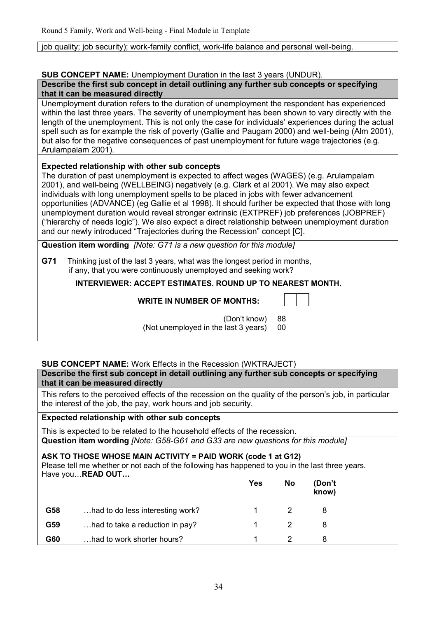job quality; job security); work-family conflict, work-life balance and personal well-being.

# **SUB CONCEPT NAME:** Unemployment Duration in the last 3 years (UNDUR).

| Describe the first sub concept in detail outlining any further sub concepts or specifying |  |
|-------------------------------------------------------------------------------------------|--|
| that it can be measured directly                                                          |  |

Unemployment duration refers to the duration of unemployment the respondent has experienced within the last three years. The severity of unemployment has been shown to vary directly with the length of the unemployment. This is not only the case for individuals' experiences during the actual spell such as for example the risk of poverty (Gallie and Paugam 2000) and well-being (Alm 2001), but also for the negative consequences of past unemployment for future wage trajectories (e.g. Arulampalam 2001).

# **Expected relationship with other sub concepts**

The duration of past unemployment is expected to affect wages (WAGES) (e.g. Arulampalam 2001), and well-being (WELLBEING) negatively (e.g. Clark et al 2001). We may also expect individuals with long unemployment spells to be placed in jobs with fewer advancement opportunities (ADVANCE) (eg Gallie et al 1998). It should further be expected that those with long unemployment duration would reveal stronger extrinsic (EXTPREF) job preferences (JOBPREF) ("hierarchy of needs logic"). We also expect a direct relationship between unemployment duration and our newly introduced "Trajectories during the Recession" concept [C].

**Question item wording** *[Note: G71 is a new question for this module]*

**G71** Thinking just of the last 3 years, what was the longest period in months, if any, that you were continuously unemployed and seeking work?

 **INTERVIEWER: ACCEPT ESTIMATES. ROUND UP TO NEAREST MONTH.** 

## **WRITE IN NUMBER OF MONTHS:**

┑

 (Don't know) 88 (Not unemployed in the last 3 years) 00

# **SUB CONCEPT NAME:** Work Effects in the Recession (WKTRAJECT)

**Describe the first sub concept in detail outlining any further sub concepts or specifying that it can be measured directly**

This refers to the perceived effects of the recession on the quality of the person's job, in particular the interest of the job, the pay, work hours and job security.

# **Expected relationship with other sub concepts**

This is expected to be related to the household effects of the recession. **Question item wording** *[Note: G58-G61 and G33 are new questions for this module]* 

## **ASK TO THOSE WHOSE MAIN ACTIVITY = PAID WORK (code 1 at G12)**

Please tell me whether or not each of the following has happened to you in the last three years. Have you... **READ OUT...** 

|     |                                  | Yes | <b>No</b> | (Don't<br>know) |  |
|-----|----------------------------------|-----|-----------|-----------------|--|
| G58 | had to do less interesting work? |     |           |                 |  |
| G59 | had to take a reduction in pay?  |     |           |                 |  |
| G60 | had to work shorter hours?       |     |           |                 |  |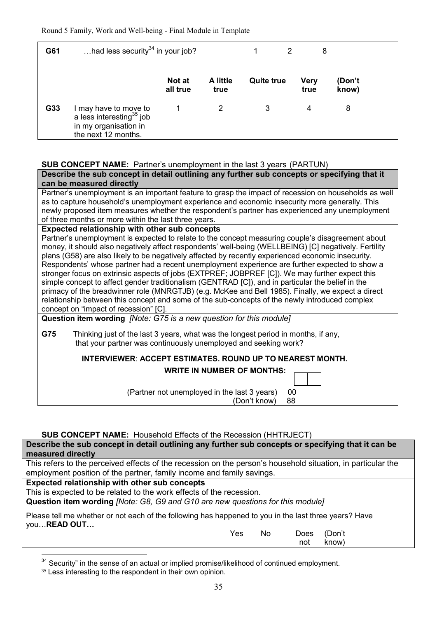| G61 | had less security $34$ in your job?                                                                  |                    |                  |                   | 2 | 8            |                 |  |
|-----|------------------------------------------------------------------------------------------------------|--------------------|------------------|-------------------|---|--------------|-----------------|--|
|     |                                                                                                      | Not at<br>all true | A little<br>true | <b>Quite true</b> |   | Very<br>true | (Don't<br>know) |  |
| G33 | I may have to move to<br>a less interesting $35$ job<br>in my organisation in<br>the next 12 months. |                    | 2                | 3                 |   | 4            | 8               |  |

## **SUB CONCEPT NAME:** Partner's unemployment in the last 3 years (PARTUN)

**Describe the sub concept in detail outlining any further sub concepts or specifying that it can be measured directly**

Partner's unemployment is an important feature to grasp the impact of recession on households as well as to capture household's unemployment experience and economic insecurity more generally. This newly proposed item measures whether the respondent's partner has experienced any unemployment of three months or more within the last three years.

#### **Expected relationship with other sub concepts**

Partner's unemployment is expected to relate to the concept measuring couple's disagreement about money, it should also negatively affect respondents' well-being (WELLBEING) [C] negatively. Fertility plans (G58) are also likely to be negatively affected by recently experienced economic insecurity. Respondents' whose partner had a recent unemployment experience are further expected to show a stronger focus on extrinsic aspects of jobs (EXTPREF; JOBPREF [C]). We may further expect this simple concept to affect gender traditionalism (GENTRAD [C]), and in particular the belief in the primacy of the breadwinner role (MNRGTJB) (e.g. McKee and Bell 1985). Finally, we expect a direct relationship between this concept and some of the sub-concepts of the newly introduced complex concept on "impact of recession" [C].

**Question item wording** *[Note: G75 is a new question for this module]*

**G75** Thinking just of the last 3 years, what was the longest period in months, if any, that your partner was continuously unemployed and seeking work?

## **INTERVIEWER**: **ACCEPT ESTIMATES. ROUND UP TO NEAREST MONTH.**

## **WRITE IN NUMBER OF MONTHS:**

(Partner not unemployed in the last 3 years) 00

 $(Don't know)$ 

## **SUB CONCEPT NAME:** Household Effects of the Recession (HHTRJECT)

**Describe the sub concept in detail outlining any further sub concepts or specifying that it can be measured directly**

This refers to the perceived effects of the recession on the person's household situation, in particular the employment position of the partner, family income and family savings.

**Expected relationship with other sub concepts**

This is expected to be related to the work effects of the recession.

**Question item wording** *[Note: G8, G9 and G10 are new questions for this module]*

Please tell me whether or not each of the following has happened to you in the last three years? Have you...READ OUT...

|  | Yes No Does (Don't |           |
|--|--------------------|-----------|
|  |                    | not know) |

 $34$  Security" in the sense of an actual or implied promise/likelihood of continued employment.

<sup>35</sup> Less interesting to the respondent in their own opinion.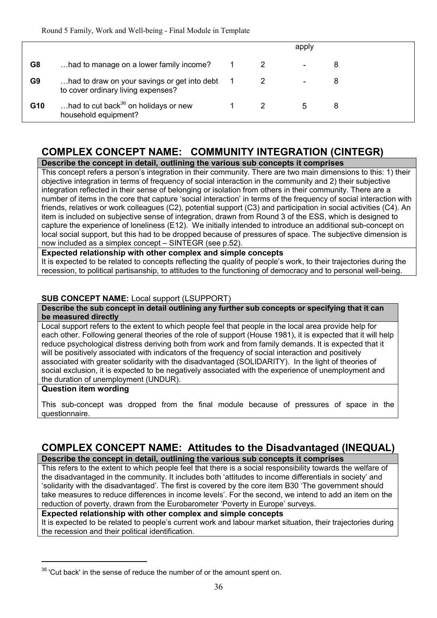|     |                                                                                    |  | apply                    |   |
|-----|------------------------------------------------------------------------------------|--|--------------------------|---|
| G8  | had to manage on a lower family income?                                            |  | $\overline{\phantom{0}}$ | 8 |
| G9  | had to draw on your savings or get into debt<br>to cover ordinary living expenses? |  |                          |   |
| G10 | had to cut back <sup>36</sup> on holidays or new<br>household equipment?           |  | 5                        | 8 |

# **COMPLEX CONCEPT NAME: COMMUNITY INTEGRATION (CINTEGR)**

# **Describe the concept in detail, outlining the various sub concepts it comprises**

This concept refers a person's integration in their community. There are two main dimensions to this: 1) their objective integration in terms of frequency of social interaction in the community and 2) their subjective integration reflected in their sense of belonging or isolation from others in their community. There are a number of items in the core that capture 'social interaction' in terms of the frequency of social interaction with friends, relatives or work colleagues (C2), potential support (C3) and participation in social activities (C4). An item is included on subjective sense of integration, drawn from Round 3 of the ESS, which is designed to capture the experience of loneliness (E12). We initially intended to introduce an additional sub-concept on local social support, but this had to be dropped because of pressures of space. The subjective dimension is now included as a simplex concept – SINTEGR (see p.52).

**Expected relationship with other complex and simple concepts**

It is expected to be related to concepts reflecting the quality of people's work, to their trajectories during the recession, to political partisanship, to attitudes to the functioning of democracy and to personal well-being.

## **SUB CONCEPT NAME:** Local support (LSUPPORT)

**Describe the sub concept in detail outlining any further sub concepts or specifying that it can be measured directly**

Local support refers to the extent to which people feel that people in the local area provide help for each other. Following general theories of the role of support (House 1981), it is expected that it will help reduce psychological distress deriving both from work and from family demands. It is expected that it will be positively associated with indicators of the frequency of social interaction and positively associated with greater solidarity with the disadvantaged (SOLIDARITY). In the light of theories of social exclusion, it is expected to be negatively associated with the experience of unemployment and the duration of unemployment (UNDUR).

## **Question item wording**

<u>.</u>

This sub-concept was dropped from the final module because of pressures of space in the questionnaire.

# **COMPLEX CONCEPT NAME: Attitudes to the Disadvantaged (INEQUAL)**

# **Describe the concept in detail, outlining the various sub concepts it comprises**

This refers to the extent to which people feel that there is a social responsibility towards the welfare of the disadvantaged in the community. It includes both 'attitudes to income differentials in society' and 'solidarity with the disadvantaged'. The first is covered by the core item B30 'The government should take measures to reduce differences in income levels'. For the second, we intend to add an item on the reduction of poverty, drawn from the Eurobarometer 'Poverty in Europe' surveys.

## **Expected relationship with other complex and simple concepts**

It is expected to be related to people's current work and labour market situation, their trajectories during the recession and their political identification.

<sup>&</sup>lt;sup>36</sup> 'Cut back' in the sense of reduce the number of or the amount spent on.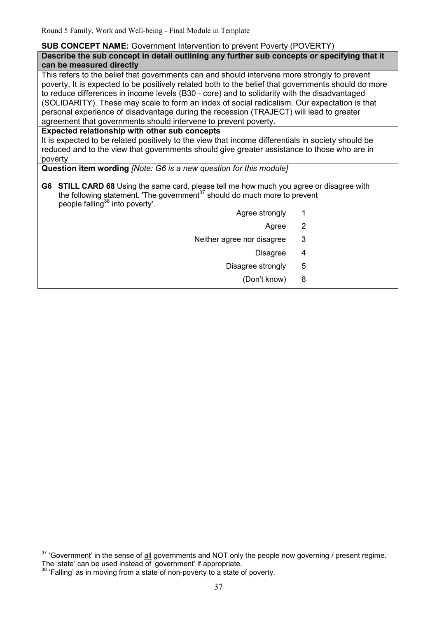## **SUB CONCEPT NAME:** Government Intervention to prevent Poverty (POVERTY)

**Describe the sub concept in detail outlining any further sub concepts or specifying that it can be measured directly**

This refers to the belief that governments can and should intervene more strongly to prevent poverty. It is expected to be positively related both to the belief that governments should do more to reduce differences in income levels (B30 - core) and to solidarity with the disadvantaged (SOLIDARITY). These may scale to form an index of social radicalism. Our expectation is that personal experience of disadvantage during the recession (TRAJECT) will lead to greater agreement that governments should intervene to prevent poverty.

## **Expected relationship with other sub concepts**

It is expected to be related positively to the view that income differentials in society should be reduced and to the view that governments should give greater assistance to those who are in poverty

# **Question item wording** *[Note: G6 is a new question for this module]*

- **G6 STILL CARD 68** Using the same card, please tell me how much you agree or disagree with the following statement. 'The government<sup>37</sup> should do much more to prevent people falling<sup>38</sup> into poverty'.
	- Agree strongly 1
		- Agree 2
	- Neither agree nor disagree 3
		- Disagree 4
		- Disagree strongly 5
			- (Don't know) 8

 $\frac{1}{2}$ 

 $37$  'Government' in the sense of all governments and NOT only the people now governing / present regime. The 'state' can be used instead of 'government' if appropriate.

<sup>&</sup>lt;sup>38</sup> 'Falling' as in moving from a state of non-poverty to a state of poverty.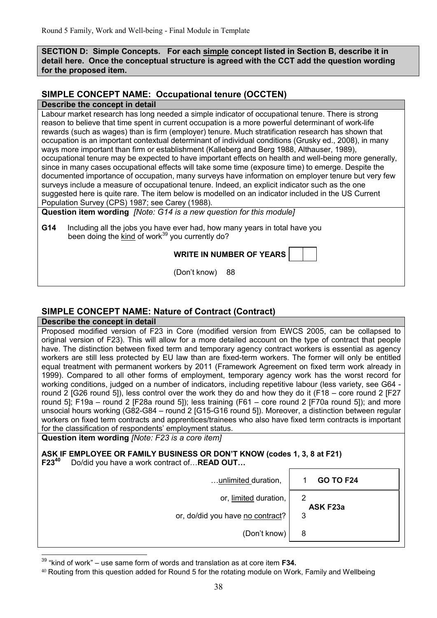**SECTION D: Simple Concepts. For each simple concept listed in Section B, describe it in detail here. Once the conceptual structure is agreed with the CCT add the question wording for the proposed item.** 

# **SIMPLE CONCEPT NAME: Occupational tenure (OCCTEN)**

#### **Describe the concept in detail**

 $\overline{\phantom{a}}$ 

Labour market research has long needed a simple indicator of occupational tenure. There is strong reason to believe that time spent in current occupation is a more powerful determinant of work-life rewards (such as wages) than is firm (employer) tenure. Much stratification research has shown that occupation is an important contextual determinant of individual conditions (Grusky ed., 2008), in many ways more important than firm or establishment (Kalleberg and Berg 1988, Althauser, 1989), occupational tenure may be expected to have important effects on health and well-being more generally, since in many cases occupational effects will take some time (exposure time) to emerge. Despite the documented importance of occupation, many surveys have information on employer tenure but very few surveys include a measure of occupational tenure. Indeed, an explicit indicator such as the one suggested here is quite rare. The item below is modelled on an indicator included in the US Current Population Survey (CPS) 1987; see Carey (1988).

**Question item wording** *[Note: G14 is a new question for this module]*

**G14** Including all the jobs you have ever had, how many years in total have you been doing the kind of work<sup>39</sup> you currently do?

(Don't know) 88

# **SIMPLE CONCEPT NAME: Nature of Contract (Contract)**

**Describe the concept in detail** Proposed modified version of F23 in Core (modified version from EWCS 2005, can be collapsed to original version of F23). This will allow for a more detailed account on the type of contract that people have. The distinction between fixed term and temporary agency contract workers is essential as agency workers are still less protected by EU law than are fixed-term workers. The former will only be entitled equal treatment with permanent workers by 2011 (Framework Agreement on fixed term work already in 1999). Compared to all other forms of employment, temporary agency work has the worst record for working conditions, judged on a number of indicators, including repetitive labour (less variety, see G64 round 2 [G26 round 5]), less control over the work they do and how they do it (F18 – core round 2 [F27 round 5]; F19a – round 2 [F28a round 5]); less training (F61 – core round 2 [F70a round 5]); and more unsocial hours working (G82-G84 – round 2 [G15-G16 round 5]). Moreover, a distinction between regular workers on fixed term contracts and apprentices/trainees who also have fixed term contracts is important for the classification of respondents' employment status.

**Question item wording** *[Note: F23 is a core item]*

**ASK IF EMPLOYEE OR FAMILY BUSINESS OR DON'T KNOW (codes 1, 3, 8 at F21) F23<sup>40</sup>** Do/did you have a work contract of... **READ OUT...** 

| unlimited duration,              | <b>GO TO F24</b> |
|----------------------------------|------------------|
| or, limited duration,            | 2<br>ASK F23a    |
| or, do/did you have no contract? | 3                |
| (Don't know)                     | 8                |

<sup>39</sup> "kind of work" – use same form of words and translation as at core item **F34.**

<sup>40</sup> Routing from this question added for Round 5 for the rotating module on Work, Family and Wellbeing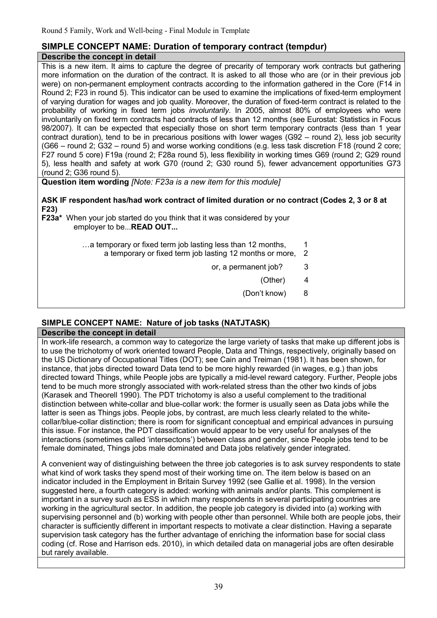## **SIMPLE CONCEPT NAME: Duration of temporary contract (tempdur) Describe the concept in detail**

This is a new item. It aims to capture the degree of precarity of temporary work contracts but gathering more information on the duration of the contract. It is asked to all those who are (or in their previous job were) on non-permanent employment contracts according to the information gathered in the Core (F14 in Round 2; F23 in round 5). This indicator can be used to examine the implications of fixed-term employment of varying duration for wages and job quality. Moreover, the duration of fixed-term contract is related to the probability of working in fixed term jobs *involuntarily*. In 2005, almost 80% of employees who were involuntarily on fixed term contracts had contracts of less than 12 months (see Eurostat: Statistics in Focus 98/2007). It can be expected that especially those on short term temporary contracts (less than 1 year contract duration), tend to be in precarious positions with lower wages (G92 – round 2), less job security (G66 – round 2; G32 – round 5) and worse working conditions (e.g. less task discretion F18 (round 2 core; F27 round 5 core) F19a (round 2; F28a round 5), less flexibility in working times G69 (round 2; G29 round 5), less health and safety at work G70 (round 2; G30 round 5), fewer advancement opportunities G73 (round 2; G36 round 5).

**Question item wording** *[Note: F23a is a new item for this module]*

## **ASK IF respondent has/had work contract of limited duration or no contract (Codes 2, 3 or 8 at F23)**

**F23a\*** When your job started do you think that it was considered by your employer to be...**READ OUT...** 

> $\dots$  a temporary or fixed term job lasting less than 12 months,  $1$ a temporary or fixed term job lasting 12 months or more, 2

> > or, a permanent job? 3

(Other) 4

(Don't know) 8

# **SIMPLE CONCEPT NAME: Nature of job tasks (NATJTASK)**

## **Describe the concept in detail**

In work-life research, a common way to categorize the large variety of tasks that make up different jobs is to use the trichotomy of work oriented toward People, Data and Things, respectively, originally based on the US Dictionary of Occupational Titles (DOT); see Cain and Treiman (1981). It has been shown, for instance, that jobs directed toward Data tend to be more highly rewarded (in wages, e.g.) than jobs directed toward Things, while People jobs are typically a mid-level reward category. Further, People jobs tend to be much more strongly associated with work-related stress than the other two kinds of jobs (Karasek and Theorell 1990). The PDT trichotomy is also a useful complement to the traditional distinction between white-collar and blue-collar work: the former is usually seen as Data jobs while the latter is seen as Things jobs. People jobs, by contrast, are much less clearly related to the whitecollar/blue-collar distinction; there is room for significant conceptual and empirical advances in pursuing this issue. For instance, the PDT classification would appear to be very useful for analyses of the interactions (sometimes called 'intersectons') between class and gender, since People jobs tend to be female dominated, Things jobs male dominated and Data jobs relatively gender integrated.

A convenient way of distinguishing between the three job categories is to ask survey respondents to state what kind of work tasks they spend most of their working time on. The item below is based on an indicator included in the Employment in Britain Survey 1992 (see Gallie et al. 1998). In the version suggested here, a fourth category is added: working with animals and/or plants. This complement is important in a survey such as ESS in which many respondents in several participating countries are working in the agricultural sector. In addition, the people job category is divided into (a) working with supervising personnel and (b) working with people other than personnel. While both are people jobs, their character is sufficiently different in important respects to motivate a clear distinction. Having a separate supervision task category has the further advantage of enriching the information base for social class coding (cf. Rose and Harrison eds. 2010), in which detailed data on managerial jobs are often desirable but rarely available.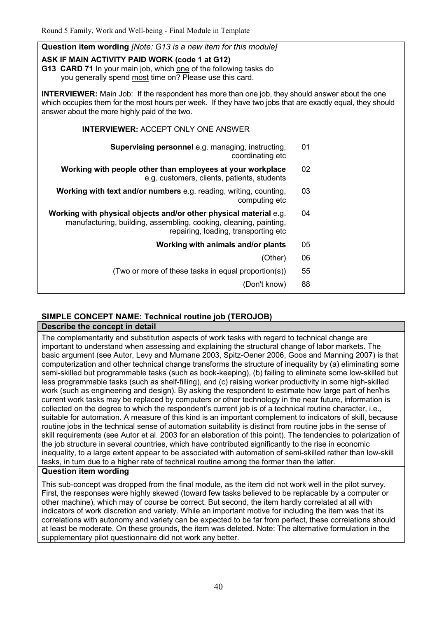| <b>Question item wording [Note: G13 is a new item for this module]</b>                                                                                                                                                                                                 |    |  |  |  |  |  |
|------------------------------------------------------------------------------------------------------------------------------------------------------------------------------------------------------------------------------------------------------------------------|----|--|--|--|--|--|
| ASK IF MAIN ACTIVITY PAID WORK (code 1 at G12)<br>G13 CARD 71 In your main job, which one of the following tasks do<br>you generally spend most time on? Please use this card.                                                                                         |    |  |  |  |  |  |
| <b>INTERVIEWER:</b> Main Job: If the respondent has more than one job, they should answer about the one<br>which occupies them for the most hours per week. If they have two jobs that are exactly equal, they should<br>answer about the more highly paid of the two. |    |  |  |  |  |  |
| <b>INTERVIEWER: ACCEPT ONLY ONE ANSWER</b>                                                                                                                                                                                                                             |    |  |  |  |  |  |
| <b>Supervising personnel e.g. managing, instructing,</b><br>coordinating etc                                                                                                                                                                                           | 01 |  |  |  |  |  |
| Working with people other than employees at your workplace<br>e.g. customers, clients, patients, students                                                                                                                                                              | 02 |  |  |  |  |  |
| Working with text and/or numbers e.g. reading, writing, counting,<br>computing etc                                                                                                                                                                                     | 03 |  |  |  |  |  |
| Working with physical objects and/or other physical material e.g.<br>manufacturing, building, assembling, cooking, cleaning, painting,<br>repairing, loading, transporting etc                                                                                         | 04 |  |  |  |  |  |
| Working with animals and/or plants                                                                                                                                                                                                                                     | 05 |  |  |  |  |  |
| (Other)                                                                                                                                                                                                                                                                | 06 |  |  |  |  |  |
| (Two or more of these tasks in equal proportion(s))                                                                                                                                                                                                                    | 55 |  |  |  |  |  |
| (Don't know)                                                                                                                                                                                                                                                           | 88 |  |  |  |  |  |

# **SIMPLE CONCEPT NAME: Technical routine job (TEROJOB)**

## **Describe the concept in detail**

The complementarity and substitution aspects of work tasks with regard to technical change are important to understand when assessing and explaining the structural change of labor markets. The basic argument (see Autor, Levy and Murnane 2003, Spitz-Oener 2006, Goos and Manning 2007) is that computerization and other technical change transforms the structure of inequality by (a) eliminating some semi-skilled but programmable tasks (such as book-keeping), (b) failing to eliminate some low-skilled but less programmable tasks (such as shelf-filling), and (c) raising worker productivity in some high-skilled work (such as engineering and design). By asking the respondent to estimate how large part of her/his current work tasks may be replaced by computers or other technology in the near future, information is collected on the degree to which the respondent's current job is of a technical routine character, i.e., suitable for automation. A measure of this kind is an important complement to indicators of skill, because routine jobs in the technical sense of automation suitability is distinct from routine jobs in the sense of skill requirements (see Autor et al. 2003 for an elaboration of this point). The tendencies to polarization of the job structure in several countries, which have contributed significantly to the rise in economic inequality, to a large extent appear to be associated with automation of semi-skilled rather than low-skill tasks, in turn due to a higher rate of technical routine among the former than the latter.

## **Question item wording**

This sub-concept was dropped from the final module, as the item did not work well in the pilot survey. First, the responses were highly skewed (toward few tasks believed to be replacable by a computer or other machine), which may of course be correct. But second, the item hardly correlated at all with indicators of work discretion and variety. While an important motive for including the item was that its correlations with autonomy and variety can be expected to be far from perfect, these correlations should at least be moderate. On these grounds, the item was deleted. Note: The alternative formulation in the supplementary pilot questionnaire did not work any better.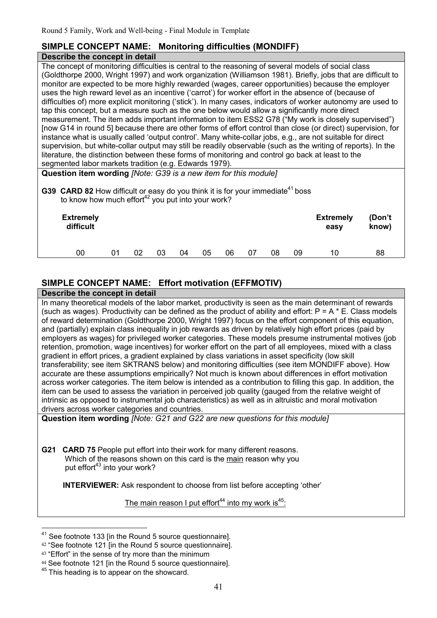## **SIMPLE CONCEPT NAME: Monitoring difficulties (MONDIFF) Describe the concept in detail**

The concept of monitoring difficulties is central to the reasoning of several models of social class (Goldthorpe 2000, Wright 1997) and work organization (Williamson 1981). Briefly, jobs that are difficult to monitor are expected to be more highly rewarded (wages, career opportunities) because the employer uses the high reward level as an incentive ('carrot') for worker effort in the absence of (because of difficulties of) more explicit monitoring ('stick'). In many cases, indicators of worker autonomy are used to tap this concept, but a measure such as the one below would allow a significantly more direct measurement. The item adds important information to item ESS2 G78 ("My work is closely supervised") [now G14 in round 5] because there are other forms of effort control than close (or direct) supervision, for instance what is usually called 'output control'. Many white-collar jobs, e.g., are not suitable for direct supervision, but white-collar output may still be readily observable (such as the writing of reports). In the literature, the distinction between these forms of monitoring and control go back at least to the segmented labor markets tradition (e.g. Edwards 1979).

| Question item wording [Note: G39 is a new item for this module] |  |  |
|-----------------------------------------------------------------|--|--|
|-----------------------------------------------------------------|--|--|

| G39 CARD 82 How difficult or easy do you think it is for your immediate <sup>41</sup> boss |
|--------------------------------------------------------------------------------------------|
| to know how much effort <sup>42</sup> you put into your work?                              |

| <b>Extremely</b><br>difficult |    |    |    |    |    |    |    |    |    | <b>Extremely</b><br>easy | (Don't<br>know) |  |
|-------------------------------|----|----|----|----|----|----|----|----|----|--------------------------|-----------------|--|
| 00                            | 01 | 02 | 03 | 04 | 05 | 06 | 07 | 08 | 09 | 10                       | 88              |  |

# **SIMPLE CONCEPT NAME: Effort motivation (EFFMOTIV)**

**Describe the concept in detail**

In many theoretical models of the labor market, productivity is seen as the main determinant of rewards (such as wages). Productivity can be defined as the product of ability and effort:  $P = A * E$ . Class models of reward determination (Goldthorpe 2000, Wright 1997) focus on the effort component of this equation, and (partially) explain class inequality in job rewards as driven by relatively high effort prices (paid by employers as wages) for privileged worker categories. These models presume instrumental motives (job retention, promotion, wage incentives) for worker effort on the part of all employees, mixed with a class gradient in effort prices, a gradient explained by class variations in asset specificity (low skill transferability; see item SKTRANS below) and monitoring difficulties (see item MONDIFF above). How accurate are these assumptions empirically? Not much is known about differences in effort motivation across worker categories. The item below is intended as a contribution to filling this gap. In addition, the item can be used to assess the variation in perceived job quality (gauged from the relative weight of intrinsic as opposed to instrumental job characteristics) as well as in altruistic and moral motivation drivers across worker categories and countries.

**Question item wording** *[Note: G21 and G22 are new questions for this module]*

**G21 CARD 75** People put effort into their work for many different reasons. Which of the reasons shown on this card is the main reason why you put effort $43$  into your work?

**INTERVIEWER:** Ask respondent to choose from list before accepting 'other'

The main reason I put effort<sup>44</sup> into my work is<sup>45</sup>:

 $\overline{\phantom{a}}$ 

 $41$  See footnote 133 [in the Round 5 source questionnaire].

<sup>&</sup>lt;sup>42</sup> "See footnote 121 [in the Round 5 source questionnaire].

<sup>&</sup>lt;sup>43</sup> "Effort" in the sense of try more than the minimum

<sup>44</sup> See footnote 121 [in the Round 5 source questionnaire].

<sup>&</sup>lt;sup>45</sup> This heading is to appear on the showcard.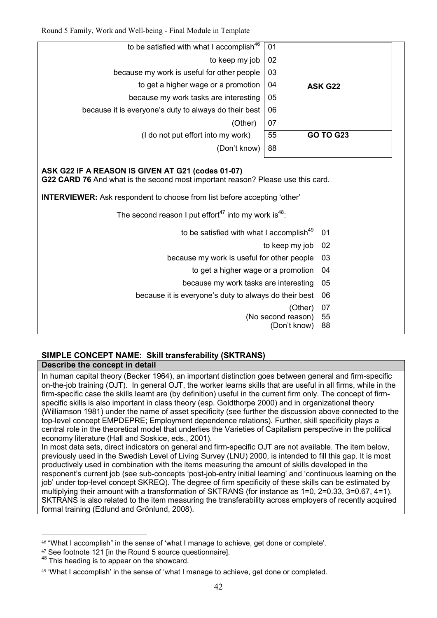| 01                     | to be satisfied with what I accomplish <sup>46</sup>  |
|------------------------|-------------------------------------------------------|
| 02                     | to keep my job                                        |
| 03                     | because my work is useful for other people            |
| 04<br>ASK G22          | to get a higher wage or a promotion                   |
| 05                     | because my work tasks are interesting                 |
| 06                     | because it is everyone's duty to always do their best |
| 07                     | (Other)                                               |
| 55<br><b>GO TO G23</b> | (I do not put effort into my work)                    |
| 88                     | (Don't know)                                          |
|                        |                                                       |

# **ASK G22 IF A REASON IS GIVEN AT G21 (codes 01-07)**

**G22 CARD 76** And what is the second most important reason? Please use this card.

**INTERVIEWER:** Ask respondent to choose from list before accepting 'other'

The second reason I put effort<sup>47</sup> into my work is<sup>48</sup>:

- to be satisfied with what I accomplish<sup>49</sup> 01
	- to keep my job 02
- because my work is useful for other people 03
	- to get a higher wage or a promotion 04
	- because my work tasks are interesting 05
- because it is everyone's duty to always do their best 06
	- (Other) 07
	- (No second reason) 55
		- (Don't know) 88

# **SIMPLE CONCEPT NAME: Skill transferability (SKTRANS)**

## **Describe the concept in detail**

In human capital theory (Becker 1964), an important distinction goes between general and firm-specific on-the-job training (OJT). In general OJT, the worker learns skills that are useful in all firms, while in the firm-specific case the skills learnt are (by definition) useful in the current firm only. The concept of firmspecific skills is also important in class theory (esp. Goldthorpe 2000) and in organizational theory (Williamson 1981) under the name of asset specificity (see further the discussion above connected to the top-level concept EMPDEPRE; Employment dependence relations). Further, skill specificity plays a central role in the theoretical model that underlies the Varieties of Capitalism perspective in the political economy literature (Hall and Soskice, eds., 2001).

In most data sets, direct indicators on general and firm-specific OJT are not available. The item below, previously used in the Swedish Level of Living Survey (LNU) 2000, is intended to fill this gap. It is most productively used in combination with the items measuring the amount of skills developed in the responent's current job (see sub-concepts 'post-job-entry initial learning' and 'continuous learning on the job' under top-level concept SKREQ). The degree of firm specificity of these skills can be estimated by multiplying their amount with a transformation of SKTRANS (for instance as 1=0, 2=0.33, 3=0.67, 4=1). SKTRANS is also related to the item measuring the transferability across employers of recently acquired formal training (Edlund and Grönlund, 2008).

<sup>&</sup>lt;u>.</u> <sup>46</sup> "What I accomplish" in the sense of 'what I manage to achieve, get done or complete'.

<sup>&</sup>lt;sup>47</sup> See footnote 121 lin the Round 5 source questionnairel.

<sup>&</sup>lt;sup>48</sup> This heading is to appear on the showcard.

<sup>49</sup> 'What I accomplish' in the sense of 'what I manage to achieve, get done or completed.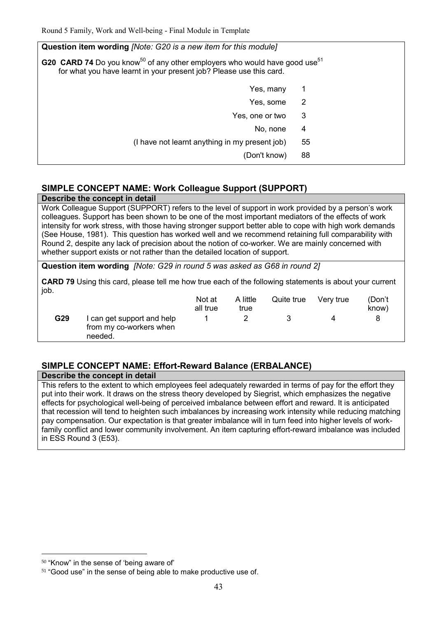| Question item wording <i>[Note: G20 is a new item for this module]</i>                                                                                                           |    |  |  |  |  |  |  |
|----------------------------------------------------------------------------------------------------------------------------------------------------------------------------------|----|--|--|--|--|--|--|
| <b>G20 CARD 74</b> Do you know <sup>50</sup> of any other employers who would have good use <sup>51</sup><br>for what you have learnt in your present job? Please use this card. |    |  |  |  |  |  |  |
| Yes, many                                                                                                                                                                        | 1  |  |  |  |  |  |  |
| Yes, some                                                                                                                                                                        | 2  |  |  |  |  |  |  |
| Yes, one or two                                                                                                                                                                  | 3  |  |  |  |  |  |  |
| No, none                                                                                                                                                                         | 4  |  |  |  |  |  |  |
| (I have not learnt anything in my present job)                                                                                                                                   | 55 |  |  |  |  |  |  |
| (Don't know)                                                                                                                                                                     | 88 |  |  |  |  |  |  |

# **SIMPLE CONCEPT NAME: Work Colleague Support (SUPPORT)**

**Describe the concept in detail**

Work Colleague Support (SUPPORT) refers to the level of support in work provided by a person's work colleagues. Support has been shown to be one of the most important mediators of the effects of work intensity for work stress, with those having stronger support better able to cope with high work demands (See House, 1981). This question has worked well and we recommend retaining full comparability with Round 2, despite any lack of precision about the notion of co-worker. We are mainly concerned with whether support exists or not rather than the detailed location of support.

**Question item wording** *[Note: G29 in round 5 was asked as G68 in round 2]*

**CARD 79** Using this card, please tell me how true each of the following statements is about your current job.

|     |                                                                  | Not at<br>all true | A little<br>true | Quite true | Very true | (Don't<br>know) |
|-----|------------------------------------------------------------------|--------------------|------------------|------------|-----------|-----------------|
| G29 | I can get support and help<br>from my co-workers when<br>needed. |                    |                  |            |           |                 |

# **SIMPLE CONCEPT NAME: Effort-Reward Balance (ERBALANCE)**

**Describe the concept in detail**

This refers to the extent to which employees feel adequately rewarded in terms of pay for the effort they put into their work. It draws on the stress theory developed by Siegrist, which emphasizes the negative effects for psychological well-being of perceived imbalance between effort and reward. It is anticipated that recession will tend to heighten such imbalances by increasing work intensity while reducing matching pay compensation. Our expectation is that greater imbalance will in turn feed into higher levels of workfamily conflict and lower community involvement. An item capturing effort-reward imbalance was included in ESS Round 3 (E53).

-

<sup>50</sup> "Know" in the sense of 'being aware of'

<sup>&</sup>lt;sup>51</sup> "Good use" in the sense of being able to make productive use of.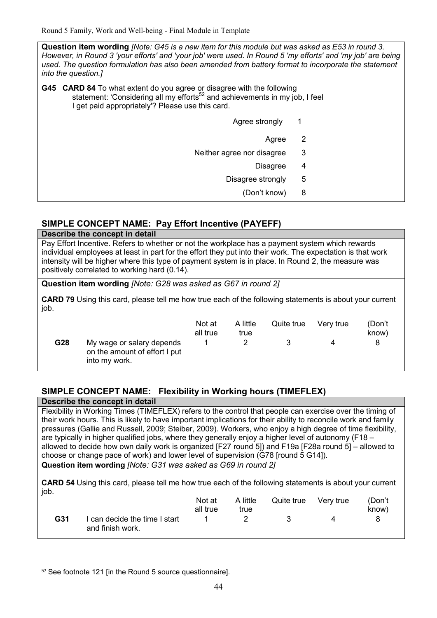**Question item wording** *[Note: G45 is a new item for this module but was asked as E53 in round 3. However, in Round 3 'your efforts' and 'your job' were used. In Round 5 'my efforts' and 'my job' are being used. The question formulation has also been amended from battery format to incorporate the statement into the question.]* 

**G45 CARD 84** To what extent do you agree or disagree with the following statement: 'Considering all my efforts<sup>52</sup> and achievements in my job, I feel I get paid appropriately'? Please use this card.

|                            | Agree strongly<br>$\overline{\phantom{1}}$ |  |
|----------------------------|--------------------------------------------|--|
|                            | $\overline{\phantom{0}}^2$<br>Agree        |  |
| Neither agree nor disagree | 3                                          |  |
|                            | <b>Disagree</b><br>4                       |  |
|                            | Disagree strongly<br>5                     |  |
|                            | (Don't know)<br>8                          |  |

# **SIMPLE CONCEPT NAME: Pay Effort Incentive (PAYEFF)**

**Describe the concept in detail** Pay Effort Incentive. Refers to whether or not the workplace has a payment system which rewards individual employees at least in part for the effort they put into their work. The expectation is that work intensity will be higher where this type of payment system is in place. In Round 2, the measure was positively correlated to working hard (0.14).

**Question item wording** *[Note: G28 was asked as G67 in round 2]*

**CARD 79** Using this card, please tell me how true each of the following statements is about your current job.

|     |                                                                             | Not at<br>all true | A little<br>true | Quite true | Verv true | (Don't<br>know) |
|-----|-----------------------------------------------------------------------------|--------------------|------------------|------------|-----------|-----------------|
| G28 | My wage or salary depends<br>on the amount of effort I put<br>into my work. |                    |                  |            |           | 8               |

# **SIMPLE CONCEPT NAME: Flexibility in Working hours (TIMEFLEX)**

**Describe the concept in detail**

Flexibility in Working Times (TIMEFLEX) refers to the control that people can exercise over the timing of their work hours. This is likely to have important implications for their ability to reconcile work and family pressures (Gallie and Russell, 2009; Steiber, 2009). Workers, who enjoy a high degree of time flexibility, are typically in higher qualified jobs, where they generally enjoy a higher level of autonomy (F18 – allowed to decide how own daily work is organized [F27 round 5]) and F19a [F28a round 5] – allowed to choose or change pace of work) and lower level of supervision (G78 [round 5 G14]).

**Question item wording** *[Note: G31 was asked as G69 in round 2]*

**CARD 54** Using this card, please tell me how true each of the following statements is about your current job.

|     |                                                 | Not at<br>all true | A little<br>true | Quite true | Verv true | (Don't<br>know) |
|-----|-------------------------------------------------|--------------------|------------------|------------|-----------|-----------------|
| G31 | can decide the time I start<br>and finish work. |                    |                  |            |           |                 |

<sup>&</sup>lt;u>.</u> <sup>52</sup> See footnote 121 [in the Round 5 source questionnaire].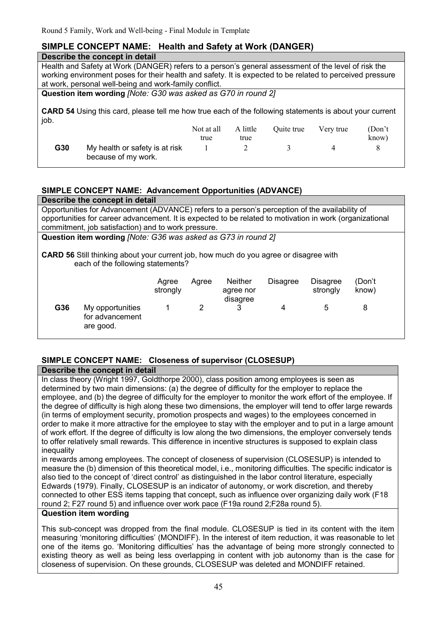# **SIMPLE CONCEPT NAME: Health and Safety at Work (DANGER)**

## **Describe the concept in detail**

Health and Safety at Work (DANGER) refers to a person's general assessment of the level of risk the working environment poses for their health and safety. It is expected to be related to perceived pressure at work, personal well-being and work-family conflict.

**Question item wording** *[Note: G30 was asked as G70 in round 2]*

**CARD 54** Using this card, please tell me how true each of the following statements is about your current job.

|     |                                                       | Not at all<br>true | A little<br>true | Ouite true | Very true | (Don't)<br>know) |
|-----|-------------------------------------------------------|--------------------|------------------|------------|-----------|------------------|
| G30 | My health or safety is at risk<br>because of my work. |                    |                  |            |           |                  |

# **SIMPLE CONCEPT NAME: Advancement Opportunities (ADVANCE)**

|                                                                                                                                   | Describe the concept in detail                                                                           |                   |       |                                         |                 |                             |                 |  |  |
|-----------------------------------------------------------------------------------------------------------------------------------|----------------------------------------------------------------------------------------------------------|-------------------|-------|-----------------------------------------|-----------------|-----------------------------|-----------------|--|--|
|                                                                                                                                   | Opportunities for Advancement (ADVANCE) refers to a person's perception of the availability of           |                   |       |                                         |                 |                             |                 |  |  |
|                                                                                                                                   | opportunities for career advancement. It is expected to be related to motivation in work (organizational |                   |       |                                         |                 |                             |                 |  |  |
|                                                                                                                                   | commitment, job satisfaction) and to work pressure.                                                      |                   |       |                                         |                 |                             |                 |  |  |
|                                                                                                                                   | Question item wording [Note: G36 was asked as G73 in round 2]                                            |                   |       |                                         |                 |                             |                 |  |  |
| <b>CARD 56</b> Still thinking about your current job, how much do you agree or disagree with<br>each of the following statements? |                                                                                                          |                   |       |                                         |                 |                             |                 |  |  |
|                                                                                                                                   |                                                                                                          | Agree<br>strongly | Agree | <b>Neither</b><br>agree nor<br>disagree | <b>Disagree</b> | <b>Disagree</b><br>strongly | (Don't<br>know) |  |  |
| G36                                                                                                                               | My opportunities<br>for advancement<br>are good.                                                         |                   | 2     | 3                                       | 4               | 5                           | 8               |  |  |

# **SIMPLE CONCEPT NAME: Closeness of supervisor (CLOSESUP)**

# **Describe the concept in detail**

In class theory (Wright 1997, Goldthorpe 2000), class position among employees is seen as determined by two main dimensions: (a) the degree of difficulty for the employer to replace the employee, and (b) the degree of difficulty for the employer to monitor the work effort of the employee. If the degree of difficulty is high along these two dimensions, the employer will tend to offer large rewards (in terms of employment security, promotion prospects and wages) to the employees concerned in order to make it more attractive for the employee to stay with the employer and to put in a large amount of work effort. If the degree of difficulty is low along the two dimensions, the employer conversely tends to offer relatively small rewards. This difference in incentive structures is supposed to explain class inequality

in rewards among employees. The concept of closeness of supervision (CLOSESUP) is intended to measure the (b) dimension of this theoretical model, i.e., monitoring difficulties. The specific indicator is also tied to the concept of 'direct control' as distinguished in the labor control literature, especially Edwards (1979). Finally, CLOSESUP is an indicator of autonomy, or work discretion, and thereby connected to other ESS items tapping that concept, such as influence over organizing daily work (F18 round 2; F27 round 5) and influence over work pace (F19a round 2;F28a round 5).

# **Question item wording**

This sub-concept was dropped from the final module. CLOSESUP is tied in its content with the item measuring 'monitoring difficulties' (MONDIFF). In the interest of item reduction, it was reasonable to let one of the items go. 'Monitoring difficulties' has the advantage of being more strongly connected to existing theory as well as being less overlapping in content with job autonomy than is the case for closeness of supervision. On these grounds, CLOSESUP was deleted and MONDIFF retained.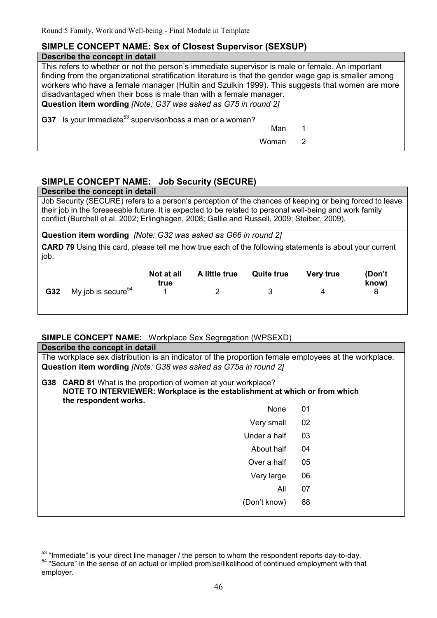# **SIMPLE CONCEPT NAME: Sex of Closest Supervisor (SEXSUP)**

# **Describe the concept in detail**

| This refers to whether or not the person's immediate supervisor is male or female. An important        |   |  |  |  |  |
|--------------------------------------------------------------------------------------------------------|---|--|--|--|--|
| finding from the organizational stratification literature is that the gender wage gap is smaller among |   |  |  |  |  |
| workers who have a female manager (Hultin and Szulkin 1999). This suggests that women are more         |   |  |  |  |  |
| disadvantaged when their boss is male than with a female manager.                                      |   |  |  |  |  |
| Question item wording <i>[Note: G37 was asked as G75 in round 2]</i>                                   |   |  |  |  |  |
| <b>G37</b> Is your immediate <sup>53</sup> supervisor/boss a man or a woman?                           |   |  |  |  |  |
| Man                                                                                                    |   |  |  |  |  |
| Woman                                                                                                  | 2 |  |  |  |  |
|                                                                                                        |   |  |  |  |  |

# **SIMPLE CONCEPT NAME: Job Security (SECURE)**

**Describe the concept in detail**

Job Security (SECURE) refers to a person's perception of the chances of keeping or being forced to leave their job in the foreseeable future. It is expected to be related to personal well-being and work family conflict (Burchell et al. 2002; Erlinghagen, 2008; Gallie and Russell, 2009; Steiber, 2009).

**Question item wording** *[Note: G32 was asked as G66 in round 2]*

**CARD 79** Using this card, please tell me how true each of the following statements is about your current job.

|            |                                | Not at all<br>true | A little true | <b>Quite true</b> | <b>Very true</b> | (Don't<br>know) |
|------------|--------------------------------|--------------------|---------------|-------------------|------------------|-----------------|
| <b>G32</b> | My job is secure <sup>54</sup> |                    |               |                   |                  |                 |

## **SIMPLE CONCEPT NAME:** Workplace Sex Segregation (WPSEXD)

| Describe the concept in detail                                                                                                                                        |    |  |  |  |  |  |
|-----------------------------------------------------------------------------------------------------------------------------------------------------------------------|----|--|--|--|--|--|
| The workplace sex distribution is an indicator of the proportion female employees at the workplace.                                                                   |    |  |  |  |  |  |
| Question item wording [Note: G38 was asked as G75a in round 2]                                                                                                        |    |  |  |  |  |  |
| G38 CARD 81 What is the proportion of women at your workplace?<br>NOTE TO INTERVIEWER: Workplace is the establishment at which or from which<br>the respondent works. |    |  |  |  |  |  |
| None                                                                                                                                                                  | 01 |  |  |  |  |  |
| Very small                                                                                                                                                            | 02 |  |  |  |  |  |

| Under a half | 03 |  |
|--------------|----|--|
| About half   | 04 |  |
| Over a half  | 05 |  |
| Very large   | 06 |  |
| All          | 07 |  |
| (Don't know) | 88 |  |
|              |    |  |

 $\overline{\phantom{a}}$  $53$  "Immediate" is your direct line manager / the person to whom the respondent reports day-to-day. <sup>54</sup> "Secure" in the sense of an actual or implied promise/likelihood of continued employment with that employer.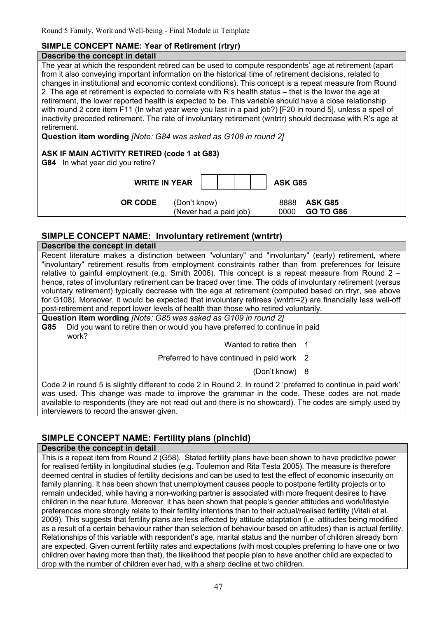## **SIMPLE CONCEPT NAME: Year of Retirement (rtryr)**

## **Describe the concept in detail**

The year at which the respondent retired can be used to compute respondents' age at retirement (apart from it also conveying important information on the historical time of retirement decisions, related to changes in institutional and economic context conditions). This concept is a repeat measure from Round 2. The age at retirement is expected to correlate with R's health status – that is the lower the age at retirement, the lower reported health is expected to be. This variable should have a close relationship with round 2 core item F11 (In what year were you last in a paid job?) [F20 in round 5], unless a spell of inactivity preceded retirement. The rate of involuntary retirement (wntrtr) should decrease with R's age at retirement.

**Question item wording** *[Note: G84 was asked as G108 in round 2]*

## **ASK IF MAIN ACTIVITY RETIRED (code 1 at G83)**

**G84** In what year did you retire?

**WRITE IN YEAR | | | | | ASK G85** 

 **OR CODE** (Don't know) 8888 **ASK G85**  (Never had a paid job) 0000 **GO TO G86** 

# **SIMPLE CONCEPT NAME: Involuntary retirement (wntrtr)**

**Describe the concept in detail** Recent literature makes a distinction between "voluntary" and "involuntary" (early) retirement, where "involuntary" retirement results from employment constraints rather than from preferences for leisure relative to gainful employment (e.g. Smith 2006). This concept is a repeat measure from Round 2 – hence, rates of involuntary retirement can be traced over time. The odds of involuntary retirement (versus voluntary retirement) typically decrease with the age at retirement (computed based on rtryr, see above for G108). Moreover, it would be expected that involuntary retirees (wntrtr=2) are financially less well-off post-retirement and report lower levels of health than those who retired voluntarily.

**Question item wording** *[Note: G85 was asked as G109 in round 2]* **G85** Did you want to retire then or would you have preferred to continue in paid work?

Wanted to retire then 1

Preferred to have continued in paid work 2

(Don't know) 8

Code 2 in round 5 is slightly different to code 2 in Round 2. In round 2 'preferred to continue in paid work' was used. This change was made to improve the grammar in the code. These codes are not made available to respondents (they are not read out and there is no showcard). The codes are simply used by interviewers to record the answer given.

# **SIMPLE CONCEPT NAME: Fertility plans (plnchld)**

## **Describe the concept in detail**

This is a repeat item from Round 2 (G58). Stated fertility plans have been shown to have predictive power for realised fertility in longitudinal studies (e.g. Toulemon and Rita Testa 2005). The measure is therefore deemed central in studies of fertility decisions and can be used to test the effect of economic insecurity on family planning. It has been shown that unemployment causes people to postpone fertility projects or to remain undecided, while having a non-working partner is associated with more frequent desires to have children in the near future. Moreover, it has been shown that people's gender attitudes and work/lifestyle preferences more strongly relate to their fertility intentions than to their actual/realised fertility (Vitali et al. 2009). This suggests that fertility plans are less affected by attitude adaptation (i.e. attitudes being modified as a result of a certain behaviour rather than selection of behaviour based on attitudes) than is actual fertility. Relationships of this variable with respondent's age, marital status and the number of children already born are expected. Given current fertility rates and expectations (with most couples preferring to have one or two children over having more than that), the likelihood that people plan to have another child are expected to drop with the number of children ever had, with a sharp decline at two children.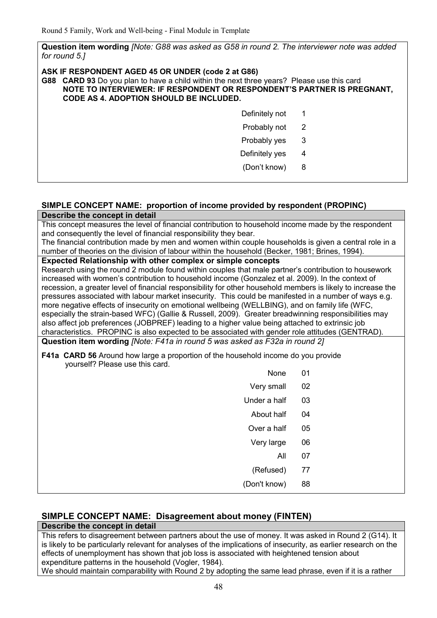**Question item wording** *[Note: G88 was asked as G58 in round 2. The interviewer note was added for round 5.]*

#### **ASK IF RESPONDENT AGED 45 OR UNDER (code 2 at G86)**

**G88 CARD 93** Do you plan to have a child within the next three years? Please use this card **NOTE TO INTERVIEWER: IF RESPONDENT OR RESPONDENT'S PARTNER IS PREGNANT, CODE AS 4. ADOPTION SHOULD BE INCLUDED.**

| Definitely not | 1 |  |
|----------------|---|--|
| Probably not   | 2 |  |
| Probably yes   | 3 |  |
| Definitely yes | 4 |  |
| (Don't know)   | 8 |  |

## **SIMPLE CONCEPT NAME: proportion of income provided by respondent (PROPINC) Describe the concept in detail**

This concept measures the level of financial contribution to household income made by the respondent and consequently the level of financial responsibility they bear.

The financial contribution made by men and women within couple households is given a central role in a number of theories on the division of labour within the household (Becker, 1981; Brines, 1994).

#### **Expected Relationship with other complex or simple concepts**

Research using the round 2 module found within couples that male partner's contribution to housework increased with women's contribution to household income (Gonzalez et al. 2009). In the context of recession, a greater level of financial responsibility for other household members is likely to increase the pressures associated with labour market insecurity. This could be manifested in a number of ways e.g. more negative effects of insecurity on emotional wellbeing (WELLBING), and on family life (WFC, especially the strain-based WFC) (Gallie & Russell, 2009). Greater breadwinning responsibilities may also affect job preferences (JOBPREF) leading to a higher value being attached to extrinsic job characteristics. PROPINC is also expected to be associated with gender role attitudes (GENTRAD).

**Question item wording** *[Note: F41a in round 5 was asked as F32a in round 2]*

**F41a CARD 56** Around how large a proportion of the household income do you provide yourself? Please use this card.

|    |              | yoursell? Please use this card. |
|----|--------------|---------------------------------|
| 01 | None         |                                 |
| 02 | Very small   |                                 |
| 03 | Under a half |                                 |
| 04 | About half   |                                 |
| 05 | Over a half  |                                 |
| 06 | Very large   |                                 |
| 07 | All          |                                 |
| 77 | (Refused)    |                                 |
| 88 | (Don't know) |                                 |

# **SIMPLE CONCEPT NAME: Disagreement about money (FINTEN)**

#### **Describe the concept in detail**

This refers to disagreement between partners about the use of money. It was asked in Round 2 (G14). It is likely to be particularly relevant for analyses of the implications of insecurity, as earlier research on the effects of unemployment has shown that job loss is associated with heightened tension about expenditure patterns in the household (Vogler, 1984).

We should maintain comparability with Round 2 by adopting the same lead phrase, even if it is a rather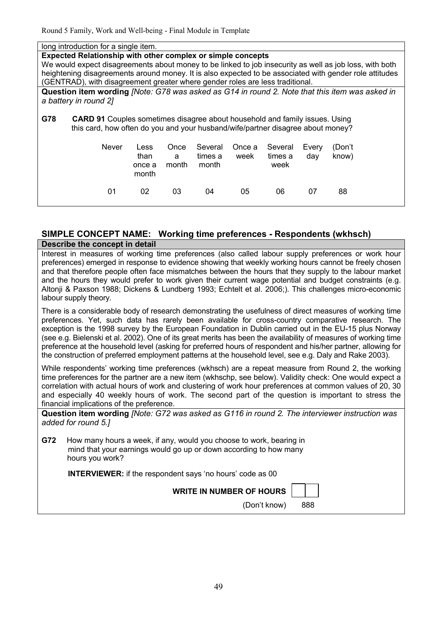| long introduction for a single item.                                                                    |        |       |         |        |         |       |        |
|---------------------------------------------------------------------------------------------------------|--------|-------|---------|--------|---------|-------|--------|
| Expected Relationship with other complex or simple concepts                                             |        |       |         |        |         |       |        |
| We would expect disagreements about money to be linked to job insecurity as well as job loss, with both |        |       |         |        |         |       |        |
| heightening disagreements around money. It is also expected to be associated with gender role attitudes |        |       |         |        |         |       |        |
| (GENTRAD), with disagreement greater where gender roles are less traditional.                           |        |       |         |        |         |       |        |
| Question item wording [Note: G78 was asked as G14 in round 2. Note that this item was asked in          |        |       |         |        |         |       |        |
| a battery in round 2]                                                                                   |        |       |         |        |         |       |        |
|                                                                                                         |        |       |         |        |         |       |        |
| G78<br><b>CARD 91</b> Couples sometimes disagree about household and family issues. Using               |        |       |         |        |         |       |        |
| this card, how often do you and your husband/wife/partner disagree about money?                         |        |       |         |        |         |       |        |
|                                                                                                         |        |       |         |        |         |       |        |
| <b>Never</b>                                                                                            | Less   | Once  | Several | Once a | Several | Every | (Don't |
|                                                                                                         | than   | a     | times a | week   | times a | day   | know)  |
|                                                                                                         | once a | month | month   |        | week    |       |        |
|                                                                                                         | month  |       |         |        |         |       |        |
|                                                                                                         |        |       |         |        |         |       |        |
| 01                                                                                                      | 02     | 03    | 04      | 05     | 06      | 07    | 88     |
|                                                                                                         |        |       |         |        |         |       |        |
|                                                                                                         |        |       |         |        |         |       |        |

## **SIMPLE CONCEPT NAME: Working time preferences - Respondents (wkhsch) Describe the concept in detail**

Interest in measures of working time preferences (also called labour supply preferences or work hour preferences) emerged in response to evidence showing that weekly working hours cannot be freely chosen and that therefore people often face mismatches between the hours that they supply to the labour market and the hours they would prefer to work given their current wage potential and budget constraints (e.g. Altonji & Paxson 1988; Dickens & Lundberg 1993; Echtelt et al. 2006;). This challenges micro-economic labour supply theory.

There is a considerable body of research demonstrating the usefulness of direct measures of working time preferences. Yet, such data has rarely been available for cross-country comparative research. The exception is the 1998 survey by the European Foundation in Dublin carried out in the EU-15 plus Norway (see e.g. Bielenski et al. 2002). One of its great merits has been the availability of measures of working time preference at the household level (asking for preferred hours of respondent and his/her partner, allowing for the construction of preferred employment patterns at the household level, see e.g. Daly and Rake 2003).

While respondents' working time preferences (wkhsch) are a repeat measure from Round 2, the working time preferences for the partner are a new item (wkhschp, see below). Validity check: One would expect a correlation with actual hours of work and clustering of work hour preferences at common values of 20, 30 and especially 40 weekly hours of work. The second part of the question is important to stress the financial implications of the preference.

**Question item wording** *[Note: G72 was asked as G116 in round 2. The interviewer instruction was added for round 5.]*

**G72** How many hours a week, if any, would you choose to work, bearing in mind that your earnings would go up or down according to how many hours you work?

**INTERVIEWER:** if the respondent says 'no hours' code as 00

**WRITE IN NUMBER OF HOURS** 

| ۰.  |  |
|-----|--|
| . . |  |

(Don't know) 888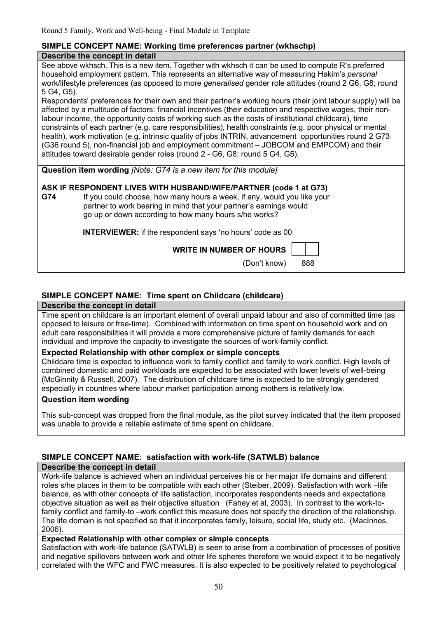# **SIMPLE CONCEPT NAME: Working time preferences partner (wkhschp)**

#### **Describe the concept in detail**

See above wkhsch. This is a new item. Together with wkhsch it can be used to compute R's preferred household employment pattern. This represents an alternative way of measuring Hakim's *personal* work/lifestyle preferences (as opposed to more *generalised* gender role attitudes (round 2 G6, G8; round 5 G4, G5).

Respondents' preferences for their own and their partner's working hours (their joint labour supply) will be affected by a multitude of factors: financial incentives (their education and respective wages, their nonlabour income, the opportunity costs of working such as the costs of institutional childcare), time constraints of each partner (e.g. care responsibilities), health constraints (e.g. poor physical or mental health), work motivation (e.g. intrinsic quality of jobs INTRIN, advancement opportunities round 2 G73 (G36 round 5), non-financial job and employment commitment – JOBCOM and EMPCOM) and their attitudes toward desirable gender roles (round 2 - G6, G8; round 5 G4, G5).

**Question item wording** *[Note: G74 is a new item for this module]*

# **ASK IF RESPONDENT LIVES WITH HUSBAND/WIFE/PARTNER (code 1 at G73)**

**G74** If you could choose, how many hours a week, if any, would you like your partner to work bearing in mind that your partner's earnings would go up or down according to how many hours s/he works?

 **INTERVIEWER:** if the respondent says 'no hours' code as 00

**WRITE IN NUMBER OF HOURS** 

(Don't know) 888

# **SIMPLE CONCEPT NAME: Time spent on Childcare (childcare)**

#### **Describe the concept in detail**

Time spent on childcare is an important element of overall unpaid labour and also of committed time (as opposed to leisure or free-time). Combined with information on time spent on household work and on adult care responsibilities it will provide a more comprehensive picture of family demands for each individual and improve the capacity to investigate the sources of work-family conflict.

## **Expected Relationship with other complex or simple concepts**

Childcare time is expected to influence work to family conflict and family to work conflict. High levels of combined domestic and paid workloads are expected to be associated with lower levels of well-being (McGinnity & Russell, 2007). The distribution of childcare time is expected to be strongly gendered especially in countries where labour market participation among mothers is relatively low.

## **Question item wording**

This sub-concept was dropped from the final module, as the pilot survey indicated that the item proposed was unable to provide a reliable estimate of time spent on childcare.

# **SIMPLE CONCEPT NAME: satisfaction with work-life (SATWLB) balance**

## **Describe the concept in detail**

Work-life balance is achieved when an individual perceives his or her major life domains and different roles s/he places in them to be compatible with each other (Steiber, 2009). Satisfaction with work –life balance, as with other concepts of life satisfaction, incorporates respondents needs and expectations objective situation as well as their objective situation (Fahey et al, 2003). In contrast to the work-tofamily conflict and family-to –work conflict this measure does not specify the direction of the relationship. The life domain is not specified so that it incorporates family, leisure, social life, study etc. (MacInnes, 2006).

## **Expected Relationship with other complex or simple concepts**

Satisfaction with work-life balance (SATWLB) is seen to arise from a combination of processes of positive and negative spillovers between work and other life spheres therefore we would expect it to be negatively correlated with the WFC and FWC measures. It is also expected to be positively related to psychological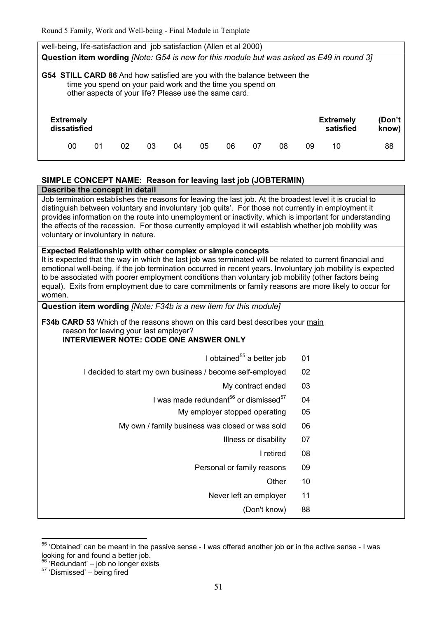| well-being, life-satisfaction and job satisfaction (Allen et al 2000)                                                                                                                                  |  |
|--------------------------------------------------------------------------------------------------------------------------------------------------------------------------------------------------------|--|
| Question item wording [Note: G54 is new for this module but was asked as E49 in round 3]                                                                                                               |  |
| <b>G54 STILL CARD 86</b> And how satisfied are you with the balance between the<br>time you spend on your paid work and the time you spend on<br>other aspects of your life? Please use the same card. |  |
| (Don't<br><b>Extremely</b><br><b>Extremely</b><br>dissatisfied<br>satisfied<br>know)                                                                                                                   |  |
| 05<br>88<br>00<br>02<br>06<br>08<br>01<br>03<br>04<br>07<br>09<br>10                                                                                                                                   |  |

# **SIMPLE CONCEPT NAME: Reason for leaving last job (JOBTERMIN)**

| distinguish between voluntary and involuntary 'job quits'. For those not currently in employment it<br>provides information on the route into unemployment or inactivity, which is important for understanding<br>the effects of the recession. For those currently employed it will establish whether job mobility was<br>voluntary or involuntary in nature.<br><b>Expected Relationship with other complex or simple concepts</b><br>It is expected that the way in which the last job was terminated will be related to current financial and<br>emotional well-being, if the job termination occurred in recent years. Involuntary job mobility is expected<br>to be associated with poorer employment conditions than voluntary job mobility (other factors being<br>equal). Exits from employment due to care commitments or family reasons are more likely to occur for<br>women.<br>Question item wording [Note: F34b is a new item for this module]<br>F34b CARD 53 Which of the reasons shown on this card best describes your main<br>reason for leaving your last employer?<br><b>INTERVIEWER NOTE: CODE ONE ANSWER ONLY</b><br>I obtained <sup>55</sup> a better job<br>01<br>02<br>I decided to start my own business / become self-employed<br>My contract ended<br>03<br>I was made redundant <sup>56</sup> or dismissed <sup>57</sup><br>04<br>My employer stopped operating<br>05<br>06<br>My own / family business was closed or was sold<br>07<br>Illness or disability<br>I retired<br>08<br>Personal or family reasons<br>09<br>Other<br>10<br>Never left an employer<br>11<br>(Don't know)<br>88 | Describe the concept in detail                                                                           |  |  |  |  |  |  |  |  |
|--------------------------------------------------------------------------------------------------------------------------------------------------------------------------------------------------------------------------------------------------------------------------------------------------------------------------------------------------------------------------------------------------------------------------------------------------------------------------------------------------------------------------------------------------------------------------------------------------------------------------------------------------------------------------------------------------------------------------------------------------------------------------------------------------------------------------------------------------------------------------------------------------------------------------------------------------------------------------------------------------------------------------------------------------------------------------------------------------------------------------------------------------------------------------------------------------------------------------------------------------------------------------------------------------------------------------------------------------------------------------------------------------------------------------------------------------------------------------------------------------------------------------------------------------------------------------------------------------------------------------|----------------------------------------------------------------------------------------------------------|--|--|--|--|--|--|--|--|
|                                                                                                                                                                                                                                                                                                                                                                                                                                                                                                                                                                                                                                                                                                                                                                                                                                                                                                                                                                                                                                                                                                                                                                                                                                                                                                                                                                                                                                                                                                                                                                                                                          | Job termination establishes the reasons for leaving the last job. At the broadest level it is crucial to |  |  |  |  |  |  |  |  |
|                                                                                                                                                                                                                                                                                                                                                                                                                                                                                                                                                                                                                                                                                                                                                                                                                                                                                                                                                                                                                                                                                                                                                                                                                                                                                                                                                                                                                                                                                                                                                                                                                          |                                                                                                          |  |  |  |  |  |  |  |  |
|                                                                                                                                                                                                                                                                                                                                                                                                                                                                                                                                                                                                                                                                                                                                                                                                                                                                                                                                                                                                                                                                                                                                                                                                                                                                                                                                                                                                                                                                                                                                                                                                                          |                                                                                                          |  |  |  |  |  |  |  |  |
|                                                                                                                                                                                                                                                                                                                                                                                                                                                                                                                                                                                                                                                                                                                                                                                                                                                                                                                                                                                                                                                                                                                                                                                                                                                                                                                                                                                                                                                                                                                                                                                                                          |                                                                                                          |  |  |  |  |  |  |  |  |
|                                                                                                                                                                                                                                                                                                                                                                                                                                                                                                                                                                                                                                                                                                                                                                                                                                                                                                                                                                                                                                                                                                                                                                                                                                                                                                                                                                                                                                                                                                                                                                                                                          |                                                                                                          |  |  |  |  |  |  |  |  |
|                                                                                                                                                                                                                                                                                                                                                                                                                                                                                                                                                                                                                                                                                                                                                                                                                                                                                                                                                                                                                                                                                                                                                                                                                                                                                                                                                                                                                                                                                                                                                                                                                          |                                                                                                          |  |  |  |  |  |  |  |  |
|                                                                                                                                                                                                                                                                                                                                                                                                                                                                                                                                                                                                                                                                                                                                                                                                                                                                                                                                                                                                                                                                                                                                                                                                                                                                                                                                                                                                                                                                                                                                                                                                                          |                                                                                                          |  |  |  |  |  |  |  |  |
|                                                                                                                                                                                                                                                                                                                                                                                                                                                                                                                                                                                                                                                                                                                                                                                                                                                                                                                                                                                                                                                                                                                                                                                                                                                                                                                                                                                                                                                                                                                                                                                                                          |                                                                                                          |  |  |  |  |  |  |  |  |
|                                                                                                                                                                                                                                                                                                                                                                                                                                                                                                                                                                                                                                                                                                                                                                                                                                                                                                                                                                                                                                                                                                                                                                                                                                                                                                                                                                                                                                                                                                                                                                                                                          |                                                                                                          |  |  |  |  |  |  |  |  |
|                                                                                                                                                                                                                                                                                                                                                                                                                                                                                                                                                                                                                                                                                                                                                                                                                                                                                                                                                                                                                                                                                                                                                                                                                                                                                                                                                                                                                                                                                                                                                                                                                          |                                                                                                          |  |  |  |  |  |  |  |  |
|                                                                                                                                                                                                                                                                                                                                                                                                                                                                                                                                                                                                                                                                                                                                                                                                                                                                                                                                                                                                                                                                                                                                                                                                                                                                                                                                                                                                                                                                                                                                                                                                                          |                                                                                                          |  |  |  |  |  |  |  |  |
|                                                                                                                                                                                                                                                                                                                                                                                                                                                                                                                                                                                                                                                                                                                                                                                                                                                                                                                                                                                                                                                                                                                                                                                                                                                                                                                                                                                                                                                                                                                                                                                                                          |                                                                                                          |  |  |  |  |  |  |  |  |
|                                                                                                                                                                                                                                                                                                                                                                                                                                                                                                                                                                                                                                                                                                                                                                                                                                                                                                                                                                                                                                                                                                                                                                                                                                                                                                                                                                                                                                                                                                                                                                                                                          |                                                                                                          |  |  |  |  |  |  |  |  |
|                                                                                                                                                                                                                                                                                                                                                                                                                                                                                                                                                                                                                                                                                                                                                                                                                                                                                                                                                                                                                                                                                                                                                                                                                                                                                                                                                                                                                                                                                                                                                                                                                          |                                                                                                          |  |  |  |  |  |  |  |  |
|                                                                                                                                                                                                                                                                                                                                                                                                                                                                                                                                                                                                                                                                                                                                                                                                                                                                                                                                                                                                                                                                                                                                                                                                                                                                                                                                                                                                                                                                                                                                                                                                                          |                                                                                                          |  |  |  |  |  |  |  |  |
|                                                                                                                                                                                                                                                                                                                                                                                                                                                                                                                                                                                                                                                                                                                                                                                                                                                                                                                                                                                                                                                                                                                                                                                                                                                                                                                                                                                                                                                                                                                                                                                                                          |                                                                                                          |  |  |  |  |  |  |  |  |

<sup>55</sup> 'Obtained' can be meant in the passive sense - I was offered another job **or** in the active sense - I was looking for and found a better job.

 $\overline{a}$ 

<sup>56</sup> 'Redundant' – job no longer exists

 $57$  'Dismissed' – being fired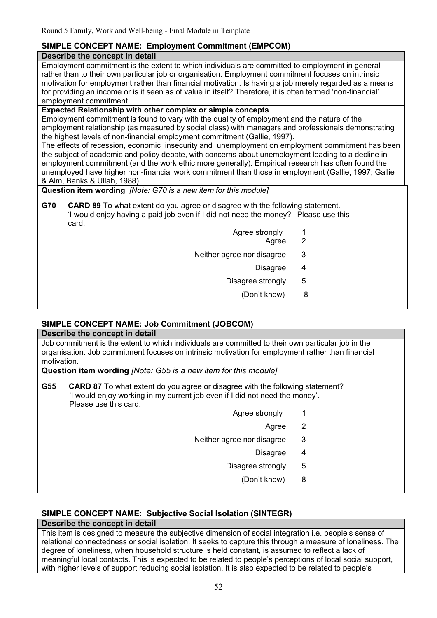# **SIMPLE CONCEPT NAME: Employment Commitment (EMPCOM)**

#### **Describe the concept in detail**

Employment commitment is the extent to which individuals are committed to employment in general rather than to their own particular job or organisation. Employment commitment focuses on intrinsic motivation for employment rather than financial motivation. Is having a job merely regarded as a means for providing an income or is it seen as of value in itself? Therefore, it is often termed 'non-financial' employment commitment.

## **Expected Relationship with other complex or simple concepts**

Employment commitment is found to vary with the quality of employment and the nature of the employment relationship (as measured by social class) with managers and professionals demonstrating the highest levels of non-financial employment commitment (Gallie, 1997).

The effects of recession, economic insecurity and unemployment on employment commitment has been the subject of academic and policy debate, with concerns about unemployment leading to a decline in employment commitment (and the work ethic more generally). Empirical research has often found the unemployed have higher non-financial work commitment than those in employment (Gallie, 1997; Gallie & Alm, Banks & Ullah, 1988).

**Question item wording** *[Note: G70 is a new item for this module]*

**G70 CARD 89** To what extent do you agree or disagree with the following statement. 'I would enjoy having a paid job even if I did not need the money?' Please use this card.

- Agree strongly 1 Agree 2
	-
- Neither agree nor disagree 3
	- Disagree 4
	- Disagree strongly 5
		- (Don't know) 8

# **SIMPLE CONCEPT NAME: Job Commitment (JOBCOM)**

#### **Describe the concept in detail**

Job commitment is the extent to which individuals are committed to their own particular job in the organisation. Job commitment focuses on intrinsic motivation for employment rather than financial motivation.

**Question item wording** *[Note: G55 is a new item for this module]*

- **G55 CARD 87** To what extent do you agree or disagree with the following statement? 'I would enjoy working in my current job even if I did not need the money'. Please use this card.
	- Agree strongly 1
		- Agree 2
	- Neither agree nor disagree 3
		- Disagree 4
		- Disagree strongly 5
			- (Don't know) 8

# **SIMPLE CONCEPT NAME: Subjective Social Isolation (SINTEGR)**

# **Describe the concept in detail**

This item is designed to measure the subjective dimension of social integration i.e. people's sense of relational connectedness or social isolation. It seeks to capture this through a measure of loneliness. The degree of loneliness, when household structure is held constant, is assumed to reflect a lack of meaningful local contacts. This is expected to be related to people's perceptions of local social support, with higher levels of support reducing social isolation. It is also expected to be related to people's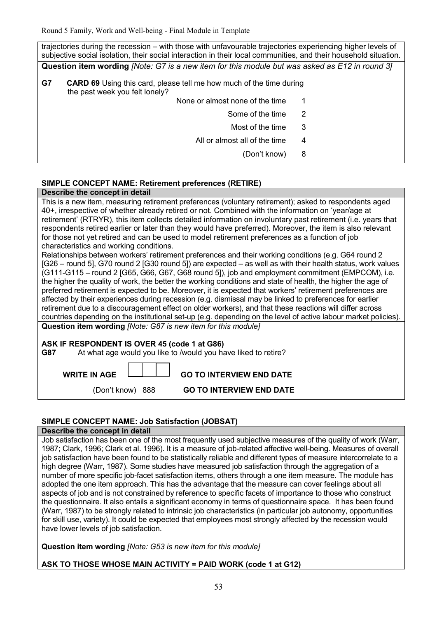| trajectories during the recession – with those with unfavourable trajectories experiencing higher levels of<br>subjective social isolation, their social interaction in their local communities, and their household situation. |   |  |  |  |  |  |  |
|---------------------------------------------------------------------------------------------------------------------------------------------------------------------------------------------------------------------------------|---|--|--|--|--|--|--|
| Question item wording <i>[Note: G7 is a new item for this module but was asked as E12 in round 3]</i>                                                                                                                           |   |  |  |  |  |  |  |
| G7<br><b>CARD 69</b> Using this card, please tell me how much of the time during<br>the past week you felt lonely?                                                                                                              |   |  |  |  |  |  |  |
| None or almost none of the time                                                                                                                                                                                                 |   |  |  |  |  |  |  |
| Some of the time                                                                                                                                                                                                                | 2 |  |  |  |  |  |  |
| Most of the time                                                                                                                                                                                                                | 3 |  |  |  |  |  |  |
| All or almost all of the time                                                                                                                                                                                                   | 4 |  |  |  |  |  |  |
| (Don't know)                                                                                                                                                                                                                    | 8 |  |  |  |  |  |  |
|                                                                                                                                                                                                                                 |   |  |  |  |  |  |  |

## **SIMPLE CONCEPT NAME: Retirement preferences (RETIRE)**

#### **Describe the concept in detail**

This is a new item, measuring retirement preferences (voluntary retirement); asked to respondents aged 40+, irrespective of whether already retired or not. Combined with the information on 'year/age at retirement' (RTRYR), this item collects detailed information on involuntary past retirement (i.e. years that respondents retired earlier or later than they would have preferred). Moreover, the item is also relevant for those not yet retired and can be used to model retirement preferences as a function of job characteristics and working conditions.

Relationships between workers' retirement preferences and their working conditions (e.g. G64 round 2 [G26 – round 5], G70 round 2 [G30 round 5]) are expected – as well as with their health status, work values (G111-G115 – round 2 [G65, G66, G67, G68 round 5]), job and employment commitment (EMPCOM), i.e. the higher the quality of work, the better the working conditions and state of health, the higher the age of preferred retirement is expected to be. Moreover, it is expected that workers' retirement preferences are affected by their experiences during recession (e.g. dismissal may be linked to preferences for earlier retirement due to a discouragement effect on older workers), and that these reactions will differ across countries depending on the institutional set-up (e.g. depending on the level of active labour market policies). **Question item wording** *[Note: G87 is new item for this module]*

#### **ASK IF RESPONDENT IS OVER 45 (code 1 at G86)**

| G87 |  | At what age would you like to /would you have liked to retire? |
|-----|--|----------------------------------------------------------------|
|     |  |                                                                |

| <b>WDITE IN ACE</b> |  |  |
|---------------------|--|--|

 **WRITE IN AGE GO TO INTERVIEW END DATE** 

(Don't know) 888

| <b>GO TO INTERVIEW END DATE</b> |  |  |  |  |  |  |
|---------------------------------|--|--|--|--|--|--|
|---------------------------------|--|--|--|--|--|--|

#### **SIMPLE CONCEPT NAME: Job Satisfaction (JOBSAT)**

#### **Describe the concept in detail**

Job satisfaction has been one of the most frequently used subjective measures of the quality of work (Warr, 1987; Clark, 1996; Clark et al. 1996). It is a measure of job-related affective well-being. Measures of overall job satisfaction have been found to be statistically reliable and different types of measure intercorrelate to a high degree (Warr, 1987). Some studies have measured job satisfaction through the aggregation of a number of more specific job-facet satisfaction items, others through a one item measure. The module has adopted the one item approach. This has the advantage that the measure can cover feelings about all aspects of job and is not constrained by reference to specific facets of importance to those who construct the questionnaire. It also entails a significant economy in terms of questionnaire space. It has been found (Warr, 1987) to be strongly related to intrinsic job characteristics (in particular job autonomy, opportunities for skill use, variety). It could be expected that employees most strongly affected by the recession would have lower levels of job satisfaction.

**Question item wording** *[Note: G53 is new item for this module]*

## **ASK TO THOSE WHOSE MAIN ACTIVITY = PAID WORK (code 1 at G12)**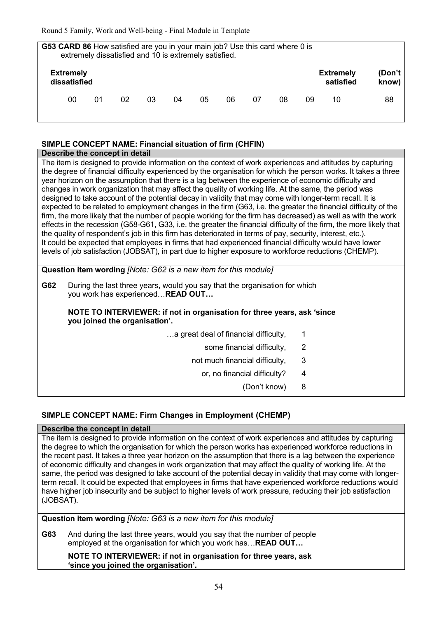|                                  |    |    |    |    | G53 CARD 86 How satisfied are you in your main job? Use this card where 0 is<br>extremely dissatisfied and 10 is extremely satisfied. |    |    |    |    |                               |                 |
|----------------------------------|----|----|----|----|---------------------------------------------------------------------------------------------------------------------------------------|----|----|----|----|-------------------------------|-----------------|
| <b>Extremely</b><br>dissatisfied |    |    |    |    |                                                                                                                                       |    |    |    |    | <b>Extremely</b><br>satisfied | (Don't<br>know) |
| 00                               | 01 | 02 | 03 | 04 | 05                                                                                                                                    | 06 | 07 | 08 | 09 | 10                            | 88              |

#### **SIMPLE CONCEPT NAME: Financial situation of firm (CHFIN)**

#### **Describe the concept in detail**

The item is designed to provide information on the context of work experiences and attitudes by capturing the degree of financial difficulty experienced by the organisation for which the person works. It takes a three year horizon on the assumption that there is a lag between the experience of economic difficulty and changes in work organization that may affect the quality of working life. At the same, the period was designed to take account of the potential decay in validity that may come with longer-term recall. It is expected to be related to employment changes in the firm (G63, i.e. the greater the financial difficulty of the firm, the more likely that the number of people working for the firm has decreased) as well as with the work effects in the recession (G58-G61, G33, i.e. the greater the financial difficulty of the firm, the more likely that the quality of respondent's job in this firm has deteriorated in terms of pay, security, interest, etc.). It could be expected that employees in firms that had experienced financial difficulty would have lower levels of job satisfaction (JOBSAT), in part due to higher exposure to workforce reductions (CHEMP).

#### **Question item wording** *[Note: G62 is a new item for this module]*

**G62** During the last three years, would you say that the organisation for which you work has experienced... **READ OUT...** 

#### **NOTE TO INTERVIEWER: if not in organisation for three years, ask 'since you joined the organisation'.**

- some financial difficulty, 2
- not much financial difficulty, 3
	- or, no financial difficulty? 4
		- (Don't know) 8

# **SIMPLE CONCEPT NAME: Firm Changes in Employment (CHEMP)**

#### **Describe the concept in detail**

The item is designed to provide information on the context of work experiences and attitudes by capturing the degree to which the organisation for which the person works has experienced workforce reductions in the recent past. It takes a three year horizon on the assumption that there is a lag between the experience of economic difficulty and changes in work organization that may affect the quality of working life. At the same, the period was designed to take account of the potential decay in validity that may come with longerterm recall. It could be expected that employees in firms that have experienced workforce reductions would have higher job insecurity and be subject to higher levels of work pressure, reducing their job satisfaction (JOBSAT).

**Question item wording** *[Note: G63 is a new item for this module]*

**G63** And during the last three years, would you say that the number of people employed at the organisation for which you work has... **READ OUT...** 

#### **NOTE TO INTERVIEWER: if not in organisation for three years, ask 'since you joined the organisation'.**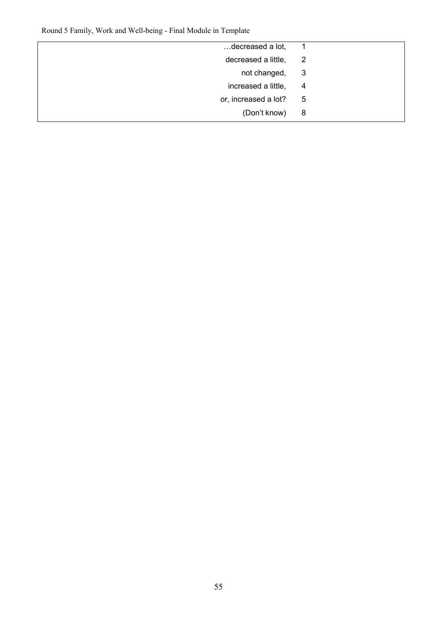| decreased a lot,     |   |
|----------------------|---|
| decreased a little,  | 2 |
| not changed,         | 3 |
| increased a little,  | 4 |
| or, increased a lot? | 5 |
| (Don't know)         | 8 |
|                      |   |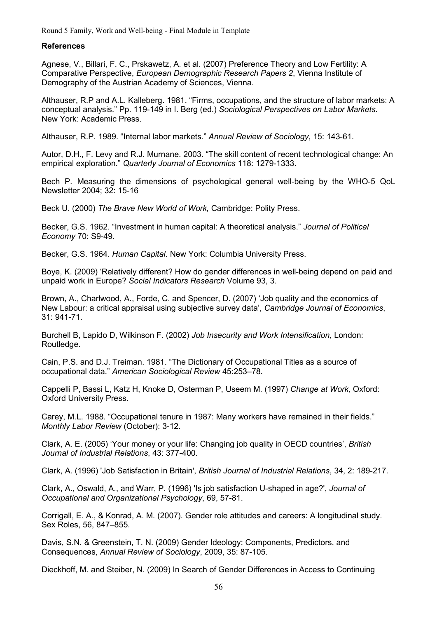#### **References**

Agnese, V., Billari, F. C., Prskawetz, A. et al. (2007) Preference Theory and Low Fertility: A Comparative Perspective, *European Demographic Research Papers 2*, Vienna Institute of Demography of the Austrian Academy of Sciences, Vienna.

Althauser, R.P and A.L. Kalleberg. 1981. "Firms, occupations, and the structure of labor markets: A conceptual analysis." Pp. 119-149 in I. Berg (ed.) *Sociological Perspectives on Labor Markets*. New York: Academic Press.

Althauser, R.P. 1989. "Internal labor markets." *Annual Review of Sociology*, 15: 143-61.

Autor, D.H., F. Levy and R.J. Murnane. 2003. "The skill content of recent technological change: An empirical exploration." *Quarterly Journal of Economics* 118: 1279-1333.

Bech P. Measuring the dimensions of psychological general well-being by the WHO-5 QoL Newsletter 2004; 32: 15-16

Beck U. (2000) *The Brave New World of Work,* Cambridge: Polity Press.

Becker, G.S. 1962. "Investment in human capital: A theoretical analysis." *Journal of Political Economy* 70: S9-49.

Becker, G.S. 1964. *Human Capital*. New York: Columbia University Press.

Boye, K. (2009) 'Relatively different? How do gender differences in well-being depend on paid and unpaid work in Europe? *Social Indicators Research* Volume 93, 3.

Brown, A., Charlwood, A., Forde, C. and Spencer, D. (2007) 'Job quality and the economics of New Labour: a critical appraisal using subjective survey data', *Cambridge Journal of Economics*, 31: 941-71.

Burchell B, Lapido D, Wilkinson F. (2002) *Job Insecurity and Work Intensification,* London: Routledge.

Cain, P.S. and D.J. Treiman. 1981. "The Dictionary of Occupational Titles as a source of occupational data." *American Sociological Review* 45:253–78.

Cappelli P, Bassi L, Katz H, Knoke D, Osterman P, Useem M. (1997) *Change at Work,* Oxford: Oxford University Press.

Carey, M.L. 1988. "Occupational tenure in 1987: Many workers have remained in their fields." *Monthly Labor Review* (October): 3-12.

Clark, A. E. (2005) 'Your money or your life: Changing job quality in OECD countries', *British Journal of Industrial Relations*, 43: 377-400.

Clark, A. (1996) 'Job Satisfaction in Britain', *British Journal of Industrial Relations*, 34, 2: 189-217.

Clark, A., Oswald, A., and Warr, P. (1996) 'Is job satisfaction U-shaped in age?', *Journal of Occupational and Organizational Psychology*, 69, 57-81.

Corrigall, E. A., & Konrad, A. M. (2007). Gender role attitudes and careers: A longitudinal study. Sex Roles, 56, 847–855.

Davis, S.N. & Greenstein, T. N. (2009) Gender Ideology: Components, Predictors, and Consequences, *Annual Review of Sociology*, 2009, 35: 87-105.

Dieckhoff, M. and Steiber, N. (2009) In Search of Gender Differences in Access to Continuing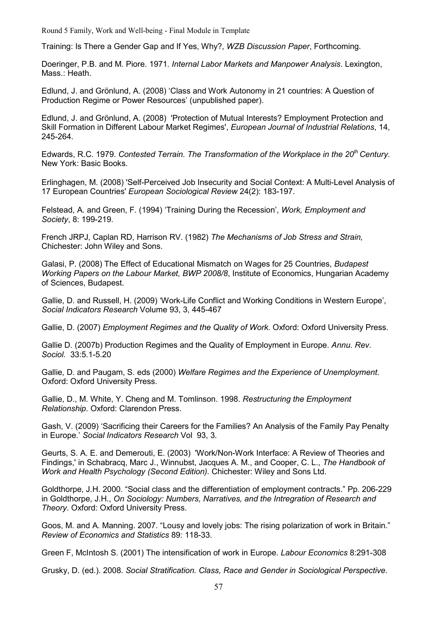Training: Is There a Gender Gap and If Yes, Why?, *WZB Discussion Paper*, Forthcoming.

Doeringer, P.B. and M. Piore. 1971. *Internal Labor Markets and Manpower Analysis*. Lexington, Mass.: Heath.

Edlund, J. and Grönlund, A. (2008) 'Class and Work Autonomy in 21 countries: A Question of Production Regime or Power Resources' (unpublished paper).

Edlund, J. and Grönlund, A. (2008) 'Protection of Mutual Interests? Employment Protection and Skill Formation in Different Labour Market Regimes', *European Journal of Industrial Relations*, 14, 245-264.

Edwards, R.C. 1979. *Contested Terrain. The Transformation of the Workplace in the 20th Century*. New York: Basic Books.

Erlinghagen, M. (2008) 'Self-Perceived Job Insecurity and Social Context: A Multi-Level Analysis of 17 European Countries' *European Sociological Review* 24(2): 183-197.

Felstead, A. and Green, F. (1994) 'Training During the Recession', *Work, Employment and Society*, 8: 199-219.

French JRPJ, Caplan RD, Harrison RV. (1982) *The Mechanisms of Job Stress and Strain,* Chichester: John Wiley and Sons.

Galasi, P. (2008) The Effect of Educational Mismatch on Wages for 25 Countries, *Budapest Working Papers on the Labour Market, BWP 2008/8*, Institute of Economics, Hungarian Academy of Sciences, Budapest.

Gallie, D. and Russell, H. (2009) 'Work-Life Conflict and Working Conditions in Western Europe', *Social Indicators Research* Volume 93, 3, 445-467

Gallie, D. (2007) *Employment Regimes and the Quality of Work*. Oxford: Oxford University Press.

Gallie D. (2007b) Production Regimes and the Quality of Employment in Europe. *Annu. Rev. Sociol.* 33:5.1-5.20

Gallie, D. and Paugam, S. eds (2000) *Welfare Regimes and the Experience of Unemployment*. Oxford: Oxford University Press.

Gallie, D., M. White, Y. Cheng and M. Tomlinson. 1998. *Restructuring the Employment Relationship*. Oxford: Clarendon Press.

Gash, V. (2009) 'Sacrificing their Careers for the Families? An Analysis of the Family Pay Penalty in Europe.' *Social Indicators Research* Vol 93, 3.

Geurts, S. A. E. and Demerouti, E. (2003) 'Work/Non-Work Interface: A Review of Theories and Findings,' in Schabracq, Marc J., Winnubst, Jacques A. M., and Cooper, C. L., *The Handbook of Work and Health Psychology (Second Edition).* Chichester: Wiley and Sons Ltd.

Goldthorpe, J.H. 2000. "Social class and the differentiation of employment contracts." Pp. 206-229 in Goldthorpe, J.H., *On Sociology: Numbers, Narratives, and the Intregration of Research and Theory*. Oxford: Oxford University Press.

Goos, M. and A. Manning. 2007. "Lousy and lovely jobs: The rising polarization of work in Britain." *Review of Economics and Statistics* 89: 118-33.

Green F, McIntosh S. (2001) The intensification of work in Europe. *Labour Economics* 8:291-308

Grusky, D. (ed.). 2008. *Social Stratification. Class, Race and Gender in Sociological Perspective*.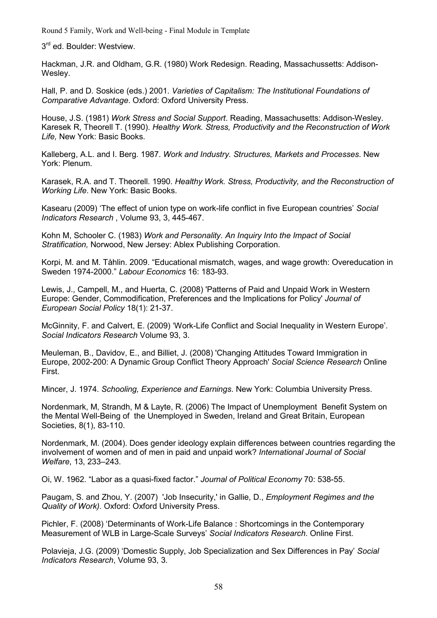3<sup>rd</sup> ed. Boulder: Westview.

Hackman, J.R. and Oldham, G.R. (1980) Work Redesign. Reading, Massachussetts: Addison-Wesley.

Hall, P. and D. Soskice (eds.) 2001. *Varieties of Capitalism: The Institutional Foundations of Comparative Advantage*. Oxford: Oxford University Press.

House, J.S. (1981) *Work Stress and Social Support*. Reading, Massachusetts: Addison-Wesley. Karesek R, Theorell T. (1990). *Healthy Work. Stress, Productivity and the Reconstruction of Work Life,* New York: Basic Books.

Kalleberg, A.L. and I. Berg. 1987. *Work and Industry. Structures, Markets and Processes*. New York: Plenum.

Karasek, R.A. and T. Theorell. 1990. *Healthy Work. Stress, Productivity, and the Reconstruction of Working Life*. New York: Basic Books.

Kasearu (2009) 'The effect of union type on work-life conflict in five European countries' *Social Indicators Research* , Volume 93, 3, 445-467.

Kohn M, Schooler C. (1983) *Work and Personality. An Inquiry Into the Impact of Social Stratification,* Norwood, New Jersey: Ablex Publishing Corporation.

Korpi, M. and M. Tåhlin. 2009. "Educational mismatch, wages, and wage growth: Overeducation in Sweden 1974-2000." *Labour Economics* 16: 183-93.

Lewis, J., Campell, M., and Huerta, C. (2008) 'Patterns of Paid and Unpaid Work in Western Europe: Gender, Commodification, Preferences and the Implications for Policy' *Journal of European Social Policy* 18(1): 21-37.

McGinnity, F. and Calvert, E. (2009) 'Work-Life Conflict and Social Inequality in Western Europe'. *Social Indicators Research* Volume 93, 3.

Meuleman, B., Davidov, E., and Billiet, J. (2008) 'Changing Attitudes Toward Immigration in Europe, 2002-200: A Dynamic Group Conflict Theory Approach' *Social Science Research* Online First.

Mincer, J. 1974. *Schooling, Experience and Earnings*. New York: Columbia University Press.

Nordenmark, M, Strandh, M & Layte, R. (2006) The Impact of Unemployment Benefit System on the Mental Well-Being of the Unemployed in Sweden, Ireland and Great Britain, European Societies, 8(1), 83-110.

Nordenmark, M. (2004). Does gender ideology explain differences between countries regarding the involvement of women and of men in paid and unpaid work? *International Journal of Social Welfare*, 13, 233–243.

Oi, W. 1962. "Labor as a quasi-fixed factor." *Journal of Political Economy* 70: 538-55.

Paugam, S. and Zhou, Y. (2007) 'Job Insecurity,' in Gallie, D., *Employment Regimes and the Quality of Work).* Oxford: Oxford University Press.

Pichler, F. (2008) 'Determinants of Work-Life Balance : Shortcomings in the Contemporary Measurement of WLB in Large-Scale Surveys' *Social Indicators Research*. Online First.

Polavieja, J.G. (2009) 'Domestic Supply, Job Specialization and Sex Differences in Pay' *Social Indicators Research*, Volume 93, 3.